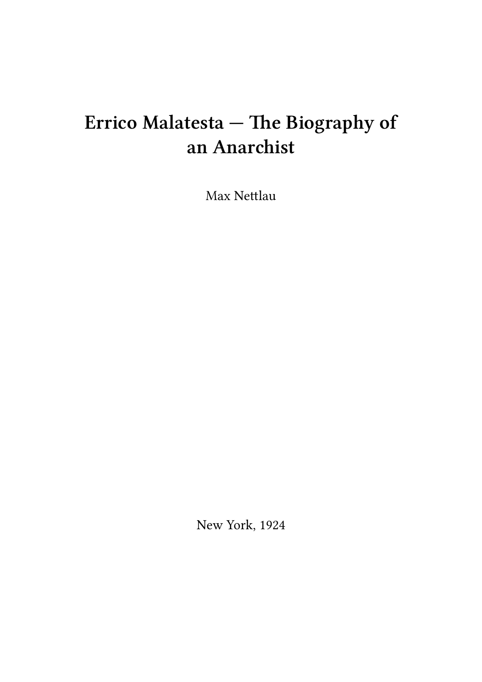## **Errico Malatesta — The Biography of an Anarchist**

Max Nettlau

New York, 1924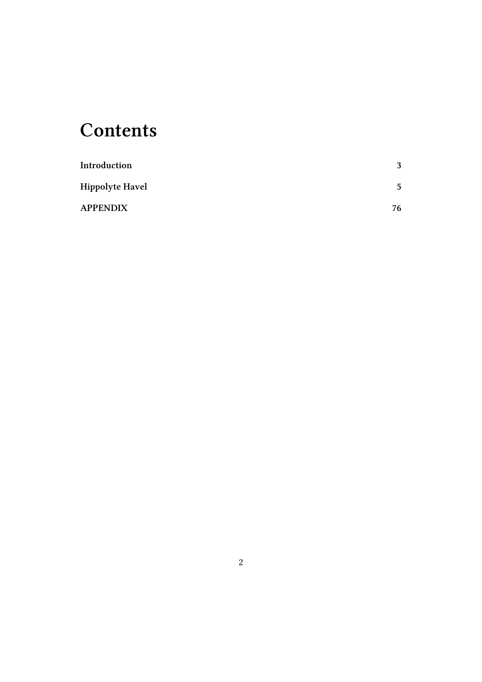## **Contents**

| Introduction           | 3  |
|------------------------|----|
| <b>Hippolyte Havel</b> | 5  |
| <b>APPENDIX</b>        | 76 |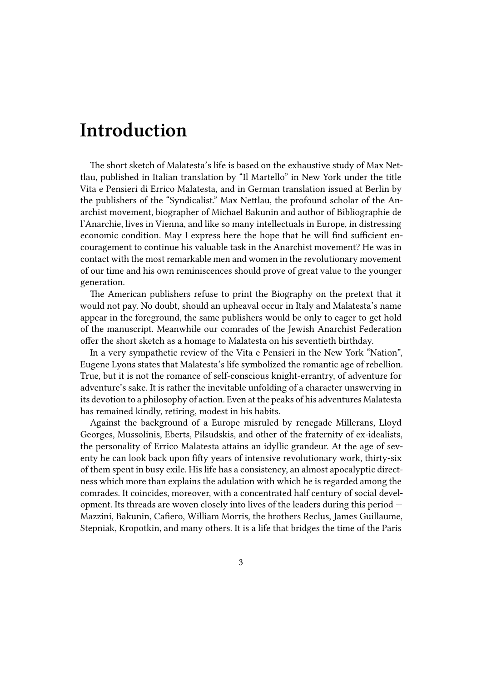## <span id="page-2-0"></span>**Introduction**

The short sketch of Malatesta's life is based on the exhaustive study of Max Nettlau, published in Italian translation by "Il Martello" in New York under the title Vita e Pensieri di Errico Malatesta, and in German translation issued at Berlin by the publishers of the "Syndicalist." Max Nettlau, the profound scholar of the Anarchist movement, biographer of Michael Bakunin and author of Bibliographie de l'Anarchie, lives in Vienna, and like so many intellectuals in Europe, in distressing economic condition. May I express here the hope that he will find sufficient encouragement to continue his valuable task in the Anarchist movement? He was in contact with the most remarkable men and women in the revolutionary movement of our time and his own reminiscences should prove of great value to the younger generation.

The American publishers refuse to print the Biography on the pretext that it would not pay. No doubt, should an upheaval occur in Italy and Malatesta's name appear in the foreground, the same publishers would be only to eager to get hold of the manuscript. Meanwhile our comrades of the Jewish Anarchist Federation offer the short sketch as a homage to Malatesta on his seventieth birthday.

In a very sympathetic review of the Vita e Pensieri in the New York "Nation", Eugene Lyons states that Malatesta's life symbolized the romantic age of rebellion. True, but it is not the romance of self-conscious knight-errantry, of adventure for adventure's sake. It is rather the inevitable unfolding of a character unswerving in its devotion to a philosophy of action. Even at the peaks of his adventures Malatesta has remained kindly, retiring, modest in his habits.

Against the background of a Europe misruled by renegade Millerans, Lloyd Georges, Mussolinis, Eberts, Pilsudskis, and other of the fraternity of ex-idealists, the personality of Errico Malatesta attains an idyllic grandeur. At the age of seventy he can look back upon fifty years of intensive revolutionary work, thirty-six of them spent in busy exile. His life has a consistency, an almost apocalyptic directness which more than explains the adulation with which he is regarded among the comrades. It coincides, moreover, with a concentrated half century of social development. Its threads are woven closely into lives of the leaders during this period — Mazzini, Bakunin, Cafiero, William Morris, the brothers Reclus, James Guillaume, Stepniak, Kropotkin, and many others. It is a life that bridges the time of the Paris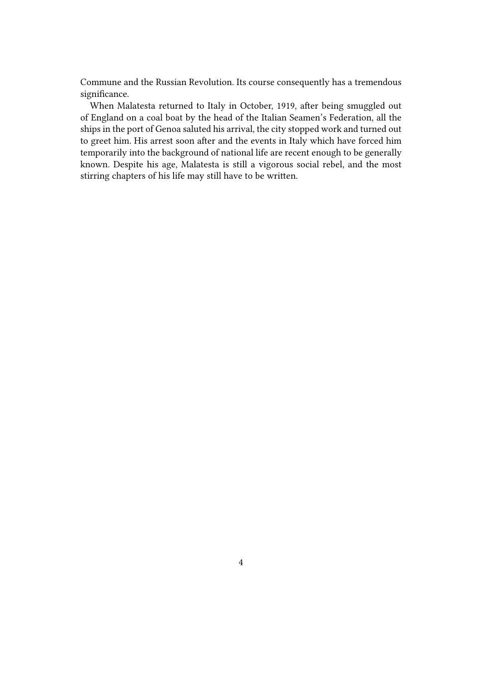Commune and the Russian Revolution. Its course consequently has a tremendous significance.

When Malatesta returned to Italy in October, 1919, after being smuggled out of England on a coal boat by the head of the Italian Seamen's Federation, all the ships in the port of Genoa saluted his arrival, the city stopped work and turned out to greet him. His arrest soon after and the events in Italy which have forced him temporarily into the background of national life are recent enough to be generally known. Despite his age, Malatesta is still a vigorous social rebel, and the most stirring chapters of his life may still have to be written.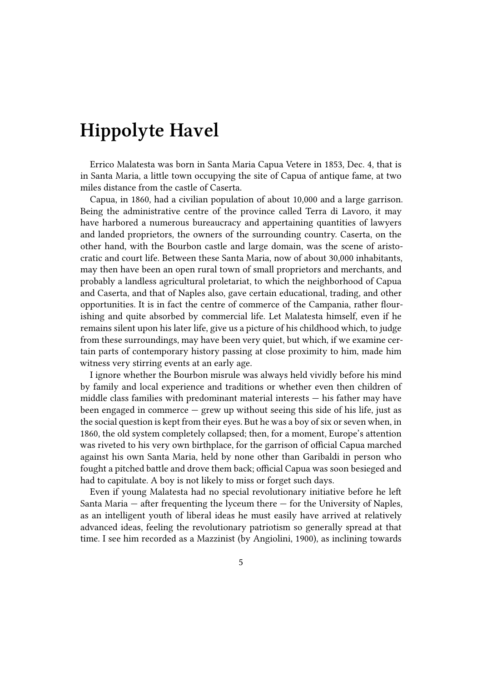## **Hippolyte Havel**

Errico Malatesta was born in Santa Maria Capua Vetere in 1853, Dec. 4, that is in Santa Maria, a little town occupying the site of Capua of antique fame, at two miles distance from the castle of Caserta.

Capua, in 1860, had a civilian population of about 10,000 and a large garrison. Being the administrative centre of the province called Terra di Lavoro, it may have harbored a numerous bureaucracy and appertaining quantities of lawyers and landed proprietors, the owners of the surrounding country. Caserta, on the other hand, with the Bourbon castle and large domain, was the scene of aristocratic and court life. Between these Santa Maria, now of about 30,000 inhabitants, may then have been an open rural town of small proprietors and merchants, and probably a landless agricultural proletariat, to which the neighborhood of Capua and Caserta, and that of Naples also, gave certain educational, trading, and other opportunities. It is in fact the centre of commerce of the Campania, rather flourishing and quite absorbed by commercial life. Let Malatesta himself, even if he remains silent upon his later life, give us a picture of his childhood which, to judge from these surroundings, may have been very quiet, but which, if we examine certain parts of contemporary history passing at close proximity to him, made him witness very stirring events at an early age.

I ignore whether the Bourbon misrule was always held vividly before his mind by family and local experience and traditions or whether even then children of middle class families with predominant material interests — his father may have been engaged in commerce — grew up without seeing this side of his life, just as the social question is kept from their eyes. But he was a boy of six or seven when, in 1860, the old system completely collapsed; then, for a moment, Europe's attention was riveted to his very own birthplace, for the garrison of official Capua marched against his own Santa Maria, held by none other than Garibaldi in person who fought a pitched battle and drove them back; official Capua was soon besieged and had to capitulate. A boy is not likely to miss or forget such days.

Even if young Malatesta had no special revolutionary initiative before he left Santa Maria  $-$  after frequenting the lyceum there  $-$  for the University of Naples, as an intelligent youth of liberal ideas he must easily have arrived at relatively advanced ideas, feeling the revolutionary patriotism so generally spread at that time. I see him recorded as a Mazzinist (by Angiolini, 1900), as inclining towards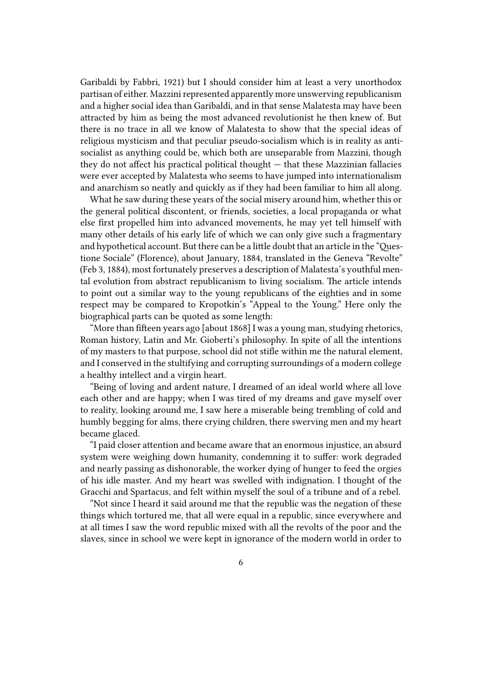Garibaldi by Fabbri, 1921) but I should consider him at least a very unorthodox partisan of either. Mazzini represented apparently more unswerving republicanism and a higher social idea than Garibaldi, and in that sense Malatesta may have been attracted by him as being the most advanced revolutionist he then knew of. But there is no trace in all we know of Malatesta to show that the special ideas of religious mysticism and that peculiar pseudo-socialism which is in reality as antisocialist as anything could be, which both are unseparable from Mazzini, though they do not affect his practical political thought  $-$  that these Mazzinian fallacies were ever accepted by Malatesta who seems to have jumped into internationalism and anarchism so neatly and quickly as if they had been familiar to him all along.

What he saw during these years of the social misery around him, whether this or the general political discontent, or friends, societies, a local propaganda or what else first propelled him into advanced movements, he may yet tell himself with many other details of his early life of which we can only give such a fragmentary and hypothetical account. But there can be a little doubt that an article in the "Questione Sociale" (Florence), about January, 1884, translated in the Geneva "Revolte" (Feb 3, 1884), most fortunately preserves a description of Malatesta's youthful mental evolution from abstract republicanism to living socialism. The article intends to point out a similar way to the young republicans of the eighties and in some respect may be compared to Kropotkin's "Appeal to the Young." Here only the biographical parts can be quoted as some length:

"More than fifteen years ago [about 1868] I was a young man, studying rhetorics, Roman history, Latin and Mr. Gioberti's philosophy. In spite of all the intentions of my masters to that purpose, school did not stifle within me the natural element, and I conserved in the stultifying and corrupting surroundings of a modern college a healthy intellect and a virgin heart.

"Being of loving and ardent nature, I dreamed of an ideal world where all love each other and are happy; when I was tired of my dreams and gave myself over to reality, looking around me, I saw here a miserable being trembling of cold and humbly begging for alms, there crying children, there swerving men and my heart became glaced.

"I paid closer attention and became aware that an enormous injustice, an absurd system were weighing down humanity, condemning it to suffer: work degraded and nearly passing as dishonorable, the worker dying of hunger to feed the orgies of his idle master. And my heart was swelled with indignation. I thought of the Gracchi and Spartacus, and felt within myself the soul of a tribune and of a rebel.

"Not since I heard it said around me that the republic was the negation of these things which tortured me, that all were equal in a republic, since everywhere and at all times I saw the word republic mixed with all the revolts of the poor and the slaves, since in school we were kept in ignorance of the modern world in order to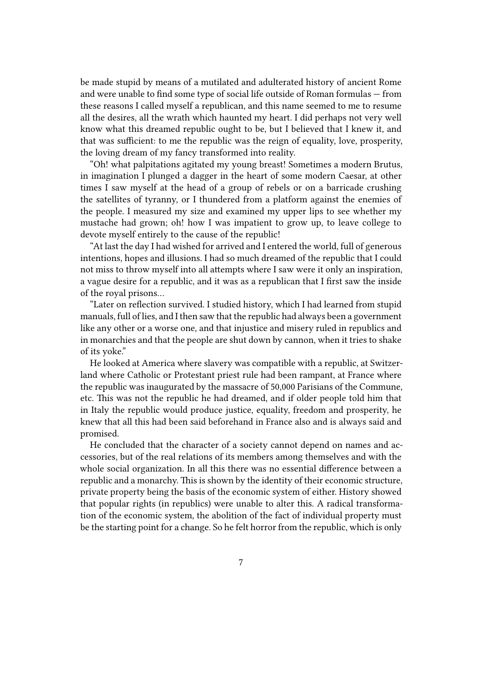be made stupid by means of a mutilated and adulterated history of ancient Rome and were unable to find some type of social life outside of Roman formulas — from these reasons I called myself a republican, and this name seemed to me to resume all the desires, all the wrath which haunted my heart. I did perhaps not very well know what this dreamed republic ought to be, but I believed that I knew it, and that was sufficient: to me the republic was the reign of equality, love, prosperity, the loving dream of my fancy transformed into reality.

"Oh! what palpitations agitated my young breast! Sometimes a modern Brutus, in imagination I plunged a dagger in the heart of some modern Caesar, at other times I saw myself at the head of a group of rebels or on a barricade crushing the satellites of tyranny, or I thundered from a platform against the enemies of the people. I measured my size and examined my upper lips to see whether my mustache had grown; oh! how I was impatient to grow up, to leave college to devote myself entirely to the cause of the republic!

"At last the day I had wished for arrived and I entered the world, full of generous intentions, hopes and illusions. I had so much dreamed of the republic that I could not miss to throw myself into all attempts where I saw were it only an inspiration, a vague desire for a republic, and it was as a republican that I first saw the inside of the royal prisons…

"Later on reflection survived. I studied history, which I had learned from stupid manuals, full of lies, and I then saw that the republic had always been a government like any other or a worse one, and that injustice and misery ruled in republics and in monarchies and that the people are shut down by cannon, when it tries to shake of its yoke."

He looked at America where slavery was compatible with a republic, at Switzerland where Catholic or Protestant priest rule had been rampant, at France where the republic was inaugurated by the massacre of 50,000 Parisians of the Commune, etc. This was not the republic he had dreamed, and if older people told him that in Italy the republic would produce justice, equality, freedom and prosperity, he knew that all this had been said beforehand in France also and is always said and promised.

He concluded that the character of a society cannot depend on names and accessories, but of the real relations of its members among themselves and with the whole social organization. In all this there was no essential difference between a republic and a monarchy. This is shown by the identity of their economic structure, private property being the basis of the economic system of either. History showed that popular rights (in republics) were unable to alter this. A radical transformation of the economic system, the abolition of the fact of individual property must be the starting point for a change. So he felt horror from the republic, which is only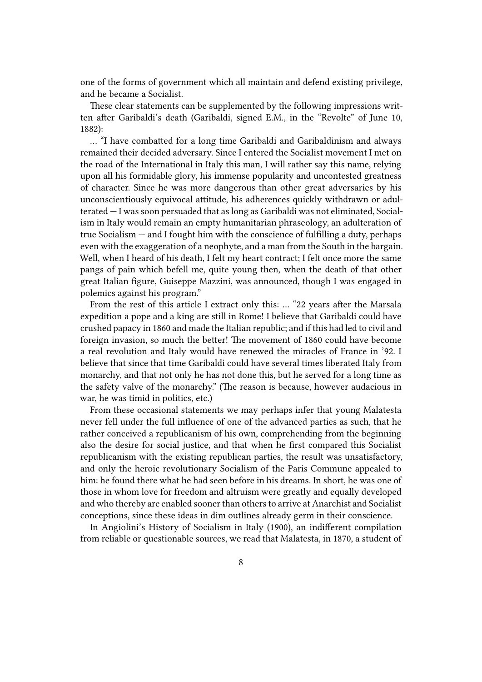one of the forms of government which all maintain and defend existing privilege, and he became a Socialist.

These clear statements can be supplemented by the following impressions written after Garibaldi's death (Garibaldi, signed E.M., in the "Revolte" of June 10, 1882):

… "I have combatted for a long time Garibaldi and Garibaldinism and always remained their decided adversary. Since I entered the Socialist movement I met on the road of the International in Italy this man, I will rather say this name, relying upon all his formidable glory, his immense popularity and uncontested greatness of character. Since he was more dangerous than other great adversaries by his unconscientiously equivocal attitude, his adherences quickly withdrawn or adulterated — I was soon persuaded that as long as Garibaldi was not eliminated, Socialism in Italy would remain an empty humanitarian phraseology, an adulteration of true Socialism — and I fought him with the conscience of fulfilling a duty, perhaps even with the exaggeration of a neophyte, and a man from the South in the bargain. Well, when I heard of his death, I felt my heart contract; I felt once more the same pangs of pain which befell me, quite young then, when the death of that other great Italian figure, Guiseppe Mazzini, was announced, though I was engaged in polemics against his program."

From the rest of this article I extract only this: … "22 years after the Marsala expedition a pope and a king are still in Rome! I believe that Garibaldi could have crushed papacy in 1860 and made the Italian republic; and if this had led to civil and foreign invasion, so much the better! The movement of 1860 could have become a real revolution and Italy would have renewed the miracles of France in '92. I believe that since that time Garibaldi could have several times liberated Italy from monarchy, and that not only he has not done this, but he served for a long time as the safety valve of the monarchy." (The reason is because, however audacious in war, he was timid in politics, etc.)

From these occasional statements we may perhaps infer that young Malatesta never fell under the full influence of one of the advanced parties as such, that he rather conceived a republicanism of his own, comprehending from the beginning also the desire for social justice, and that when he first compared this Socialist republicanism with the existing republican parties, the result was unsatisfactory, and only the heroic revolutionary Socialism of the Paris Commune appealed to him: he found there what he had seen before in his dreams. In short, he was one of those in whom love for freedom and altruism were greatly and equally developed and who thereby are enabled sooner than others to arrive at Anarchist and Socialist conceptions, since these ideas in dim outlines already germ in their conscience.

In Angiolini's History of Socialism in Italy (1900), an indifferent compilation from reliable or questionable sources, we read that Malatesta, in 1870, a student of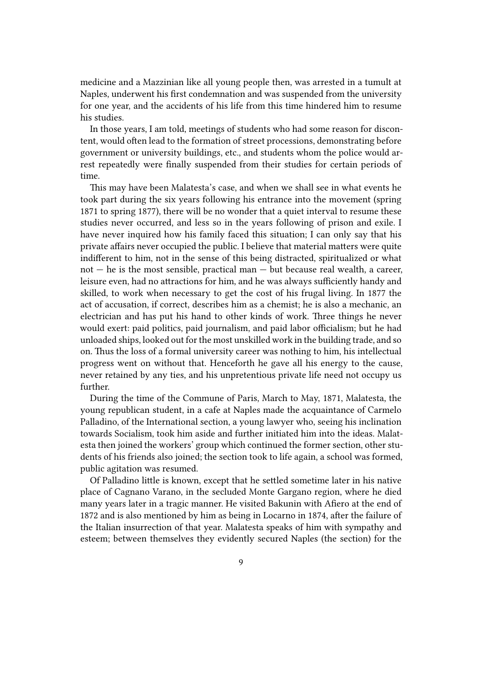medicine and a Mazzinian like all young people then, was arrested in a tumult at Naples, underwent his first condemnation and was suspended from the university for one year, and the accidents of his life from this time hindered him to resume his studies.

In those years, I am told, meetings of students who had some reason for discontent, would often lead to the formation of street processions, demonstrating before government or university buildings, etc., and students whom the police would arrest repeatedly were finally suspended from their studies for certain periods of time.

This may have been Malatesta's case, and when we shall see in what events he took part during the six years following his entrance into the movement (spring 1871 to spring 1877), there will be no wonder that a quiet interval to resume these studies never occurred, and less so in the years following of prison and exile. I have never inquired how his family faced this situation; I can only say that his private affairs never occupied the public. I believe that material matters were quite indifferent to him, not in the sense of this being distracted, spiritualized or what  $not - he$  is the most sensible, practical man  $-$  but because real wealth, a career, leisure even, had no attractions for him, and he was always sufficiently handy and skilled, to work when necessary to get the cost of his frugal living. In 1877 the act of accusation, if correct, describes him as a chemist; he is also a mechanic, an electrician and has put his hand to other kinds of work. Three things he never would exert: paid politics, paid journalism, and paid labor officialism; but he had unloaded ships, looked out for the most unskilled work in the building trade, and so on. Thus the loss of a formal university career was nothing to him, his intellectual progress went on without that. Henceforth he gave all his energy to the cause, never retained by any ties, and his unpretentious private life need not occupy us further.

During the time of the Commune of Paris, March to May, 1871, Malatesta, the young republican student, in a cafe at Naples made the acquaintance of Carmelo Palladino, of the International section, a young lawyer who, seeing his inclination towards Socialism, took him aside and further initiated him into the ideas. Malatesta then joined the workers' group which continued the former section, other students of his friends also joined; the section took to life again, a school was formed, public agitation was resumed.

Of Palladino little is known, except that he settled sometime later in his native place of Cagnano Varano, in the secluded Monte Gargano region, where he died many years later in a tragic manner. He visited Bakunin with Afiero at the end of 1872 and is also mentioned by him as being in Locarno in 1874, after the failure of the Italian insurrection of that year. Malatesta speaks of him with sympathy and esteem; between themselves they evidently secured Naples (the section) for the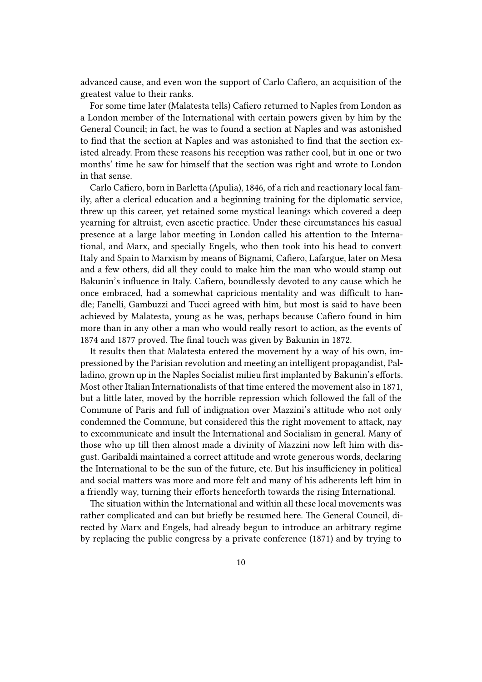advanced cause, and even won the support of Carlo Cafiero, an acquisition of the greatest value to their ranks.

For some time later (Malatesta tells) Cafiero returned to Naples from London as a London member of the International with certain powers given by him by the General Council; in fact, he was to found a section at Naples and was astonished to find that the section at Naples and was astonished to find that the section existed already. From these reasons his reception was rather cool, but in one or two months' time he saw for himself that the section was right and wrote to London in that sense.

Carlo Cafiero, born in Barletta (Apulia), 1846, of a rich and reactionary local family, after a clerical education and a beginning training for the diplomatic service, threw up this career, yet retained some mystical leanings which covered a deep yearning for altruist, even ascetic practice. Under these circumstances his casual presence at a large labor meeting in London called his attention to the International, and Marx, and specially Engels, who then took into his head to convert Italy and Spain to Marxism by means of Bignami, Cafiero, Lafargue, later on Mesa and a few others, did all they could to make him the man who would stamp out Bakunin's influence in Italy. Cafiero, boundlessly devoted to any cause which he once embraced, had a somewhat capricious mentality and was difficult to handle; Fanelli, Gambuzzi and Tucci agreed with him, but most is said to have been achieved by Malatesta, young as he was, perhaps because Cafiero found in him more than in any other a man who would really resort to action, as the events of 1874 and 1877 proved. The final touch was given by Bakunin in 1872.

It results then that Malatesta entered the movement by a way of his own, impressioned by the Parisian revolution and meeting an intelligent propagandist, Palladino, grown up in the Naples Socialist milieu first implanted by Bakunin's efforts. Most other Italian Internationalists of that time entered the movement also in 1871, but a little later, moved by the horrible repression which followed the fall of the Commune of Paris and full of indignation over Mazzini's attitude who not only condemned the Commune, but considered this the right movement to attack, nay to excommunicate and insult the International and Socialism in general. Many of those who up till then almost made a divinity of Mazzini now left him with disgust. Garibaldi maintained a correct attitude and wrote generous words, declaring the International to be the sun of the future, etc. But his insufficiency in political and social matters was more and more felt and many of his adherents left him in a friendly way, turning their efforts henceforth towards the rising International.

The situation within the International and within all these local movements was rather complicated and can but briefly be resumed here. The General Council, directed by Marx and Engels, had already begun to introduce an arbitrary regime by replacing the public congress by a private conference (1871) and by trying to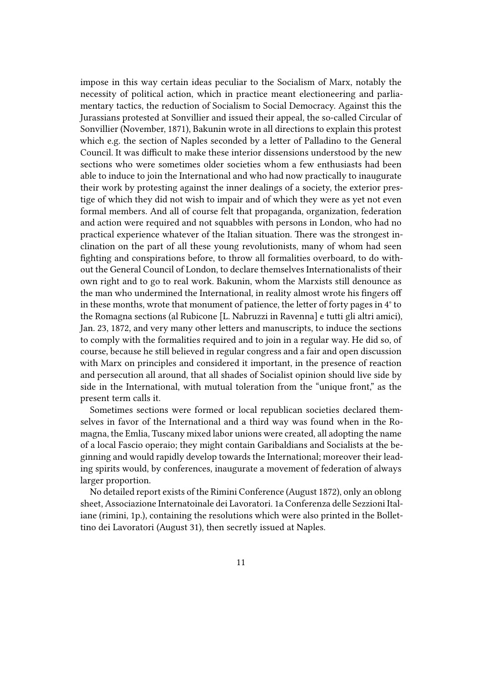impose in this way certain ideas peculiar to the Socialism of Marx, notably the necessity of political action, which in practice meant electioneering and parliamentary tactics, the reduction of Socialism to Social Democracy. Against this the Jurassians protested at Sonvillier and issued their appeal, the so-called Circular of Sonvillier (November, 1871), Bakunin wrote in all directions to explain this protest which e.g. the section of Naples seconded by a letter of Palladino to the General Council. It was difficult to make these interior dissensions understood by the new sections who were sometimes older societies whom a few enthusiasts had been able to induce to join the International and who had now practically to inaugurate their work by protesting against the inner dealings of a society, the exterior prestige of which they did not wish to impair and of which they were as yet not even formal members. And all of course felt that propaganda, organization, federation and action were required and not squabbles with persons in London, who had no practical experience whatever of the Italian situation. There was the strongest inclination on the part of all these young revolutionists, many of whom had seen fighting and conspirations before, to throw all formalities overboard, to do without the General Council of London, to declare themselves Internationalists of their own right and to go to real work. Bakunin, whom the Marxists still denounce as the man who undermined the International, in reality almost wrote his fingers off in these months, wrote that monument of patience, the letter of forty pages in 4° to the Romagna sections (al Rubicone [L. Nabruzzi in Ravenna] e tutti gli altri amici), Jan. 23, 1872, and very many other letters and manuscripts, to induce the sections to comply with the formalities required and to join in a regular way. He did so, of course, because he still believed in regular congress and a fair and open discussion with Marx on principles and considered it important, in the presence of reaction and persecution all around, that all shades of Socialist opinion should live side by side in the International, with mutual toleration from the "unique front," as the present term calls it.

Sometimes sections were formed or local republican societies declared themselves in favor of the International and a third way was found when in the Romagna, the Emlia, Tuscany mixed labor unions were created, all adopting the name of a local Fascio operaio; they might contain Garibaldians and Socialists at the beginning and would rapidly develop towards the International; moreover their leading spirits would, by conferences, inaugurate a movement of federation of always larger proportion.

No detailed report exists of the Rimini Conference (August 1872), only an oblong sheet, Associazione Internatoinale dei Lavoratori. 1a Conferenza delle Sezzioni Italiane (rimini, 1p.), containing the resolutions which were also printed in the Bollettino dei Lavoratori (August 31), then secretly issued at Naples.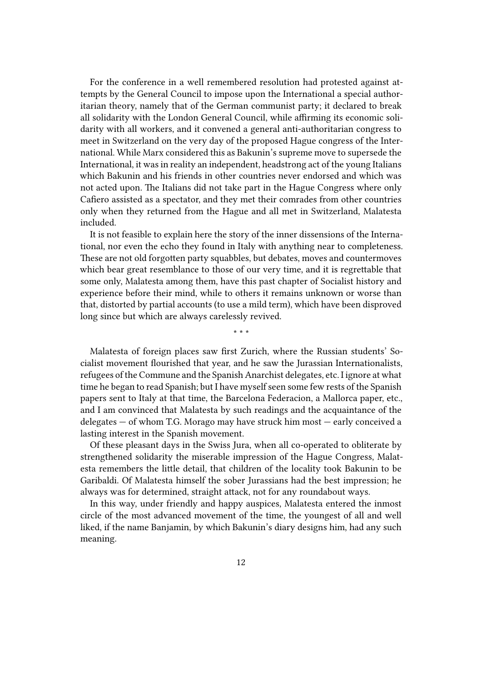For the conference in a well remembered resolution had protested against attempts by the General Council to impose upon the International a special authoritarian theory, namely that of the German communist party; it declared to break all solidarity with the London General Council, while affirming its economic solidarity with all workers, and it convened a general anti-authoritarian congress to meet in Switzerland on the very day of the proposed Hague congress of the International. While Marx considered this as Bakunin's supreme move to supersede the International, it was in reality an independent, headstrong act of the young Italians which Bakunin and his friends in other countries never endorsed and which was not acted upon. The Italians did not take part in the Hague Congress where only Cafiero assisted as a spectator, and they met their comrades from other countries only when they returned from the Hague and all met in Switzerland, Malatesta included.

It is not feasible to explain here the story of the inner dissensions of the International, nor even the echo they found in Italy with anything near to completeness. These are not old forgotten party squabbles, but debates, moves and countermoves which bear great resemblance to those of our very time, and it is regrettable that some only, Malatesta among them, have this past chapter of Socialist history and experience before their mind, while to others it remains unknown or worse than that, distorted by partial accounts (to use a mild term), which have been disproved long since but which are always carelessly revived.

\* \* \*

Malatesta of foreign places saw first Zurich, where the Russian students' Socialist movement flourished that year, and he saw the Jurassian Internationalists, refugees of the Commune and the Spanish Anarchist delegates, etc. I ignore at what time he began to read Spanish; but I have myself seen some few rests of the Spanish papers sent to Italy at that time, the Barcelona Federacion, a Mallorca paper, etc., and I am convinced that Malatesta by such readings and the acquaintance of the delegates — of whom T.G. Morago may have struck him most — early conceived a lasting interest in the Spanish movement.

Of these pleasant days in the Swiss Jura, when all co-operated to obliterate by strengthened solidarity the miserable impression of the Hague Congress, Malatesta remembers the little detail, that children of the locality took Bakunin to be Garibaldi. Of Malatesta himself the sober Jurassians had the best impression; he always was for determined, straight attack, not for any roundabout ways.

In this way, under friendly and happy auspices, Malatesta entered the inmost circle of the most advanced movement of the time, the youngest of all and well liked, if the name Banjamin, by which Bakunin's diary designs him, had any such meaning.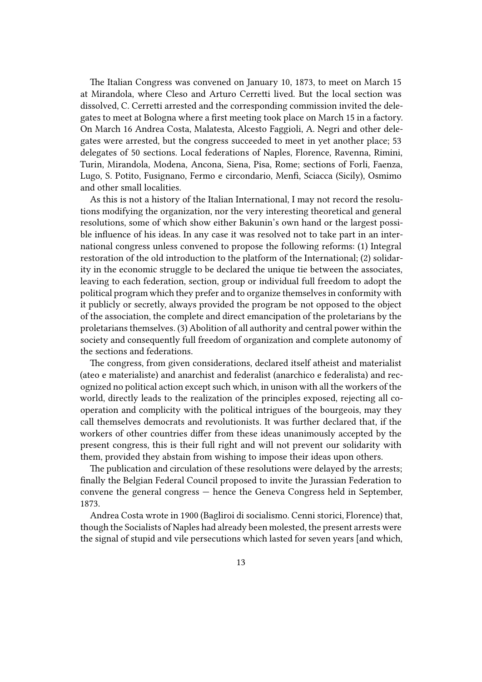The Italian Congress was convened on January 10, 1873, to meet on March 15 at Mirandola, where Cleso and Arturo Cerretti lived. But the local section was dissolved, C. Cerretti arrested and the corresponding commission invited the delegates to meet at Bologna where a first meeting took place on March 15 in a factory. On March 16 Andrea Costa, Malatesta, Alcesto Faggioli, A. Negri and other delegates were arrested, but the congress succeeded to meet in yet another place; 53 delegates of 50 sections. Local federations of Naples, Florence, Ravenna, Rimini, Turin, Mirandola, Modena, Ancona, Siena, Pisa, Rome; sections of Forli, Faenza, Lugo, S. Potito, Fusignano, Fermo e circondario, Menfi, Sciacca (Sicily), Osmimo and other small localities.

As this is not a history of the Italian International, I may not record the resolutions modifying the organization, nor the very interesting theoretical and general resolutions, some of which show either Bakunin's own hand or the largest possible influence of his ideas. In any case it was resolved not to take part in an international congress unless convened to propose the following reforms: (1) Integral restoration of the old introduction to the platform of the International; (2) solidarity in the economic struggle to be declared the unique tie between the associates, leaving to each federation, section, group or individual full freedom to adopt the political program which they prefer and to organize themselves in conformity with it publicly or secretly, always provided the program be not opposed to the object of the association, the complete and direct emancipation of the proletarians by the proletarians themselves. (3) Abolition of all authority and central power within the society and consequently full freedom of organization and complete autonomy of the sections and federations.

The congress, from given considerations, declared itself atheist and materialist (ateo e materialiste) and anarchist and federalist (anarchico e federalista) and recognized no political action except such which, in unison with all the workers of the world, directly leads to the realization of the principles exposed, rejecting all cooperation and complicity with the political intrigues of the bourgeois, may they call themselves democrats and revolutionists. It was further declared that, if the workers of other countries differ from these ideas unanimously accepted by the present congress, this is their full right and will not prevent our solidarity with them, provided they abstain from wishing to impose their ideas upon others.

The publication and circulation of these resolutions were delayed by the arrests; finally the Belgian Federal Council proposed to invite the Jurassian Federation to convene the general congress — hence the Geneva Congress held in September, 1873.

Andrea Costa wrote in 1900 (Bagliroi di socialismo. Cenni storici, Florence) that, though the Socialists of Naples had already been molested, the present arrests were the signal of stupid and vile persecutions which lasted for seven years [and which,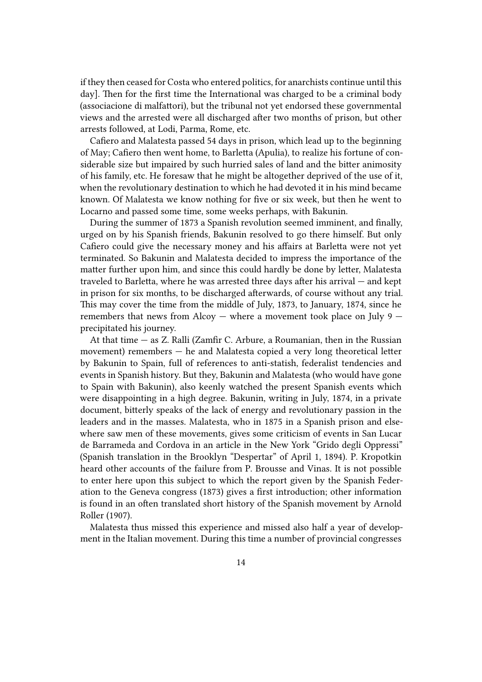if they then ceased for Costa who entered politics, for anarchists continue until this day]. Then for the first time the International was charged to be a criminal body (associacione di malfattori), but the tribunal not yet endorsed these governmental views and the arrested were all discharged after two months of prison, but other arrests followed, at Lodi, Parma, Rome, etc.

Cafiero and Malatesta passed 54 days in prison, which lead up to the beginning of May; Cafiero then went home, to Barletta (Apulia), to realize his fortune of considerable size but impaired by such hurried sales of land and the bitter animosity of his family, etc. He foresaw that he might be altogether deprived of the use of it, when the revolutionary destination to which he had devoted it in his mind became known. Of Malatesta we know nothing for five or six week, but then he went to Locarno and passed some time, some weeks perhaps, with Bakunin.

During the summer of 1873 a Spanish revolution seemed imminent, and finally, urged on by his Spanish friends, Bakunin resolved to go there himself. But only Cafiero could give the necessary money and his affairs at Barletta were not yet terminated. So Bakunin and Malatesta decided to impress the importance of the matter further upon him, and since this could hardly be done by letter, Malatesta traveled to Barletta, where he was arrested three days after his arrival — and kept in prison for six months, to be discharged afterwards, of course without any trial. This may cover the time from the middle of July, 1873, to January, 1874, since he remembers that news from Alcoy  $-$  where a movement took place on July 9  $$ precipitated his journey.

At that time — as Z. Ralli (Zamfir C. Arbure, a Roumanian, then in the Russian movement) remembers — he and Malatesta copied a very long theoretical letter by Bakunin to Spain, full of references to anti-statish, federalist tendencies and events in Spanish history. But they, Bakunin and Malatesta (who would have gone to Spain with Bakunin), also keenly watched the present Spanish events which were disappointing in a high degree. Bakunin, writing in July, 1874, in a private document, bitterly speaks of the lack of energy and revolutionary passion in the leaders and in the masses. Malatesta, who in 1875 in a Spanish prison and elsewhere saw men of these movements, gives some criticism of events in San Lucar de Barrameda and Cordova in an article in the New York "Grido degli Oppressi" (Spanish translation in the Brooklyn "Despertar" of April 1, 1894). P. Kropotkin heard other accounts of the failure from P. Brousse and Vinas. It is not possible to enter here upon this subject to which the report given by the Spanish Federation to the Geneva congress (1873) gives a first introduction; other information is found in an often translated short history of the Spanish movement by Arnold Roller (1907).

Malatesta thus missed this experience and missed also half a year of development in the Italian movement. During this time a number of provincial congresses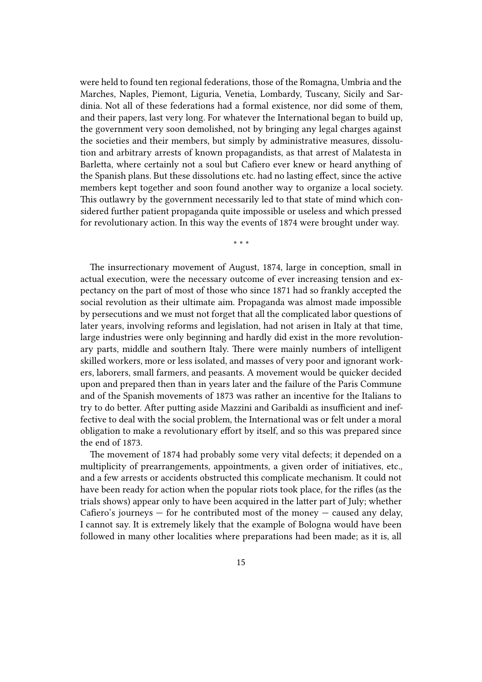were held to found ten regional federations, those of the Romagna, Umbria and the Marches, Naples, Piemont, Liguria, Venetia, Lombardy, Tuscany, Sicily and Sardinia. Not all of these federations had a formal existence, nor did some of them, and their papers, last very long. For whatever the International began to build up, the government very soon demolished, not by bringing any legal charges against the societies and their members, but simply by administrative measures, dissolution and arbitrary arrests of known propagandists, as that arrest of Malatesta in Barletta, where certainly not a soul but Cafiero ever knew or heard anything of the Spanish plans. But these dissolutions etc. had no lasting effect, since the active members kept together and soon found another way to organize a local society. This outlawry by the government necessarily led to that state of mind which considered further patient propaganda quite impossible or useless and which pressed for revolutionary action. In this way the events of 1874 were brought under way.

\* \* \*

The insurrectionary movement of August, 1874, large in conception, small in actual execution, were the necessary outcome of ever increasing tension and expectancy on the part of most of those who since 1871 had so frankly accepted the social revolution as their ultimate aim. Propaganda was almost made impossible by persecutions and we must not forget that all the complicated labor questions of later years, involving reforms and legislation, had not arisen in Italy at that time, large industries were only beginning and hardly did exist in the more revolutionary parts, middle and southern Italy. There were mainly numbers of intelligent skilled workers, more or less isolated, and masses of very poor and ignorant workers, laborers, small farmers, and peasants. A movement would be quicker decided upon and prepared then than in years later and the failure of the Paris Commune and of the Spanish movements of 1873 was rather an incentive for the Italians to try to do better. After putting aside Mazzini and Garibaldi as insufficient and ineffective to deal with the social problem, the International was or felt under a moral obligation to make a revolutionary effort by itself, and so this was prepared since the end of 1873.

The movement of 1874 had probably some very vital defects; it depended on a multiplicity of prearrangements, appointments, a given order of initiatives, etc., and a few arrests or accidents obstructed this complicate mechanism. It could not have been ready for action when the popular riots took place, for the rifles (as the trials shows) appear only to have been acquired in the latter part of July; whether Cafiero's journeys  $-$  for he contributed most of the money  $-$  caused any delay, I cannot say. It is extremely likely that the example of Bologna would have been followed in many other localities where preparations had been made; as it is, all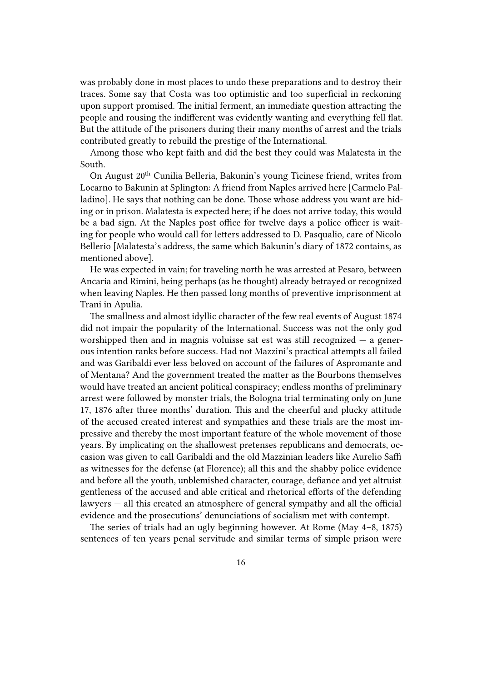was probably done in most places to undo these preparations and to destroy their traces. Some say that Costa was too optimistic and too superficial in reckoning upon support promised. The initial ferment, an immediate question attracting the people and rousing the indifferent was evidently wanting and everything fell flat. But the attitude of the prisoners during their many months of arrest and the trials contributed greatly to rebuild the prestige of the International.

Among those who kept faith and did the best they could was Malatesta in the South.

On August 20<sup>th</sup> Cunilia Belleria, Bakunin's young Ticinese friend, writes from Locarno to Bakunin at Splington: A friend from Naples arrived here [Carmelo Palladino]. He says that nothing can be done. Those whose address you want are hiding or in prison. Malatesta is expected here; if he does not arrive today, this would be a bad sign. At the Naples post office for twelve days a police officer is waiting for people who would call for letters addressed to D. Pasqualio, care of Nicolo Bellerio [Malatesta's address, the same which Bakunin's diary of 1872 contains, as mentioned above].

He was expected in vain; for traveling north he was arrested at Pesaro, between Ancaria and Rimini, being perhaps (as he thought) already betrayed or recognized when leaving Naples. He then passed long months of preventive imprisonment at Trani in Apulia.

The smallness and almost idyllic character of the few real events of August 1874 did not impair the popularity of the International. Success was not the only god worshipped then and in magnis voluisse sat est was still recognized  $-$  a generous intention ranks before success. Had not Mazzini's practical attempts all failed and was Garibaldi ever less beloved on account of the failures of Aspromante and of Mentana? And the government treated the matter as the Bourbons themselves would have treated an ancient political conspiracy; endless months of preliminary arrest were followed by monster trials, the Bologna trial terminating only on June 17, 1876 after three months' duration. This and the cheerful and plucky attitude of the accused created interest and sympathies and these trials are the most impressive and thereby the most important feature of the whole movement of those years. By implicating on the shallowest pretenses republicans and democrats, occasion was given to call Garibaldi and the old Mazzinian leaders like Aurelio Saffi as witnesses for the defense (at Florence); all this and the shabby police evidence and before all the youth, unblemished character, courage, defiance and yet altruist gentleness of the accused and able critical and rhetorical efforts of the defending lawyers — all this created an atmosphere of general sympathy and all the official evidence and the prosecutions' denunciations of socialism met with contempt.

The series of trials had an ugly beginning however. At Rome (May 4–8, 1875) sentences of ten years penal servitude and similar terms of simple prison were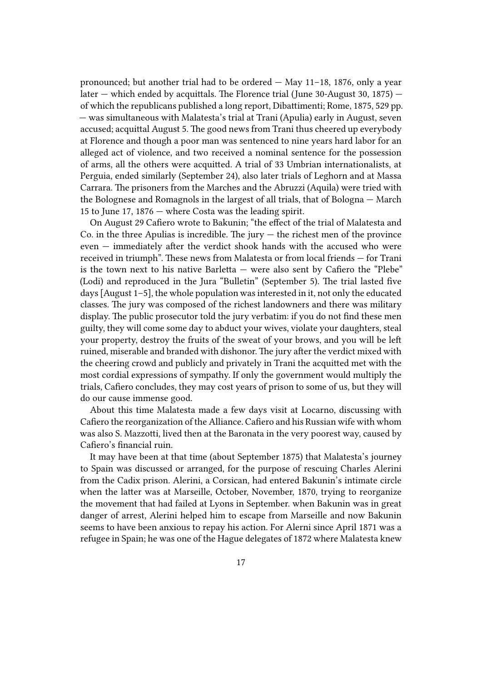pronounced; but another trial had to be ordered — May 11–18, 1876, only a year later — which ended by acquittals. The Florence trial (June 30-August 30, 1875) of which the republicans published a long report, Dibattimenti; Rome, 1875, 529 pp. — was simultaneous with Malatesta's trial at Trani (Apulia) early in August, seven accused; acquittal August 5. The good news from Trani thus cheered up everybody at Florence and though a poor man was sentenced to nine years hard labor for an alleged act of violence, and two received a nominal sentence for the possession of arms, all the others were acquitted. A trial of 33 Umbrian internationalists, at Perguia, ended similarly (September 24), also later trials of Leghorn and at Massa Carrara. The prisoners from the Marches and the Abruzzi (Aquila) were tried with the Bolognese and Romagnols in the largest of all trials, that of Bologna — March 15 to June 17, 1876 — where Costa was the leading spirit.

On August 29 Cafiero wrote to Bakunin; "the effect of the trial of Malatesta and  $Co.$  in the three Apulias is incredible. The jury  $-$  the richest men of the province even — immediately after the verdict shook hands with the accused who were received in triumph". These news from Malatesta or from local friends — for Trani is the town next to his native Barletta — were also sent by Cafiero the "Plebe" (Lodi) and reproduced in the Jura "Bulletin" (September 5). The trial lasted five days [August 1–5], the whole population was interested in it, not only the educated classes. The jury was composed of the richest landowners and there was military display. The public prosecutor told the jury verbatim: if you do not find these men guilty, they will come some day to abduct your wives, violate your daughters, steal your property, destroy the fruits of the sweat of your brows, and you will be left ruined, miserable and branded with dishonor. The jury after the verdict mixed with the cheering crowd and publicly and privately in Trani the acquitted met with the most cordial expressions of sympathy. If only the government would multiply the trials, Cafiero concludes, they may cost years of prison to some of us, but they will do our cause immense good.

About this time Malatesta made a few days visit at Locarno, discussing with Cafiero the reorganization of the Alliance. Cafiero and his Russian wife with whom was also S. Mazzotti, lived then at the Baronata in the very poorest way, caused by Cafiero's financial ruin.

It may have been at that time (about September 1875) that Malatesta's journey to Spain was discussed or arranged, for the purpose of rescuing Charles Alerini from the Cadix prison. Alerini, a Corsican, had entered Bakunin's intimate circle when the latter was at Marseille, October, November, 1870, trying to reorganize the movement that had failed at Lyons in September. when Bakunin was in great danger of arrest, Alerini helped him to escape from Marseille and now Bakunin seems to have been anxious to repay his action. For Alerni since April 1871 was a refugee in Spain; he was one of the Hague delegates of 1872 where Malatesta knew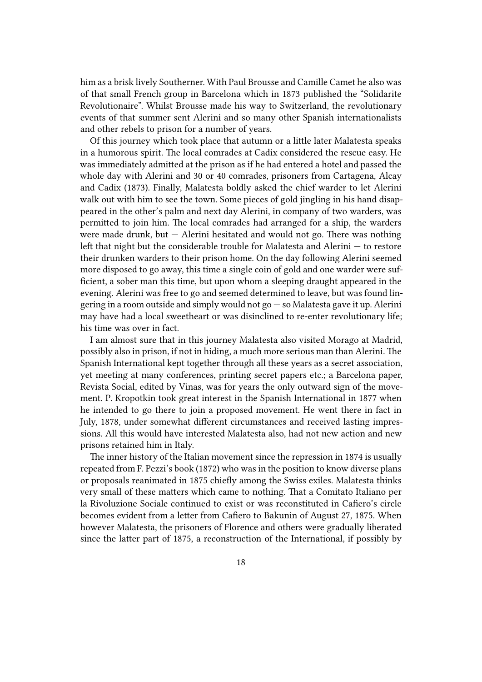him as a brisk lively Southerner. With Paul Brousse and Camille Camet he also was of that small French group in Barcelona which in 1873 published the "Solidarite Revolutionaire". Whilst Brousse made his way to Switzerland, the revolutionary events of that summer sent Alerini and so many other Spanish internationalists and other rebels to prison for a number of years.

Of this journey which took place that autumn or a little later Malatesta speaks in a humorous spirit. The local comrades at Cadix considered the rescue easy. He was immediately admitted at the prison as if he had entered a hotel and passed the whole day with Alerini and 30 or 40 comrades, prisoners from Cartagena, Alcay and Cadix (1873). Finally, Malatesta boldly asked the chief warder to let Alerini walk out with him to see the town. Some pieces of gold jingling in his hand disappeared in the other's palm and next day Alerini, in company of two warders, was permitted to join him. The local comrades had arranged for a ship, the warders were made drunk, but  $-$  Alerini hesitated and would not go. There was nothing left that night but the considerable trouble for Malatesta and Alerini — to restore their drunken warders to their prison home. On the day following Alerini seemed more disposed to go away, this time a single coin of gold and one warder were sufficient, a sober man this time, but upon whom a sleeping draught appeared in the evening. Alerini was free to go and seemed determined to leave, but was found lingering in a room outside and simply would not  $g_0$  – so Malatesta gave it up. Alerini may have had a local sweetheart or was disinclined to re-enter revolutionary life; his time was over in fact.

I am almost sure that in this journey Malatesta also visited Morago at Madrid, possibly also in prison, if not in hiding, a much more serious man than Alerini. The Spanish International kept together through all these years as a secret association, yet meeting at many conferences, printing secret papers etc.; a Barcelona paper, Revista Social, edited by Vinas, was for years the only outward sign of the movement. P. Kropotkin took great interest in the Spanish International in 1877 when he intended to go there to join a proposed movement. He went there in fact in July, 1878, under somewhat different circumstances and received lasting impressions. All this would have interested Malatesta also, had not new action and new prisons retained him in Italy.

The inner history of the Italian movement since the repression in 1874 is usually repeated from F. Pezzi's book (1872) who was in the position to know diverse plans or proposals reanimated in 1875 chiefly among the Swiss exiles. Malatesta thinks very small of these matters which came to nothing. That a Comitato Italiano per la Rivoluzione Sociale continued to exist or was reconstituted in Cafiero's circle becomes evident from a letter from Cafiero to Bakunin of August 27, 1875. When however Malatesta, the prisoners of Florence and others were gradually liberated since the latter part of 1875, a reconstruction of the International, if possibly by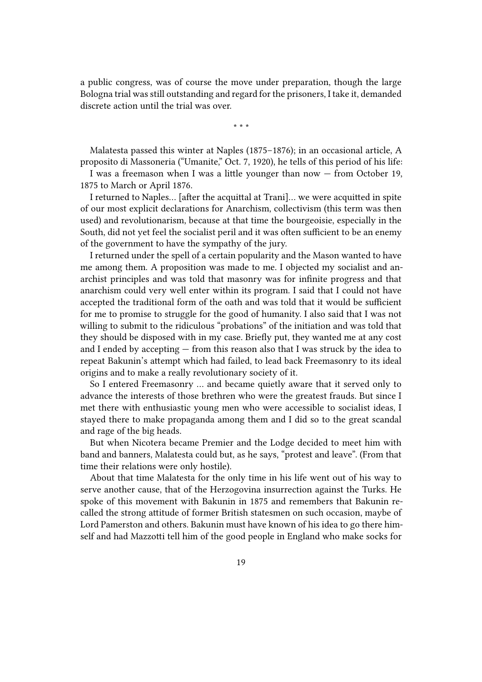a public congress, was of course the move under preparation, though the large Bologna trial was still outstanding and regard for the prisoners, I take it, demanded discrete action until the trial was over.

\* \* \*

Malatesta passed this winter at Naples (1875–1876); in an occasional article, A proposito di Massoneria ("Umanite," Oct. 7, 1920), he tells of this period of his life:

I was a freemason when I was a little younger than now — from October 19, 1875 to March or April 1876.

I returned to Naples… [after the acquittal at Trani]… we were acquitted in spite of our most explicit declarations for Anarchism, collectivism (this term was then used) and revolutionarism, because at that time the bourgeoisie, especially in the South, did not yet feel the socialist peril and it was often sufficient to be an enemy of the government to have the sympathy of the jury.

I returned under the spell of a certain popularity and the Mason wanted to have me among them. A proposition was made to me. I objected my socialist and anarchist principles and was told that masonry was for infinite progress and that anarchism could very well enter within its program. I said that I could not have accepted the traditional form of the oath and was told that it would be sufficient for me to promise to struggle for the good of humanity. I also said that I was not willing to submit to the ridiculous "probations" of the initiation and was told that they should be disposed with in my case. Briefly put, they wanted me at any cost and I ended by accepting — from this reason also that I was struck by the idea to repeat Bakunin's attempt which had failed, to lead back Freemasonry to its ideal origins and to make a really revolutionary society of it.

So I entered Freemasonry … and became quietly aware that it served only to advance the interests of those brethren who were the greatest frauds. But since I met there with enthusiastic young men who were accessible to socialist ideas, I stayed there to make propaganda among them and I did so to the great scandal and rage of the big heads.

But when Nicotera became Premier and the Lodge decided to meet him with band and banners, Malatesta could but, as he says, "protest and leave". (From that time their relations were only hostile).

About that time Malatesta for the only time in his life went out of his way to serve another cause, that of the Herzogovina insurrection against the Turks. He spoke of this movement with Bakunin in 1875 and remembers that Bakunin recalled the strong attitude of former British statesmen on such occasion, maybe of Lord Pamerston and others. Bakunin must have known of his idea to go there himself and had Mazzotti tell him of the good people in England who make socks for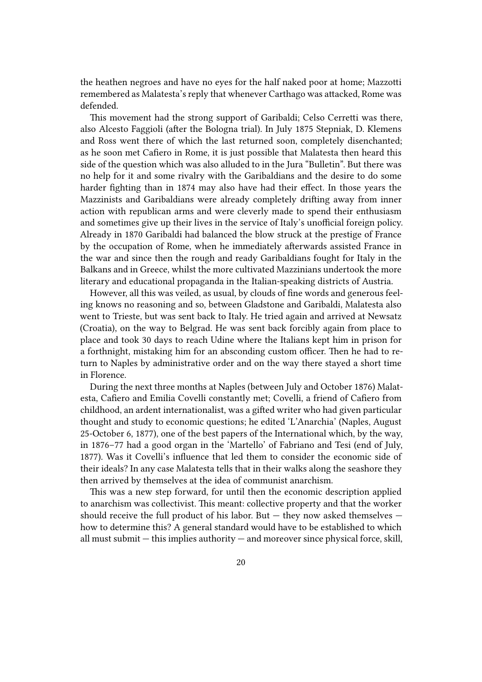the heathen negroes and have no eyes for the half naked poor at home; Mazzotti remembered as Malatesta's reply that whenever Carthago was attacked, Rome was defended.

This movement had the strong support of Garibaldi; Celso Cerretti was there, also Alcesto Faggioli (after the Bologna trial). In July 1875 Stepniak, D. Klemens and Ross went there of which the last returned soon, completely disenchanted; as he soon met Cafiero in Rome, it is just possible that Malatesta then heard this side of the question which was also alluded to in the Jura "Bulletin". But there was no help for it and some rivalry with the Garibaldians and the desire to do some harder fighting than in 1874 may also have had their effect. In those years the Mazzinists and Garibaldians were already completely drifting away from inner action with republican arms and were cleverly made to spend their enthusiasm and sometimes give up their lives in the service of Italy's unofficial foreign policy. Already in 1870 Garibaldi had balanced the blow struck at the prestige of France by the occupation of Rome, when he immediately afterwards assisted France in the war and since then the rough and ready Garibaldians fought for Italy in the Balkans and in Greece, whilst the more cultivated Mazzinians undertook the more literary and educational propaganda in the Italian-speaking districts of Austria.

However, all this was veiled, as usual, by clouds of fine words and generous feeling knows no reasoning and so, between Gladstone and Garibaldi, Malatesta also went to Trieste, but was sent back to Italy. He tried again and arrived at Newsatz (Croatia), on the way to Belgrad. He was sent back forcibly again from place to place and took 30 days to reach Udine where the Italians kept him in prison for a forthnight, mistaking him for an absconding custom officer. Then he had to return to Naples by administrative order and on the way there stayed a short time in Florence.

During the next three months at Naples (between July and October 1876) Malatesta, Cafiero and Emilia Covelli constantly met; Covelli, a friend of Cafiero from childhood, an ardent internationalist, was a gifted writer who had given particular thought and study to economic questions; he edited 'L'Anarchia' (Naples, August 25-October 6, 1877), one of the best papers of the International which, by the way, in 1876–77 had a good organ in the 'Martello' of Fabriano and Tesi (end of July, 1877). Was it Covelli's influence that led them to consider the economic side of their ideals? In any case Malatesta tells that in their walks along the seashore they then arrived by themselves at the idea of communist anarchism.

This was a new step forward, for until then the economic description applied to anarchism was collectivist. This meant: collective property and that the worker should receive the full product of his labor. But  $-$  they now asked themselves  $$ how to determine this? A general standard would have to be established to which all must submit — this implies authority — and moreover since physical force, skill,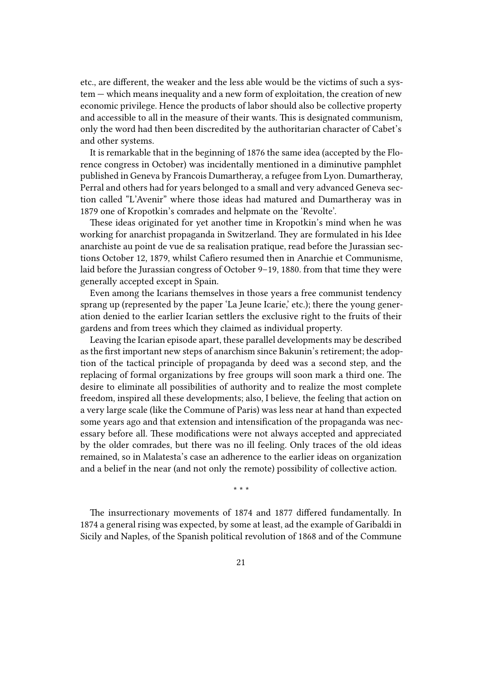etc., are different, the weaker and the less able would be the victims of such a system — which means inequality and a new form of exploitation, the creation of new economic privilege. Hence the products of labor should also be collective property and accessible to all in the measure of their wants. This is designated communism, only the word had then been discredited by the authoritarian character of Cabet's and other systems.

It is remarkable that in the beginning of 1876 the same idea (accepted by the Florence congress in October) was incidentally mentioned in a diminutive pamphlet published in Geneva by Francois Dumartheray, a refugee from Lyon. Dumartheray, Perral and others had for years belonged to a small and very advanced Geneva section called "L'Avenir" where those ideas had matured and Dumartheray was in 1879 one of Kropotkin's comrades and helpmate on the 'Revolte'.

These ideas originated for yet another time in Kropotkin's mind when he was working for anarchist propaganda in Switzerland. They are formulated in his Idee anarchiste au point de vue de sa realisation pratique, read before the Jurassian sections October 12, 1879, whilst Cafiero resumed then in Anarchie et Communisme, laid before the Jurassian congress of October 9–19, 1880. from that time they were generally accepted except in Spain.

Even among the Icarians themselves in those years a free communist tendency sprang up (represented by the paper 'La Jeune Icarie,' etc.); there the young generation denied to the earlier Icarian settlers the exclusive right to the fruits of their gardens and from trees which they claimed as individual property.

Leaving the Icarian episode apart, these parallel developments may be described as the first important new steps of anarchism since Bakunin's retirement; the adoption of the tactical principle of propaganda by deed was a second step, and the replacing of formal organizations by free groups will soon mark a third one. The desire to eliminate all possibilities of authority and to realize the most complete freedom, inspired all these developments; also, I believe, the feeling that action on a very large scale (like the Commune of Paris) was less near at hand than expected some years ago and that extension and intensification of the propaganda was necessary before all. These modifications were not always accepted and appreciated by the older comrades, but there was no ill feeling. Only traces of the old ideas remained, so in Malatesta's case an adherence to the earlier ideas on organization and a belief in the near (and not only the remote) possibility of collective action.

\* \* \*

The insurrectionary movements of 1874 and 1877 differed fundamentally. In 1874 a general rising was expected, by some at least, ad the example of Garibaldi in Sicily and Naples, of the Spanish political revolution of 1868 and of the Commune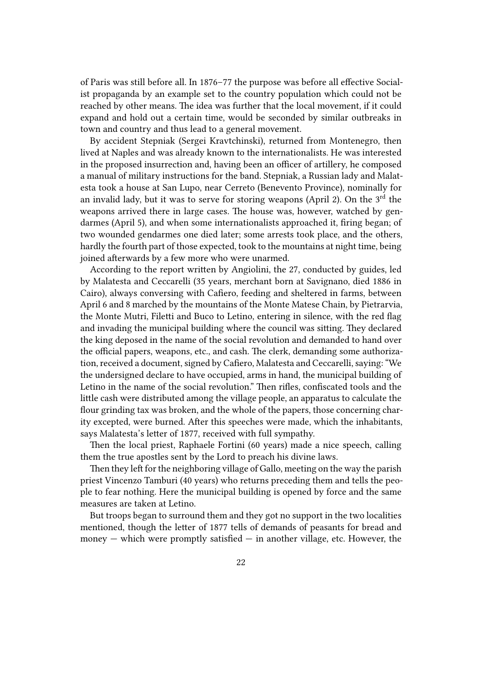of Paris was still before all. In 1876–77 the purpose was before all effective Socialist propaganda by an example set to the country population which could not be reached by other means. The idea was further that the local movement, if it could expand and hold out a certain time, would be seconded by similar outbreaks in town and country and thus lead to a general movement.

By accident Stepniak (Sergei Kravtchinski), returned from Montenegro, then lived at Naples and was already known to the internationalists. He was interested in the proposed insurrection and, having been an officer of artillery, he composed a manual of military instructions for the band. Stepniak, a Russian lady and Malatesta took a house at San Lupo, near Cerreto (Benevento Province), nominally for an invalid lady, but it was to serve for storing weapons (April 2). On the 3<sup>rd</sup> the weapons arrived there in large cases. The house was, however, watched by gendarmes (April 5), and when some internationalists approached it, firing began; of two wounded gendarmes one died later; some arrests took place, and the others, hardly the fourth part of those expected, took to the mountains at night time, being joined afterwards by a few more who were unarmed.

According to the report written by Angiolini, the 27, conducted by guides, led by Malatesta and Ceccarelli (35 years, merchant born at Savignano, died 1886 in Cairo), always conversing with Cafiero, feeding and sheltered in farms, between April 6 and 8 marched by the mountains of the Monte Matese Chain, by Pietrarvia, the Monte Mutri, Filetti and Buco to Letino, entering in silence, with the red flag and invading the municipal building where the council was sitting. They declared the king deposed in the name of the social revolution and demanded to hand over the official papers, weapons, etc., and cash. The clerk, demanding some authorization, received a document, signed by Cafiero, Malatesta and Ceccarelli, saying: "We the undersigned declare to have occupied, arms in hand, the municipal building of Letino in the name of the social revolution." Then rifles, confiscated tools and the little cash were distributed among the village people, an apparatus to calculate the flour grinding tax was broken, and the whole of the papers, those concerning charity excepted, were burned. After this speeches were made, which the inhabitants, says Malatesta's letter of 1877, received with full sympathy.

Then the local priest, Raphaele Fortini (60 years) made a nice speech, calling them the true apostles sent by the Lord to preach his divine laws.

Then they left for the neighboring village of Gallo, meeting on the way the parish priest Vincenzo Tamburi (40 years) who returns preceding them and tells the people to fear nothing. Here the municipal building is opened by force and the same measures are taken at Letino.

But troops began to surround them and they got no support in the two localities mentioned, though the letter of 1877 tells of demands of peasants for bread and money  $-$  which were promptly satisfied  $-$  in another village, etc. However, the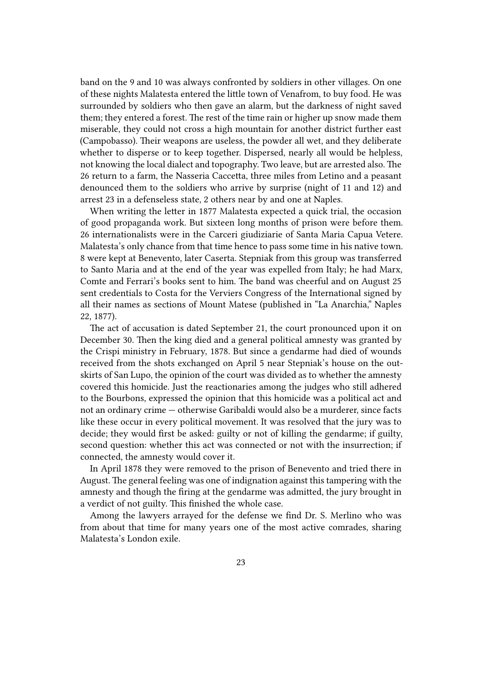band on the 9 and 10 was always confronted by soldiers in other villages. On one of these nights Malatesta entered the little town of Venafrom, to buy food. He was surrounded by soldiers who then gave an alarm, but the darkness of night saved them; they entered a forest. The rest of the time rain or higher up snow made them miserable, they could not cross a high mountain for another district further east (Campobasso). Their weapons are useless, the powder all wet, and they deliberate whether to disperse or to keep together. Dispersed, nearly all would be helpless, not knowing the local dialect and topography. Two leave, but are arrested also. The 26 return to a farm, the Nasseria Caccetta, three miles from Letino and a peasant denounced them to the soldiers who arrive by surprise (night of 11 and 12) and arrest 23 in a defenseless state, 2 others near by and one at Naples.

When writing the letter in 1877 Malatesta expected a quick trial, the occasion of good propaganda work. But sixteen long months of prison were before them. 26 internationalists were in the Carceri giudiziarie of Santa Maria Capua Vetere. Malatesta's only chance from that time hence to pass some time in his native town. 8 were kept at Benevento, later Caserta. Stepniak from this group was transferred to Santo Maria and at the end of the year was expelled from Italy; he had Marx, Comte and Ferrari's books sent to him. The band was cheerful and on August 25 sent credentials to Costa for the Verviers Congress of the International signed by all their names as sections of Mount Matese (published in "La Anarchia," Naples 22, 1877).

The act of accusation is dated September 21, the court pronounced upon it on December 30. Then the king died and a general political amnesty was granted by the Crispi ministry in February, 1878. But since a gendarme had died of wounds received from the shots exchanged on April 5 near Stepniak's house on the outskirts of San Lupo, the opinion of the court was divided as to whether the amnesty covered this homicide. Just the reactionaries among the judges who still adhered to the Bourbons, expressed the opinion that this homicide was a political act and not an ordinary crime — otherwise Garibaldi would also be a murderer, since facts like these occur in every political movement. It was resolved that the jury was to decide; they would first be asked: guilty or not of killing the gendarme; if guilty, second question: whether this act was connected or not with the insurrection; if connected, the amnesty would cover it.

In April 1878 they were removed to the prison of Benevento and tried there in August. The general feeling was one of indignation against this tampering with the amnesty and though the firing at the gendarme was admitted, the jury brought in a verdict of not guilty. This finished the whole case.

Among the lawyers arrayed for the defense we find Dr. S. Merlino who was from about that time for many years one of the most active comrades, sharing Malatesta's London exile.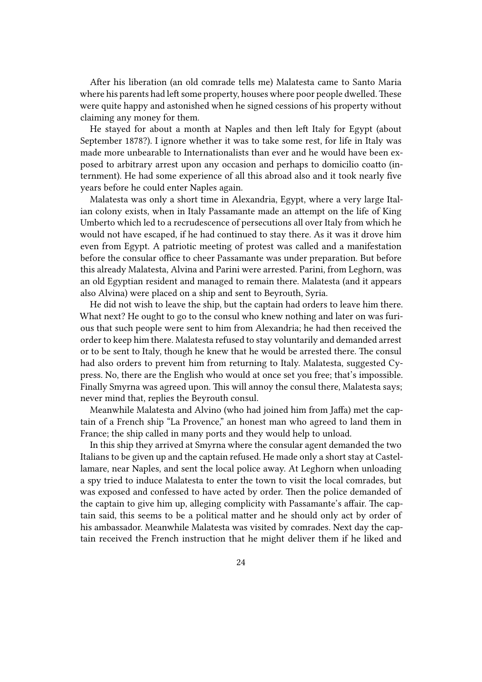After his liberation (an old comrade tells me) Malatesta came to Santo Maria where his parents had left some property, houses where poor people dwelled. These were quite happy and astonished when he signed cessions of his property without claiming any money for them.

He stayed for about a month at Naples and then left Italy for Egypt (about September 1878?). I ignore whether it was to take some rest, for life in Italy was made more unbearable to Internationalists than ever and he would have been exposed to arbitrary arrest upon any occasion and perhaps to domicilio coatto (internment). He had some experience of all this abroad also and it took nearly five years before he could enter Naples again.

Malatesta was only a short time in Alexandria, Egypt, where a very large Italian colony exists, when in Italy Passamante made an attempt on the life of King Umberto which led to a recrudescence of persecutions all over Italy from which he would not have escaped, if he had continued to stay there. As it was it drove him even from Egypt. A patriotic meeting of protest was called and a manifestation before the consular office to cheer Passamante was under preparation. But before this already Malatesta, Alvina and Parini were arrested. Parini, from Leghorn, was an old Egyptian resident and managed to remain there. Malatesta (and it appears also Alvina) were placed on a ship and sent to Beyrouth, Syria.

He did not wish to leave the ship, but the captain had orders to leave him there. What next? He ought to go to the consul who knew nothing and later on was furious that such people were sent to him from Alexandria; he had then received the order to keep him there. Malatesta refused to stay voluntarily and demanded arrest or to be sent to Italy, though he knew that he would be arrested there. The consul had also orders to prevent him from returning to Italy. Malatesta, suggested Cypress. No, there are the English who would at once set you free; that's impossible. Finally Smyrna was agreed upon. This will annoy the consul there, Malatesta says; never mind that, replies the Beyrouth consul.

Meanwhile Malatesta and Alvino (who had joined him from Jaffa) met the captain of a French ship "La Provence," an honest man who agreed to land them in France; the ship called in many ports and they would help to unload.

In this ship they arrived at Smyrna where the consular agent demanded the two Italians to be given up and the captain refused. He made only a short stay at Castellamare, near Naples, and sent the local police away. At Leghorn when unloading a spy tried to induce Malatesta to enter the town to visit the local comrades, but was exposed and confessed to have acted by order. Then the police demanded of the captain to give him up, alleging complicity with Passamante's affair. The captain said, this seems to be a political matter and he should only act by order of his ambassador. Meanwhile Malatesta was visited by comrades. Next day the captain received the French instruction that he might deliver them if he liked and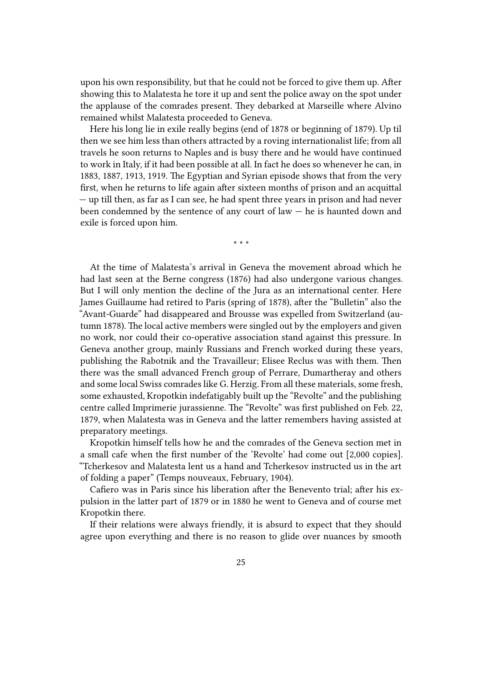upon his own responsibility, but that he could not be forced to give them up. After showing this to Malatesta he tore it up and sent the police away on the spot under the applause of the comrades present. They debarked at Marseille where Alvino remained whilst Malatesta proceeded to Geneva.

Here his long lie in exile really begins (end of 1878 or beginning of 1879). Up til then we see him less than others attracted by a roving internationalist life; from all travels he soon returns to Naples and is busy there and he would have continued to work in Italy, if it had been possible at all. In fact he does so whenever he can, in 1883, 1887, 1913, 1919. The Egyptian and Syrian episode shows that from the very first, when he returns to life again after sixteen months of prison and an acquittal — up till then, as far as I can see, he had spent three years in prison and had never been condemned by the sentence of any court of  $law - he$  is haunted down and exile is forced upon him.

\* \* \*

At the time of Malatesta's arrival in Geneva the movement abroad which he had last seen at the Berne congress (1876) had also undergone various changes. But I will only mention the decline of the Jura as an international center. Here James Guillaume had retired to Paris (spring of 1878), after the "Bulletin" also the "Avant-Guarde" had disappeared and Brousse was expelled from Switzerland (autumn 1878). The local active members were singled out by the employers and given no work, nor could their co-operative association stand against this pressure. In Geneva another group, mainly Russians and French worked during these years, publishing the Rabotnik and the Travailleur; Elisee Reclus was with them. Then there was the small advanced French group of Perrare, Dumartheray and others and some local Swiss comrades like G. Herzig. From all these materials, some fresh, some exhausted, Kropotkin indefatigably built up the "Revolte" and the publishing centre called Imprimerie jurassienne. The "Revolte" was first published on Feb. 22, 1879, when Malatesta was in Geneva and the latter remembers having assisted at preparatory meetings.

Kropotkin himself tells how he and the comrades of the Geneva section met in a small cafe when the first number of the 'Revolte' had come out [2,000 copies]. "Tcherkesov and Malatesta lent us a hand and Tcherkesov instructed us in the art of folding a paper" (Temps nouveaux, February, 1904).

Cafiero was in Paris since his liberation after the Benevento trial; after his expulsion in the latter part of 1879 or in 1880 he went to Geneva and of course met Kropotkin there.

If their relations were always friendly, it is absurd to expect that they should agree upon everything and there is no reason to glide over nuances by smooth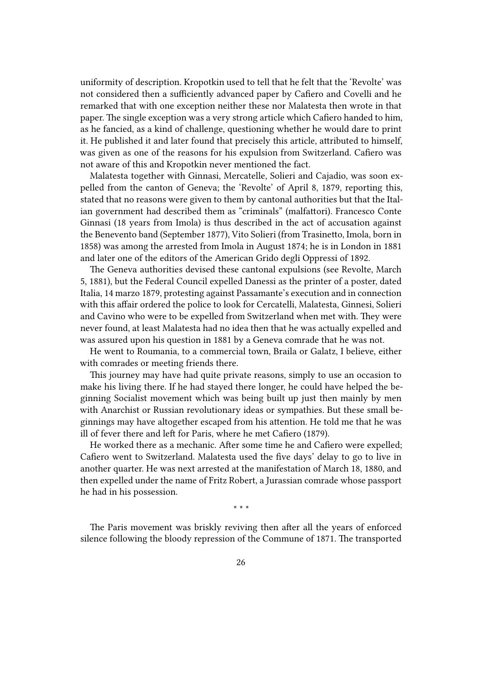uniformity of description. Kropotkin used to tell that he felt that the 'Revolte' was not considered then a sufficiently advanced paper by Cafiero and Covelli and he remarked that with one exception neither these nor Malatesta then wrote in that paper. The single exception was a very strong article which Cafiero handed to him, as he fancied, as a kind of challenge, questioning whether he would dare to print it. He published it and later found that precisely this article, attributed to himself, was given as one of the reasons for his expulsion from Switzerland. Cafiero was not aware of this and Kropotkin never mentioned the fact.

Malatesta together with Ginnasi, Mercatelle, Solieri and Cajadio, was soon expelled from the canton of Geneva; the 'Revolte' of April 8, 1879, reporting this, stated that no reasons were given to them by cantonal authorities but that the Italian government had described them as "criminals" (malfattori). Francesco Conte Ginnasi (18 years from Imola) is thus described in the act of accusation against the Benevento band (September 1877), Vito Solieri (from Trasinetto, Imola, born in 1858) was among the arrested from Imola in August 1874; he is in London in 1881 and later one of the editors of the American Grido degli Oppressi of 1892.

The Geneva authorities devised these cantonal expulsions (see Revolte, March 5, 1881), but the Federal Council expelled Danessi as the printer of a poster, dated Italia, 14 marzo 1879, protesting against Passamante's execution and in connection with this affair ordered the police to look for Cercatelli, Malatesta, Ginnesi, Solieri and Cavino who were to be expelled from Switzerland when met with. They were never found, at least Malatesta had no idea then that he was actually expelled and was assured upon his question in 1881 by a Geneva comrade that he was not.

He went to Roumania, to a commercial town, Braila or Galatz, I believe, either with comrades or meeting friends there.

This journey may have had quite private reasons, simply to use an occasion to make his living there. If he had stayed there longer, he could have helped the beginning Socialist movement which was being built up just then mainly by men with Anarchist or Russian revolutionary ideas or sympathies. But these small beginnings may have altogether escaped from his attention. He told me that he was ill of fever there and left for Paris, where he met Cafiero (1879).

He worked there as a mechanic. After some time he and Cafiero were expelled; Cafiero went to Switzerland. Malatesta used the five days' delay to go to live in another quarter. He was next arrested at the manifestation of March 18, 1880, and then expelled under the name of Fritz Robert, a Jurassian comrade whose passport he had in his possession.

\* \* \*

The Paris movement was briskly reviving then after all the years of enforced silence following the bloody repression of the Commune of 1871. The transported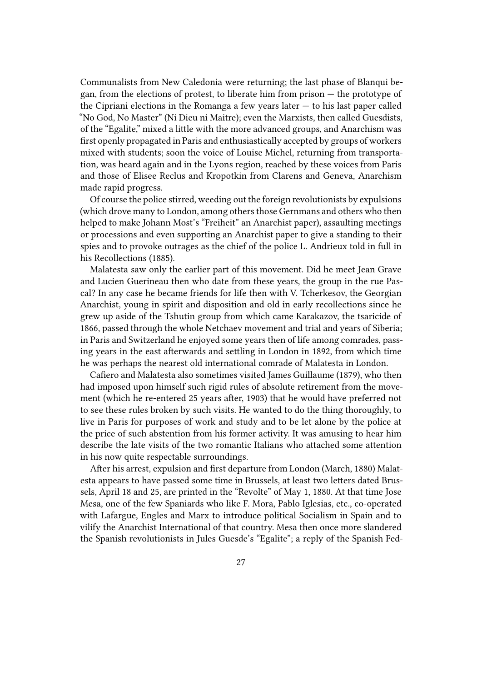Communalists from New Caledonia were returning; the last phase of Blanqui began, from the elections of protest, to liberate him from prison — the prototype of the Cipriani elections in the Romanga a few years later  $-$  to his last paper called "No God, No Master" (Ni Dieu ni Maitre); even the Marxists, then called Guesdists, of the "Egalite," mixed a little with the more advanced groups, and Anarchism was first openly propagated in Paris and enthusiastically accepted by groups of workers mixed with students; soon the voice of Louise Michel, returning from transportation, was heard again and in the Lyons region, reached by these voices from Paris and those of Elisee Reclus and Kropotkin from Clarens and Geneva, Anarchism made rapid progress.

Of course the police stirred, weeding out the foreign revolutionists by expulsions (which drove many to London, among others those Gernmans and others who then helped to make Johann Most's "Freiheit" an Anarchist paper), assaulting meetings or processions and even supporting an Anarchist paper to give a standing to their spies and to provoke outrages as the chief of the police L. Andrieux told in full in his Recollections (1885).

Malatesta saw only the earlier part of this movement. Did he meet Jean Grave and Lucien Guerineau then who date from these years, the group in the rue Pascal? In any case he became friends for life then with V. Tcherkesov, the Georgian Anarchist, young in spirit and disposition and old in early recollections since he grew up aside of the Tshutin group from which came Karakazov, the tsaricide of 1866, passed through the whole Netchaev movement and trial and years of Siberia; in Paris and Switzerland he enjoyed some years then of life among comrades, passing years in the east afterwards and settling in London in 1892, from which time he was perhaps the nearest old international comrade of Malatesta in London.

Cafiero and Malatesta also sometimes visited James Guillaume (1879), who then had imposed upon himself such rigid rules of absolute retirement from the movement (which he re-entered 25 years after, 1903) that he would have preferred not to see these rules broken by such visits. He wanted to do the thing thoroughly, to live in Paris for purposes of work and study and to be let alone by the police at the price of such abstention from his former activity. It was amusing to hear him describe the late visits of the two romantic Italians who attached some attention in his now quite respectable surroundings.

After his arrest, expulsion and first departure from London (March, 1880) Malatesta appears to have passed some time in Brussels, at least two letters dated Brussels, April 18 and 25, are printed in the "Revolte" of May 1, 1880. At that time Jose Mesa, one of the few Spaniards who like F. Mora, Pablo Iglesias, etc., co-operated with Lafargue, Engles and Marx to introduce political Socialism in Spain and to vilify the Anarchist International of that country. Mesa then once more slandered the Spanish revolutionists in Jules Guesde's "Egalite"; a reply of the Spanish Fed-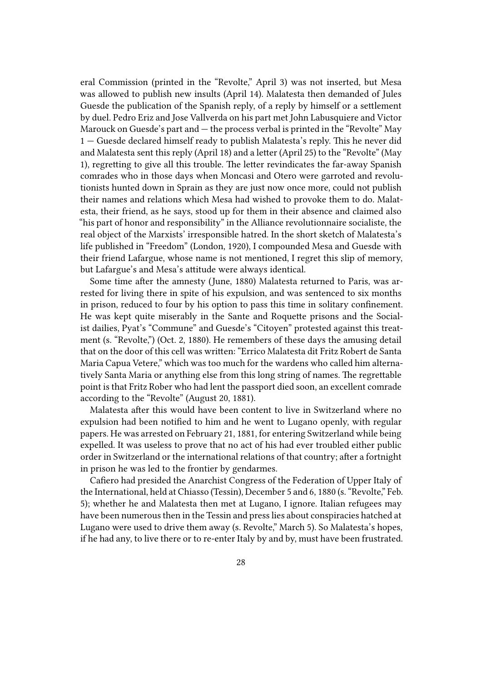eral Commission (printed in the "Revolte," April 3) was not inserted, but Mesa was allowed to publish new insults (April 14). Malatesta then demanded of Jules Guesde the publication of the Spanish reply, of a reply by himself or a settlement by duel. Pedro Eriz and Jose Vallverda on his part met John Labusquiere and Victor Marouck on Guesde's part and — the process verbal is printed in the "Revolte" May 1 — Guesde declared himself ready to publish Malatesta's reply. This he never did and Malatesta sent this reply (April 18) and a letter (April 25) to the "Revolte" (May 1), regretting to give all this trouble. The letter revindicates the far-away Spanish comrades who in those days when Moncasi and Otero were garroted and revolutionists hunted down in Sprain as they are just now once more, could not publish their names and relations which Mesa had wished to provoke them to do. Malatesta, their friend, as he says, stood up for them in their absence and claimed also "his part of honor and responsibility" in the Alliance revolutionnaire socialiste, the real object of the Marxists' irresponsible hatred. In the short sketch of Malatesta's life published in "Freedom" (London, 1920), I compounded Mesa and Guesde with their friend Lafargue, whose name is not mentioned, I regret this slip of memory, but Lafargue's and Mesa's attitude were always identical.

Some time after the amnesty (June, 1880) Malatesta returned to Paris, was arrested for living there in spite of his expulsion, and was sentenced to six months in prison, reduced to four by his option to pass this time in solitary confinement. He was kept quite miserably in the Sante and Roquette prisons and the Socialist dailies, Pyat's "Commune" and Guesde's "Citoyen" protested against this treatment (s. "Revolte,") (Oct. 2, 1880). He remembers of these days the amusing detail that on the door of this cell was written: "Errico Malatesta dit Fritz Robert de Santa Maria Capua Vetere," which was too much for the wardens who called him alternatively Santa Maria or anything else from this long string of names. The regrettable point is that Fritz Rober who had lent the passport died soon, an excellent comrade according to the "Revolte" (August 20, 1881).

Malatesta after this would have been content to live in Switzerland where no expulsion had been notified to him and he went to Lugano openly, with regular papers. He was arrested on February 21, 1881, for entering Switzerland while being expelled. It was useless to prove that no act of his had ever troubled either public order in Switzerland or the international relations of that country; after a fortnight in prison he was led to the frontier by gendarmes.

Cafiero had presided the Anarchist Congress of the Federation of Upper Italy of the International, held at Chiasso (Tessin), December 5 and 6, 1880 (s. "Revolte," Feb. 5); whether he and Malatesta then met at Lugano, I ignore. Italian refugees may have been numerous then in the Tessin and press lies about conspiracies hatched at Lugano were used to drive them away (s. Revolte," March 5). So Malatesta's hopes, if he had any, to live there or to re-enter Italy by and by, must have been frustrated.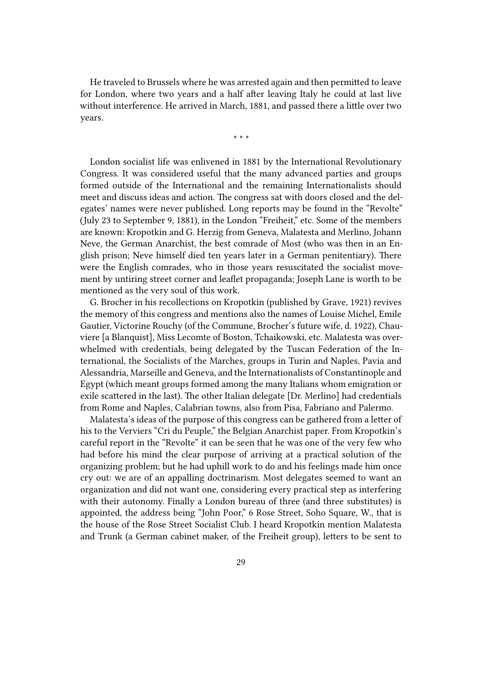He traveled to Brussels where he was arrested again and then permitted to leave for London, where two years and a half after leaving Italy he could at last live without interference. He arrived in March, 1881, and passed there a little over two years.

\* \* \*

London socialist life was enlivened in 1881 by the International Revolutionary Congress. It was considered useful that the many advanced parties and groups formed outside of the International and the remaining Internationalists should meet and discuss ideas and action. The congress sat with doors closed and the delegates' names were never published. Long reports may be found in the "Revolte" (July 23 to September 9, 1881), in the London "Freiheit," etc. Some of the members are known: Kropotkin and G. Herzig from Geneva, Malatesta and Merlino, Johann Neve, the German Anarchist, the best comrade of Most (who was then in an English prison; Neve himself died ten years later in a German penitentiary). There were the English comrades, who in those years resuscitated the socialist movement by untiring street corner and leaflet propaganda; Joseph Lane is worth to be mentioned as the very soul of this work.

G. Brocher in his recollections on Kropotkin (published by Grave, 1921) revives the memory of this congress and mentions also the names of Louise Michel, Emile Gautier, Victorine Rouchy (of the Commune, Brocher's future wife, d. 1922), Chauviere [a Blanquist], Miss Lecomte of Boston, Tchaikowski, etc. Malatesta was overwhelmed with credentials, being delegated by the Tuscan Federation of the International, the Socialists of the Marches, groups in Turin and Naples, Pavia and Alessandria, Marseille and Geneva, and the Internationalists of Constantinople and Egypt (which meant groups formed among the many Italians whom emigration or exile scattered in the last). The other Italian delegate [Dr. Merlino] had credentials from Rome and Naples, Calabrian towns, also from Pisa, Fabriano and Palermo.

Malatesta's ideas of the purpose of this congress can be gathered from a letter of his to the Verviers "Cri du Peuple," the Belgian Anarchist paper. From Kropotkin's careful report in the "Revolte" it can be seen that he was one of the very few who had before his mind the clear purpose of arriving at a practical solution of the organizing problem; but he had uphill work to do and his feelings made him once cry out: we are of an appalling doctrinarism. Most delegates seemed to want an organization and did not want one, considering every practical step as interfering with their autonomy. Finally a London bureau of three (and three substitutes) is appointed, the address being "John Poor," 6 Rose Street, Soho Square, W., that is the house of the Rose Street Socialist Club. I heard Kropotkin mention Malatesta and Trunk (a German cabinet maker, of the Freiheit group), letters to be sent to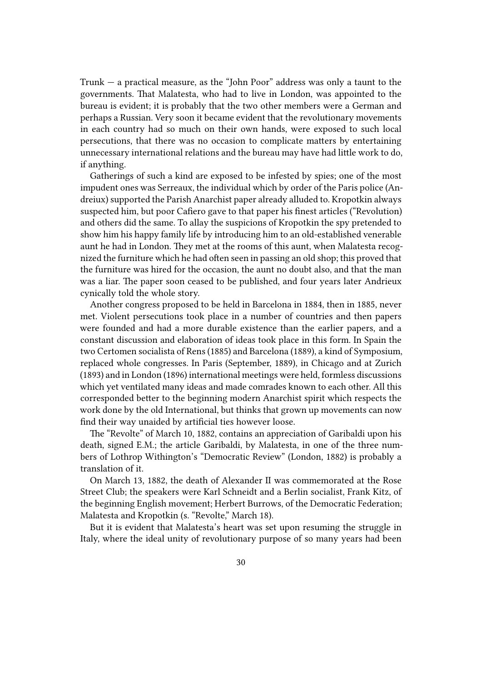Trunk — a practical measure, as the "John Poor" address was only a taunt to the governments. That Malatesta, who had to live in London, was appointed to the bureau is evident; it is probably that the two other members were a German and perhaps a Russian. Very soon it became evident that the revolutionary movements in each country had so much on their own hands, were exposed to such local persecutions, that there was no occasion to complicate matters by entertaining unnecessary international relations and the bureau may have had little work to do, if anything.

Gatherings of such a kind are exposed to be infested by spies; one of the most impudent ones was Serreaux, the individual which by order of the Paris police (Andreiux) supported the Parish Anarchist paper already alluded to. Kropotkin always suspected him, but poor Cafiero gave to that paper his finest articles ("Revolution) and others did the same. To allay the suspicions of Kropotkin the spy pretended to show him his happy family life by introducing him to an old-established venerable aunt he had in London. They met at the rooms of this aunt, when Malatesta recognized the furniture which he had often seen in passing an old shop; this proved that the furniture was hired for the occasion, the aunt no doubt also, and that the man was a liar. The paper soon ceased to be published, and four years later Andrieux cynically told the whole story.

Another congress proposed to be held in Barcelona in 1884, then in 1885, never met. Violent persecutions took place in a number of countries and then papers were founded and had a more durable existence than the earlier papers, and a constant discussion and elaboration of ideas took place in this form. In Spain the two Certomen socialista of Rens (1885) and Barcelona (1889), a kind of Symposium, replaced whole congresses. In Paris (September, 1889), in Chicago and at Zurich (1893) and in London (1896) international meetings were held, formless discussions which yet ventilated many ideas and made comrades known to each other. All this corresponded better to the beginning modern Anarchist spirit which respects the work done by the old International, but thinks that grown up movements can now find their way unaided by artificial ties however loose.

The "Revolte" of March 10, 1882, contains an appreciation of Garibaldi upon his death, signed E.M.; the article Garibaldi, by Malatesta, in one of the three numbers of Lothrop Withington's "Democratic Review" (London, 1882) is probably a translation of it.

On March 13, 1882, the death of Alexander II was commemorated at the Rose Street Club; the speakers were Karl Schneidt and a Berlin socialist, Frank Kitz, of the beginning English movement; Herbert Burrows, of the Democratic Federation; Malatesta and Kropotkin (s. "Revolte," March 18).

But it is evident that Malatesta's heart was set upon resuming the struggle in Italy, where the ideal unity of revolutionary purpose of so many years had been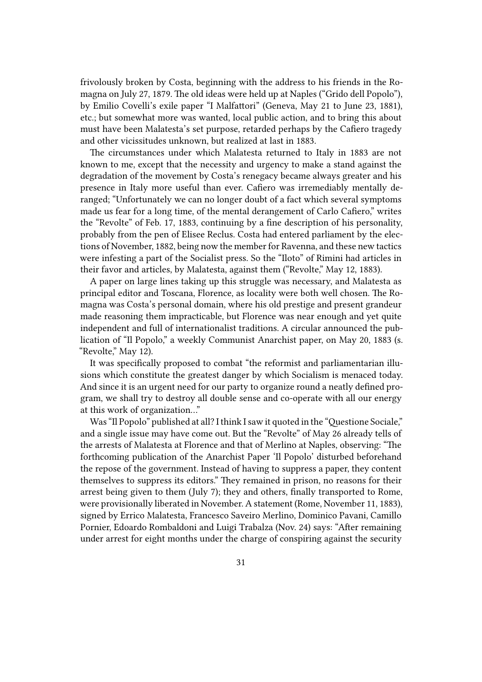frivolously broken by Costa, beginning with the address to his friends in the Romagna on July 27, 1879. The old ideas were held up at Naples ("Grido dell Popolo"), by Emilio Covelli's exile paper "I Malfattori" (Geneva, May 21 to June 23, 1881), etc.; but somewhat more was wanted, local public action, and to bring this about must have been Malatesta's set purpose, retarded perhaps by the Cafiero tragedy and other vicissitudes unknown, but realized at last in 1883.

The circumstances under which Malatesta returned to Italy in 1883 are not known to me, except that the necessity and urgency to make a stand against the degradation of the movement by Costa's renegacy became always greater and his presence in Italy more useful than ever. Cafiero was irremediably mentally deranged; "Unfortunately we can no longer doubt of a fact which several symptoms made us fear for a long time, of the mental derangement of Carlo Cafiero," writes the "Revolte" of Feb. 17, 1883, continuing by a fine description of his personality, probably from the pen of Elisee Reclus. Costa had entered parliament by the elections of November, 1882, being now the member for Ravenna, and these new tactics were infesting a part of the Socialist press. So the "Iloto" of Rimini had articles in their favor and articles, by Malatesta, against them ("Revolte," May 12, 1883).

A paper on large lines taking up this struggle was necessary, and Malatesta as principal editor and Toscana, Florence, as locality were both well chosen. The Romagna was Costa's personal domain, where his old prestige and present grandeur made reasoning them impracticable, but Florence was near enough and yet quite independent and full of internationalist traditions. A circular announced the publication of "Il Popolo," a weekly Communist Anarchist paper, on May 20, 1883 (s. "Revolte," May 12).

It was specifically proposed to combat "the reformist and parliamentarian illusions which constitute the greatest danger by which Socialism is menaced today. And since it is an urgent need for our party to organize round a neatly defined program, we shall try to destroy all double sense and co-operate with all our energy at this work of organization…"

Was "Il Popolo" published at all? I think I saw it quoted in the "Questione Sociale," and a single issue may have come out. But the "Revolte" of May 26 already tells of the arrests of Malatesta at Florence and that of Merlino at Naples, observing: "The forthcoming publication of the Anarchist Paper 'Il Popolo' disturbed beforehand the repose of the government. Instead of having to suppress a paper, they content themselves to suppress its editors." They remained in prison, no reasons for their arrest being given to them (July 7); they and others, finally transported to Rome, were provisionally liberated in November. A statement (Rome, November 11, 1883), signed by Errico Malatesta, Francesco Saveiro Merlino, Dominico Pavani, Camillo Pornier, Edoardo Rombaldoni and Luigi Trabalza (Nov. 24) says: "After remaining under arrest for eight months under the charge of conspiring against the security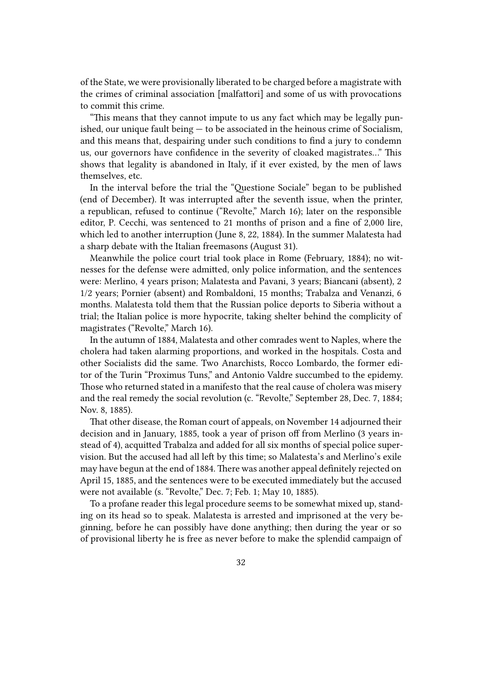of the State, we were provisionally liberated to be charged before a magistrate with the crimes of criminal association [malfattori] and some of us with provocations to commit this crime.

"This means that they cannot impute to us any fact which may be legally punished, our unique fault being — to be associated in the heinous crime of Socialism, and this means that, despairing under such conditions to find a jury to condemn us, our governors have confidence in the severity of cloaked magistrates…" This shows that legality is abandoned in Italy, if it ever existed, by the men of laws themselves, etc.

In the interval before the trial the "Questione Sociale" began to be published (end of December). It was interrupted after the seventh issue, when the printer, a republican, refused to continue ("Revolte," March 16); later on the responsible editor, P. Cecchi, was sentenced to 21 months of prison and a fine of 2,000 lire, which led to another interruption (June 8, 22, 1884). In the summer Malatesta had a sharp debate with the Italian freemasons (August 31).

Meanwhile the police court trial took place in Rome (February, 1884); no witnesses for the defense were admitted, only police information, and the sentences were: Merlino, 4 years prison; Malatesta and Pavani, 3 years; Biancani (absent), 2 1/2 years; Pornier (absent) and Rombaldoni, 15 months; Trabalza and Venanzi, 6 months. Malatesta told them that the Russian police deports to Siberia without a trial; the Italian police is more hypocrite, taking shelter behind the complicity of magistrates ("Revolte," March 16).

In the autumn of 1884, Malatesta and other comrades went to Naples, where the cholera had taken alarming proportions, and worked in the hospitals. Costa and other Socialists did the same. Two Anarchists, Rocco Lombardo, the former editor of the Turin "Proximus Tuns," and Antonio Valdre succumbed to the epidemy. Those who returned stated in a manifesto that the real cause of cholera was misery and the real remedy the social revolution (c. "Revolte," September 28, Dec. 7, 1884; Nov. 8, 1885).

That other disease, the Roman court of appeals, on November 14 adjourned their decision and in January, 1885, took a year of prison off from Merlino (3 years instead of 4), acquitted Trabalza and added for all six months of special police supervision. But the accused had all left by this time; so Malatesta's and Merlino's exile may have begun at the end of 1884. There was another appeal definitely rejected on April 15, 1885, and the sentences were to be executed immediately but the accused were not available (s. "Revolte," Dec. 7; Feb. 1; May 10, 1885).

To a profane reader this legal procedure seems to be somewhat mixed up, standing on its head so to speak. Malatesta is arrested and imprisoned at the very beginning, before he can possibly have done anything; then during the year or so of provisional liberty he is free as never before to make the splendid campaign of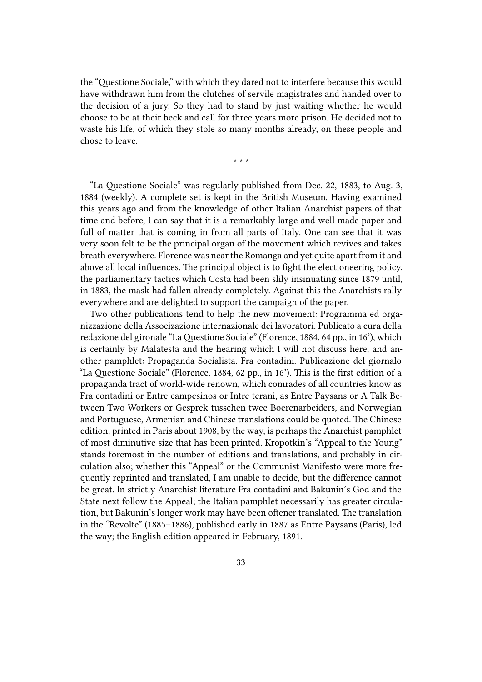the "Questione Sociale," with which they dared not to interfere because this would have withdrawn him from the clutches of servile magistrates and handed over to the decision of a jury. So they had to stand by just waiting whether he would choose to be at their beck and call for three years more prison. He decided not to waste his life, of which they stole so many months already, on these people and chose to leave.

\* \* \*

"La Questione Sociale" was regularly published from Dec. 22, 1883, to Aug. 3, 1884 (weekly). A complete set is kept in the British Museum. Having examined this years ago and from the knowledge of other Italian Anarchist papers of that time and before, I can say that it is a remarkably large and well made paper and full of matter that is coming in from all parts of Italy. One can see that it was very soon felt to be the principal organ of the movement which revives and takes breath everywhere. Florence was near the Romanga and yet quite apart from it and above all local influences. The principal object is to fight the electioneering policy, the parliamentary tactics which Costa had been slily insinuating since 1879 until, in 1883, the mask had fallen already completely. Against this the Anarchists rally everywhere and are delighted to support the campaign of the paper.

Two other publications tend to help the new movement: Programma ed organizzazione della Associzazione internazionale dei lavoratori. Publicato a cura della redazione del gironale "LaQuestione Sociale" (Florence, 1884, 64 pp., in 16'), which is certainly by Malatesta and the hearing which I will not discuss here, and another pamphlet: Propaganda Socialista. Fra contadini. Publicazione del giornalo "La Questione Sociale" (Florence, 1884, 62 pp., in 16'). This is the first edition of a propaganda tract of world-wide renown, which comrades of all countries know as Fra contadini or Entre campesinos or Intre terani, as Entre Paysans or A Talk Between Two Workers or Gesprek tusschen twee Boerenarbeiders, and Norwegian and Portuguese, Armenian and Chinese translations could be quoted. The Chinese edition, printed in Paris about 1908, by the way, is perhaps the Anarchist pamphlet of most diminutive size that has been printed. Kropotkin's "Appeal to the Young" stands foremost in the number of editions and translations, and probably in circulation also; whether this "Appeal" or the Communist Manifesto were more frequently reprinted and translated, I am unable to decide, but the difference cannot be great. In strictly Anarchist literature Fra contadini and Bakunin's God and the State next follow the Appeal; the Italian pamphlet necessarily has greater circulation, but Bakunin's longer work may have been oftener translated. The translation in the "Revolte" (1885–1886), published early in 1887 as Entre Paysans (Paris), led the way; the English edition appeared in February, 1891.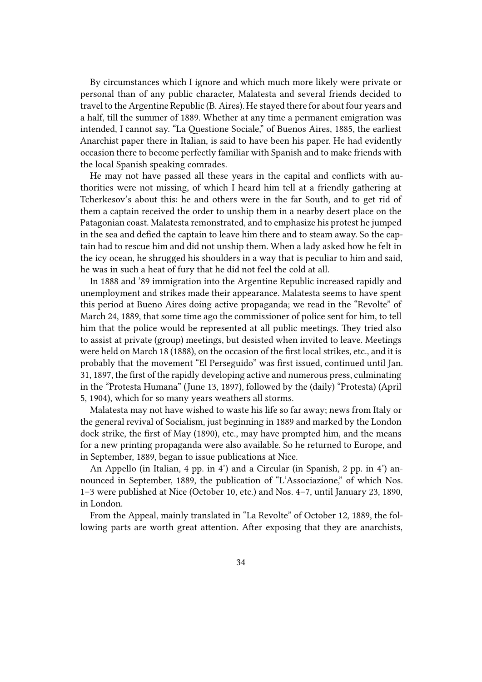By circumstances which I ignore and which much more likely were private or personal than of any public character, Malatesta and several friends decided to travel to the Argentine Republic (B. Aires). He stayed there for about four years and a half, till the summer of 1889. Whether at any time a permanent emigration was intended, I cannot say. "La Questione Sociale," of Buenos Aires, 1885, the earliest Anarchist paper there in Italian, is said to have been his paper. He had evidently occasion there to become perfectly familiar with Spanish and to make friends with the local Spanish speaking comrades.

He may not have passed all these years in the capital and conflicts with authorities were not missing, of which I heard him tell at a friendly gathering at Tcherkesov's about this: he and others were in the far South, and to get rid of them a captain received the order to unship them in a nearby desert place on the Patagonian coast. Malatesta remonstrated, and to emphasize his protest he jumped in the sea and defied the captain to leave him there and to steam away. So the captain had to rescue him and did not unship them. When a lady asked how he felt in the icy ocean, he shrugged his shoulders in a way that is peculiar to him and said, he was in such a heat of fury that he did not feel the cold at all.

In 1888 and '89 immigration into the Argentine Republic increased rapidly and unemployment and strikes made their appearance. Malatesta seems to have spent this period at Bueno Aires doing active propaganda; we read in the "Revolte" of March 24, 1889, that some time ago the commissioner of police sent for him, to tell him that the police would be represented at all public meetings. They tried also to assist at private (group) meetings, but desisted when invited to leave. Meetings were held on March 18 (1888), on the occasion of the first local strikes, etc., and it is probably that the movement "El Perseguido" was first issued, continued until Jan. 31, 1897, the first of the rapidly developing active and numerous press, culminating in the "Protesta Humana" (June 13, 1897), followed by the (daily) "Protesta) (April 5, 1904), which for so many years weathers all storms.

Malatesta may not have wished to waste his life so far away; news from Italy or the general revival of Socialism, just beginning in 1889 and marked by the London dock strike, the first of May (1890), etc., may have prompted him, and the means for a new printing propaganda were also available. So he returned to Europe, and in September, 1889, began to issue publications at Nice.

An Appello (in Italian, 4 pp. in 4') and a Circular (in Spanish, 2 pp. in 4') announced in September, 1889, the publication of "L'Associazione," of which Nos. 1–3 were published at Nice (October 10, etc.) and Nos. 4–7, until January 23, 1890, in London.

From the Appeal, mainly translated in "La Revolte" of October 12, 1889, the following parts are worth great attention. After exposing that they are anarchists,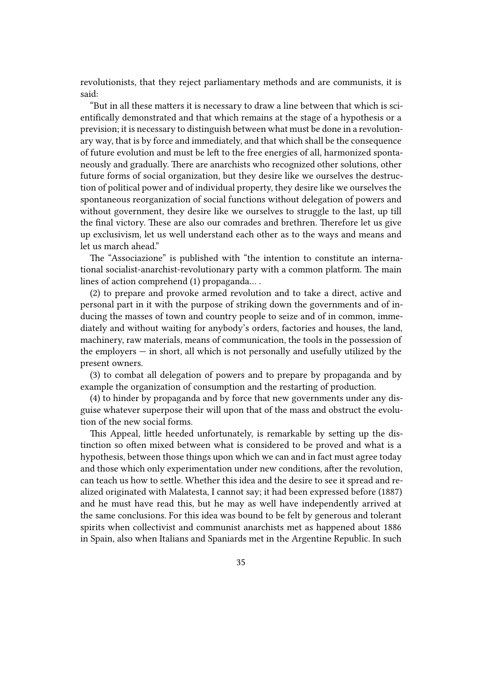revolutionists, that they reject parliamentary methods and are communists, it is said:

"But in all these matters it is necessary to draw a line between that which is scientifically demonstrated and that which remains at the stage of a hypothesis or a prevision; it is necessary to distinguish between what must be done in a revolutionary way, that is by force and immediately, and that which shall be the consequence of future evolution and must be left to the free energies of all, harmonized spontaneously and gradually. There are anarchists who recognized other solutions, other future forms of social organization, but they desire like we ourselves the destruction of political power and of individual property, they desire like we ourselves the spontaneous reorganization of social functions without delegation of powers and without government, they desire like we ourselves to struggle to the last, up till the final victory. These are also our comrades and brethren. Therefore let us give up exclusivism, let us well understand each other as to the ways and means and let us march ahead."

The "Associazione" is published with "the intention to constitute an international socialist-anarchist-revolutionary party with a common platform. The main lines of action comprehend (1) propaganda… .

(2) to prepare and provoke armed revolution and to take a direct, active and personal part in it with the purpose of striking down the governments and of inducing the masses of town and country people to seize and of in common, immediately and without waiting for anybody's orders, factories and houses, the land, machinery, raw materials, means of communication, the tools in the possession of the employers — in short, all which is not personally and usefully utilized by the present owners.

(3) to combat all delegation of powers and to prepare by propaganda and by example the organization of consumption and the restarting of production.

(4) to hinder by propaganda and by force that new governments under any disguise whatever superpose their will upon that of the mass and obstruct the evolution of the new social forms.

This Appeal, little heeded unfortunately, is remarkable by setting up the distinction so often mixed between what is considered to be proved and what is a hypothesis, between those things upon which we can and in fact must agree today and those which only experimentation under new conditions, after the revolution, can teach us how to settle. Whether this idea and the desire to see it spread and realized originated with Malatesta, I cannot say; it had been expressed before (1887) and he must have read this, but he may as well have independently arrived at the same conclusions. For this idea was bound to be felt by generous and tolerant spirits when collectivist and communist anarchists met as happened about 1886 in Spain, also when Italians and Spaniards met in the Argentine Republic. In such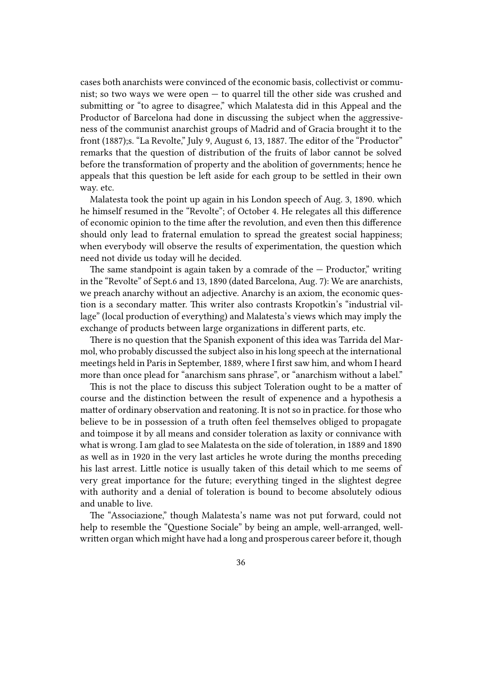cases both anarchists were convinced of the economic basis, collectivist or communist; so two ways we were open — to quarrel till the other side was crushed and submitting or "to agree to disagree," which Malatesta did in this Appeal and the Productor of Barcelona had done in discussing the subject when the aggressiveness of the communist anarchist groups of Madrid and of Gracia brought it to the front (1887);s. "La Revolte," July 9, August 6, 13, 1887. The editor of the "Productor" remarks that the question of distribution of the fruits of labor cannot be solved before the transformation of property and the abolition of governments; hence he appeals that this question be left aside for each group to be settled in their own way. etc.

Malatesta took the point up again in his London speech of Aug. 3, 1890. which he himself resumed in the "Revolte"; of October 4. He relegates all this difference of economic opinion to the time after the revolution, and even then this difference should only lead to fraternal emulation to spread the greatest social happiness; when everybody will observe the results of experimentation, the question which need not divide us today will he decided.

The same standpoint is again taken by a comrade of the  $-$  Productor," writing in the "Revolte" of Sept.6 and 13, 1890 (dated Barcelona, Aug. 7): We are anarchists, we preach anarchy without an adjective. Anarchy is an axiom, the economic question is a secondary matter. This writer also contrasts Kropotkin's "industrial village" (local production of everything) and Malatesta's views which may imply the exchange of products between large organizations in different parts, etc.

There is no question that the Spanish exponent of this idea was Tarrida del Marmol, who probably discussed the subject also in his long speech at the international meetings held in Paris in September, 1889, where I first saw him, and whom I heard more than once plead for "anarchism sans phrase", or "anarchism without a label."

This is not the place to discuss this subject Toleration ought to be a matter of course and the distinction between the result of expenence and a hypothesis a matter of ordinary observation and reatoning. It is not so in practice. for those who believe to be in possession of a truth often feel themselves obliged to propagate and toimpose it by all means and consider toleration as laxity or connivance with what is wrong. I am glad to see Malatesta on the side of toleration, in 1889 and 1890 as well as in 1920 in the very last articles he wrote during the months preceding his last arrest. Little notice is usually taken of this detail which to me seems of very great importance for the future; everything tinged in the slightest degree with authority and a denial of toleration is bound to become absolutely odious and unable to live.

The "Associazione," though Malatesta's name was not put forward, could not help to resemble the "Questione Sociale" by being an ample, well-arranged, wellwritten organ which might have had a long and prosperous career before it, though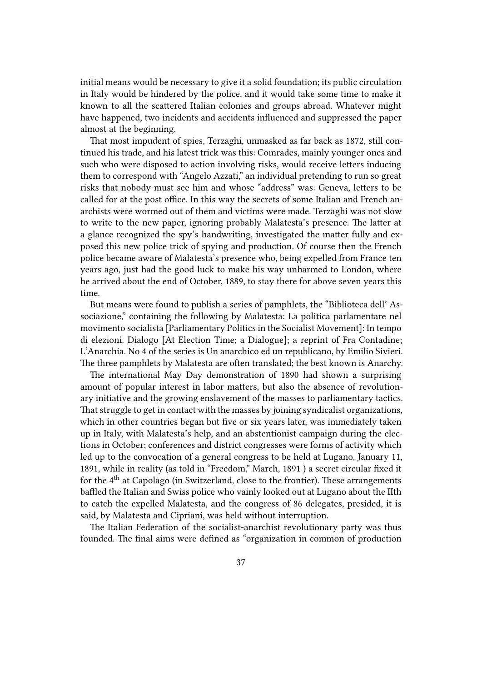initial means would be necessary to give it a solid foundation; its public circulation in Italy would be hindered by the police, and it would take some time to make it known to all the scattered Italian colonies and groups abroad. Whatever might have happened, two incidents and accidents influenced and suppressed the paper almost at the beginning.

That most impudent of spies, Terzaghi, unmasked as far back as 1872, still continued his trade, and his latest trick was this: Comrades, mainly younger ones and such who were disposed to action involving risks, would receive letters inducing them to correspond with "Angelo Azzati," an individual pretending to run so great risks that nobody must see him and whose "address" was: Geneva, letters to be called for at the post office. In this way the secrets of some Italian and French anarchists were wormed out of them and victims were made. Terzaghi was not slow to write to the new paper, ignoring probably Malatesta's presence. The latter at a glance recognized the spy's handwriting, investigated the matter fully and exposed this new police trick of spying and production. Of course then the French police became aware of Malatesta's presence who, being expelled from France ten years ago, just had the good luck to make his way unharmed to London, where he arrived about the end of October, 1889, to stay there for above seven years this time.

But means were found to publish a series of pamphlets, the "Biblioteca dell' Associazione," containing the following by Malatesta: La politica parlamentare nel movimento socialista [Parliamentary Politics in the Socialist Movement]: In tempo di elezioni. Dialogo [At Election Time; a Dialogue]; a reprint of Fra Contadine; L'Anarchia. No 4 of the series is Un anarchico ed un republicano, by Emilio Sivieri. The three pamphlets by Malatesta are often translated; the best known is Anarchy.

The international May Day demonstration of 1890 had shown a surprising amount of popular interest in labor matters, but also the absence of revolutionary initiative and the growing enslavement of the masses to parliamentary tactics. That struggle to get in contact with the masses by joining syndicalist organizations, which in other countries began but five or six years later, was immediately taken up in Italy, with Malatesta's help, and an abstentionist campaign during the elections in October; conferences and district congresses were forms of activity which led up to the convocation of a general congress to be held at Lugano, January 11, 1891, while in reality (as told in "Freedom," March, 1891 ) a secret circular fixed it for the  $4<sup>th</sup>$  at Capolago (in Switzerland, close to the frontier). These arrangements baffled the Italian and Swiss police who vainly looked out at Lugano about the IIth to catch the expelled Malatesta, and the congress of 86 delegates, presided, it is said, by Malatesta and Cipriani, was held without interruption.

The Italian Federation of the socialist-anarchist revolutionary party was thus founded. The final aims were defined as "organization in common of production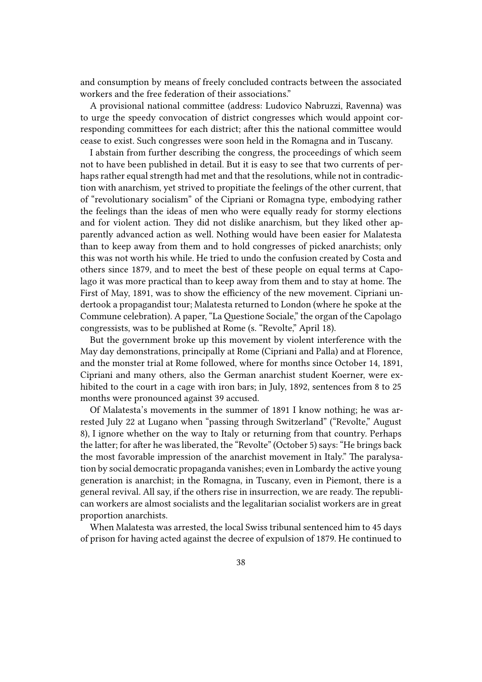and consumption by means of freely concluded contracts between the associated workers and the free federation of their associations."

A provisional national committee (address: Ludovico Nabruzzi, Ravenna) was to urge the speedy convocation of district congresses which would appoint corresponding committees for each district; after this the national committee would cease to exist. Such congresses were soon held in the Romagna and in Tuscany.

I abstain from further describing the congress, the proceedings of which seem not to have been published in detail. But it is easy to see that two currents of perhaps rather equal strength had met and that the resolutions, while not in contradiction with anarchism, yet strived to propitiate the feelings of the other current, that of "revolutionary socialism" of the Cipriani or Romagna type, embodying rather the feelings than the ideas of men who were equally ready for stormy elections and for violent action. They did not dislike anarchism, but they liked other apparently advanced action as well. Nothing would have been easier for Malatesta than to keep away from them and to hold congresses of picked anarchists; only this was not worth his while. He tried to undo the confusion created by Costa and others since 1879, and to meet the best of these people on equal terms at Capolago it was more practical than to keep away from them and to stay at home. The First of May, 1891, was to show the efficiency of the new movement. Cipriani undertook a propagandist tour; Malatesta returned to London (where he spoke at the Commune celebration). A paper, "LaQuestione Sociale," the organ of the Capolago congressists, was to be published at Rome (s. "Revolte," April 18).

But the government broke up this movement by violent interference with the May day demonstrations, principally at Rome (Cipriani and Palla) and at Florence, and the monster trial at Rome followed, where for months since October 14, 1891, Cipriani and many others, also the German anarchist student Koerner, were exhibited to the court in a cage with iron bars; in July, 1892, sentences from 8 to 25 months were pronounced against 39 accused.

Of Malatesta's movements in the summer of 1891 I know nothing; he was arrested July 22 at Lugano when "passing through Switzerland" ("Revolte," August 8), I ignore whether on the way to Italy or returning from that country. Perhaps the latter; for after he was liberated, the "Revolte" (October 5) says: "He brings back the most favorable impression of the anarchist movement in Italy." The paralysation by social democratic propaganda vanishes; even in Lombardy the active young generation is anarchist; in the Romagna, in Tuscany, even in Piemont, there is a general revival. All say, if the others rise in insurrection, we are ready. The republican workers are almost socialists and the legalitarian socialist workers are in great proportion anarchists.

When Malatesta was arrested, the local Swiss tribunal sentenced him to 45 days of prison for having acted against the decree of expulsion of 1879. He continued to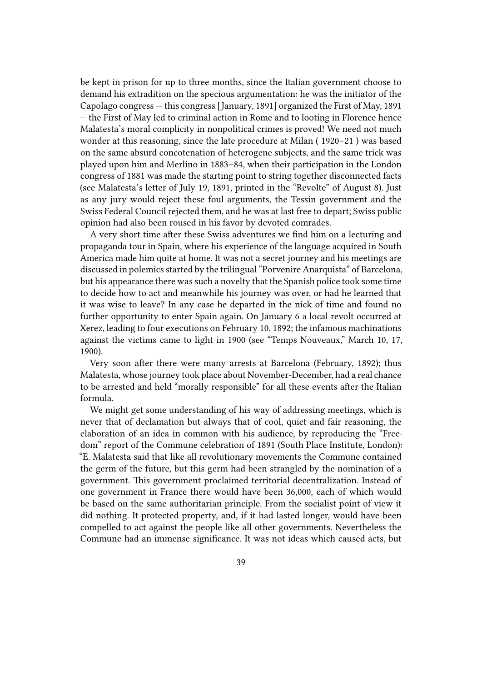be kept in prison for up to three months, since the Italian government choose to demand his extradition on the specious argumentation: he was the initiator of the Capolago congress — this congress [January, 1891] organized the First of May, 1891 — the First of May led to criminal action in Rome and to looting in Florence hence Malatesta's moral complicity in nonpolitical crimes is proved! We need not much wonder at this reasoning, since the late procedure at Milan ( 1920–21 ) was based on the same absurd concotenation of heterogene subjects, and the same trick was played upon him and Merlino in 1883–84, when their participation in the London congress of 1881 was made the starting point to string together disconnected facts (see Malatesta's letter of July 19, 1891, printed in the "Revolte" of August 8). Just as any jury would reject these foul arguments, the Tessin government and the Swiss Federal Council rejected them, and he was at last free to depart; Swiss public opinion had also been roused in his favor by devoted comrades.

A very short time after these Swiss adventures we find him on a lecturing and propaganda tour in Spain, where his experience of the language acquired in South America made him quite at home. It was not a secret journey and his meetings are discussed in polemics started by the trilingual "Porvenire Anarquista" of Barcelona, but his appearance there was such a novelty that the Spanish police took some time to decide how to act and meanwhile his journey was over, or had he learned that it was wise to leave? In any case he departed in the nick of time and found no further opportunity to enter Spain again. On January 6 a local revolt occurred at Xerez, leading to four executions on February 10, 1892; the infamous machinations against the victims came to light in 1900 (see "Temps Nouveaux," March 10, 17, 1900).

Very soon after there were many arrests at Barcelona (February, 1892); thus Malatesta, whose journey took place about November-December, had a real chance to be arrested and held "morally responsible" for all these events after the Italian formula.

We might get some understanding of his way of addressing meetings, which is never that of declamation but always that of cool, quiet and fair reasoning, the elaboration of an idea in common with his audience, by reproducing the "Freedom" report of the Commune celebration of 1891 (South Place Institute, London): "E. Malatesta said that like all revolutionary movements the Commune contained the germ of the future, but this germ had been strangled by the nomination of a government. This government proclaimed territorial decentralization. Instead of one government in France there would have been 36,000, each of which would be based on the same authoritarian principle. From the socialist point of view it did nothing. It protected property, and, if it had lasted longer, would have been compelled to act against the people like all other governments. Nevertheless the Commune had an immense significance. It was not ideas which caused acts, but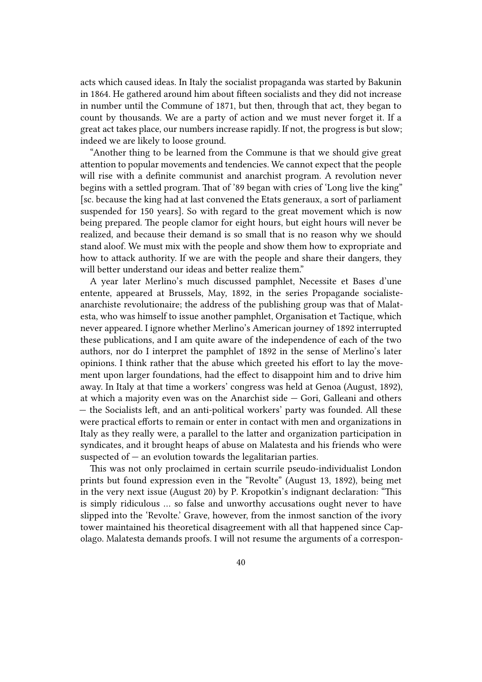acts which caused ideas. In Italy the socialist propaganda was started by Bakunin in 1864. He gathered around him about fifteen socialists and they did not increase in number until the Commune of 1871, but then, through that act, they began to count by thousands. We are a party of action and we must never forget it. If a great act takes place, our numbers increase rapidly. If not, the progress is but slow; indeed we are likely to loose ground.

"Another thing to be learned from the Commune is that we should give great attention to popular movements and tendencies. We cannot expect that the people will rise with a definite communist and anarchist program. A revolution never begins with a settled program. That of '89 began with cries of 'Long live the king" [sc. because the king had at last convened the Etats generaux, a sort of parliament suspended for 150 years]. So with regard to the great movement which is now being prepared. The people clamor for eight hours, but eight hours will never be realized, and because their demand is so small that is no reason why we should stand aloof. We must mix with the people and show them how to expropriate and how to attack authority. If we are with the people and share their dangers, they will better understand our ideas and better realize them."

A year later Merlino's much discussed pamphlet, Necessite et Bases d'une entente, appeared at Brussels, May, 1892, in the series Propagande socialisteanarchiste revolutionaire; the address of the publishing group was that of Malatesta, who was himself to issue another pamphlet, Organisation et Tactique, which never appeared. I ignore whether Merlino's American journey of 1892 interrupted these publications, and I am quite aware of the independence of each of the two authors, nor do I interpret the pamphlet of 1892 in the sense of Merlino's later opinions. I think rather that the abuse which greeted his effort to lay the movement upon larger foundations, had the effect to disappoint him and to drive him away. In Italy at that time a workers' congress was held at Genoa (August, 1892), at which a majority even was on the Anarchist side — Gori, Galleani and others — the Socialists left, and an anti-political workers' party was founded. All these were practical efforts to remain or enter in contact with men and organizations in Italy as they really were, a parallel to the latter and organization participation in syndicates, and it brought heaps of abuse on Malatesta and his friends who were suspected of  $-$  an evolution towards the legalitarian parties.

This was not only proclaimed in certain scurrile pseudo-individualist London prints but found expression even in the "Revolte" (August 13, 1892), being met in the very next issue (August 20) by P. Kropotkin's indignant declaration: "This is simply ridiculous … so false and unworthy accusations ought never to have slipped into the 'Revolte.' Grave, however, from the inmost sanction of the ivory tower maintained his theoretical disagreement with all that happened since Capolago. Malatesta demands proofs. I will not resume the arguments of a correspon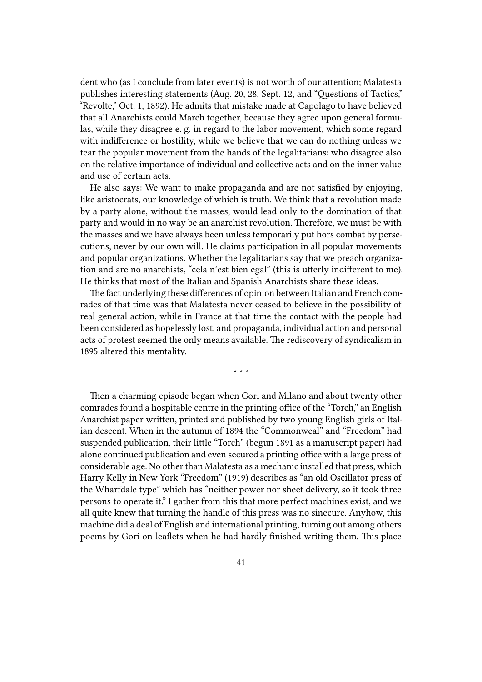dent who (as I conclude from later events) is not worth of our attention; Malatesta publishes interesting statements (Aug. 20, 28, Sept. 12, and "Questions of Tactics," "Revolte," Oct. 1, 1892). He admits that mistake made at Capolago to have believed that all Anarchists could March together, because they agree upon general formulas, while they disagree e. g. in regard to the labor movement, which some regard with indifference or hostility, while we believe that we can do nothing unless we tear the popular movement from the hands of the legalitarians: who disagree also on the relative importance of individual and collective acts and on the inner value and use of certain acts.

He also says: We want to make propaganda and are not satisfied by enjoying, like aristocrats, our knowledge of which is truth. We think that a revolution made by a party alone, without the masses, would lead only to the domination of that party and would in no way be an anarchist revolution. Therefore, we must be with the masses and we have always been unless temporarily put hors combat by persecutions, never by our own will. He claims participation in all popular movements and popular organizations. Whether the legalitarians say that we preach organization and are no anarchists, "cela n'est bien egal" (this is utterly indifferent to me). He thinks that most of the Italian and Spanish Anarchists share these ideas.

The fact underlying these differences of opinion between Italian and French comrades of that time was that Malatesta never ceased to believe in the possibility of real general action, while in France at that time the contact with the people had been considered as hopelessly lost, and propaganda, individual action and personal acts of protest seemed the only means available. The rediscovery of syndicalism in 1895 altered this mentality.

\* \* \*

Then a charming episode began when Gori and Milano and about twenty other comrades found a hospitable centre in the printing office of the "Torch," an English Anarchist paper written, printed and published by two young English girls of Italian descent. When in the autumn of 1894 the "Commonweal" and "Freedom" had suspended publication, their little "Torch" (begun 1891 as a manuscript paper) had alone continued publication and even secured a printing office with a large press of considerable age. No other than Malatesta as a mechanic installed that press, which Harry Kelly in New York "Freedom" (1919) describes as "an old Oscillator press of the Wharfdale type" which has "neither power nor sheet delivery, so it took three persons to operate it." I gather from this that more perfect machines exist, and we all quite knew that turning the handle of this press was no sinecure. Anyhow, this machine did a deal of English and international printing, turning out among others poems by Gori on leaflets when he had hardly finished writing them. This place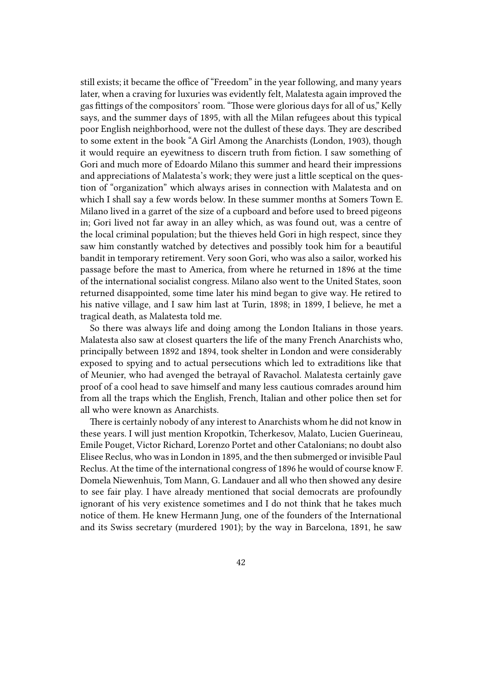still exists; it became the office of "Freedom" in the year following, and many years later, when a craving for luxuries was evidently felt, Malatesta again improved the gas fittings of the compositors' room. "Those were glorious days for all of us," Kelly says, and the summer days of 1895, with all the Milan refugees about this typical poor English neighborhood, were not the dullest of these days. They are described to some extent in the book "A Girl Among the Anarchists (London, 1903), though it would require an eyewitness to discern truth from fiction. I saw something of Gori and much more of Edoardo Milano this summer and heard their impressions and appreciations of Malatesta's work; they were just a little sceptical on the question of "organization" which always arises in connection with Malatesta and on which I shall say a few words below. In these summer months at Somers Town E. Milano lived in a garret of the size of a cupboard and before used to breed pigeons in; Gori lived not far away in an alley which, as was found out, was a centre of the local criminal population; but the thieves held Gori in high respect, since they saw him constantly watched by detectives and possibly took him for a beautiful bandit in temporary retirement. Very soon Gori, who was also a sailor, worked his passage before the mast to America, from where he returned in 1896 at the time of the international socialist congress. Milano also went to the United States, soon returned disappointed, some time later his mind began to give way. He retired to his native village, and I saw him last at Turin, 1898; in 1899, I believe, he met a tragical death, as Malatesta told me.

So there was always life and doing among the London Italians in those years. Malatesta also saw at closest quarters the life of the many French Anarchists who, principally between 1892 and 1894, took shelter in London and were considerably exposed to spying and to actual persecutions which led to extraditions like that of Meunier, who had avenged the betrayal of Ravachol. Malatesta certainly gave proof of a cool head to save himself and many less cautious comrades around him from all the traps which the English, French, Italian and other police then set for all who were known as Anarchists.

There is certainly nobody of any interest to Anarchists whom he did not know in these years. I will just mention Kropotkin, Tcherkesov, Malato, Lucien Guerineau, Emile Pouget, Victor Richard, Lorenzo Portet and other Catalonians; no doubt also Elisee Reclus, who was in London in 1895, and the then submerged or invisible Paul Reclus. At the time of the international congress of 1896 he would of course know F. Domela Niewenhuis, Tom Mann, G. Landauer and all who then showed any desire to see fair play. I have already mentioned that social democrats are profoundly ignorant of his very existence sometimes and I do not think that he takes much notice of them. He knew Hermann Jung, one of the founders of the International and its Swiss secretary (murdered 1901); by the way in Barcelona, 1891, he saw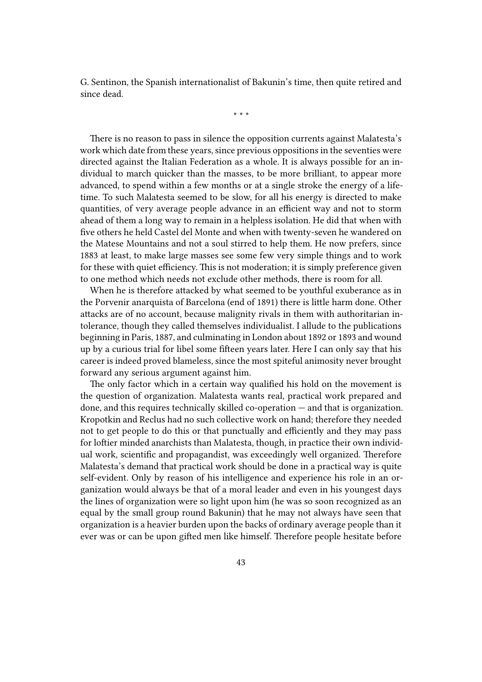G. Sentinon, the Spanish internationalist of Bakunin's time, then quite retired and since dead.

\* \* \*

There is no reason to pass in silence the opposition currents against Malatesta's work which date from these years, since previous oppositions in the seventies were directed against the Italian Federation as a whole. It is always possible for an individual to march quicker than the masses, to be more brilliant, to appear more advanced, to spend within a few months or at a single stroke the energy of a lifetime. To such Malatesta seemed to be slow, for all his energy is directed to make quantities, of very average people advance in an efficient way and not to storm ahead of them a long way to remain in a helpless isolation. He did that when with five others he held Castel del Monte and when with twenty-seven he wandered on the Matese Mountains and not a soul stirred to help them. He now prefers, since 1883 at least, to make large masses see some few very simple things and to work for these with quiet efficiency. This is not moderation; it is simply preference given to one method which needs not exclude other methods, there is room for all.

When he is therefore attacked by what seemed to be youthful exuberance as in the Porvenir anarquista of Barcelona (end of 1891) there is little harm done. Other attacks are of no account, because malignity rivals in them with authoritarian intolerance, though they called themselves individualist. I allude to the publications beginning in Paris, 1887, and culminating in London about 1892 or 1893 and wound up by a curious trial for libel some fifteen years later. Here I can only say that his career is indeed proved blameless, since the most spiteful animosity never brought forward any serious argument against him.

The only factor which in a certain way qualified his hold on the movement is the question of organization. Malatesta wants real, practical work prepared and done, and this requires technically skilled co-operation — and that is organization. Kropotkin and Reclus had no such collective work on hand; therefore they needed not to get people to do this or that punctually and efficiently and they may pass for loftier minded anarchists than Malatesta, though, in practice their own individual work, scientific and propagandist, was exceedingly well organized. Therefore Malatesta's demand that practical work should be done in a practical way is quite self-evident. Only by reason of his intelligence and experience his role in an organization would always be that of a moral leader and even in his youngest days the lines of organization were so light upon him (he was so soon recognized as an equal by the small group round Bakunin) that he may not always have seen that organization is a heavier burden upon the backs of ordinary average people than it ever was or can be upon gifted men like himself. Therefore people hesitate before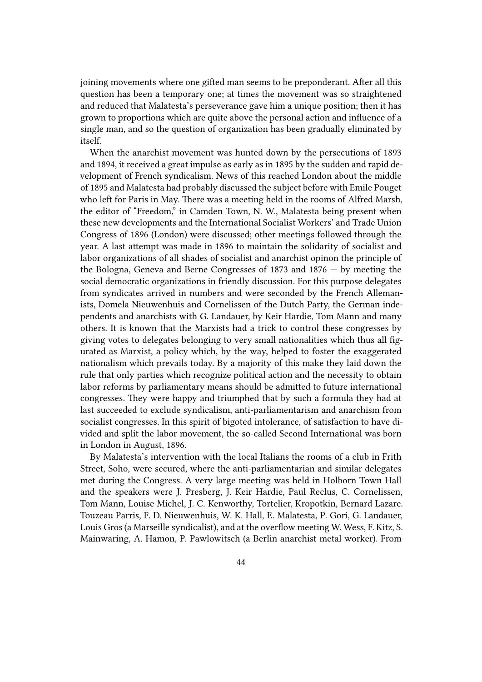joining movements where one gifted man seems to be preponderant. After all this question has been a temporary one; at times the movement was so straightened and reduced that Malatesta's perseverance gave him a unique position; then it has grown to proportions which are quite above the personal action and influence of a single man, and so the question of organization has been gradually eliminated by itself.

When the anarchist movement was hunted down by the persecutions of 1893 and 1894, it received a great impulse as early as in 1895 by the sudden and rapid development of French syndicalism. News of this reached London about the middle of 1895 and Malatesta had probably discussed the subject before with Emile Pouget who left for Paris in May. There was a meeting held in the rooms of Alfred Marsh, the editor of "Freedom," in Camden Town, N. W., Malatesta being present when these new developments and the International Socialist Workers' and Trade Union Congress of 1896 (London) were discussed; other meetings followed through the year. A last attempt was made in 1896 to maintain the solidarity of socialist and labor organizations of all shades of socialist and anarchist opinon the principle of the Bologna, Geneva and Berne Congresses of 1873 and 1876 — by meeting the social democratic organizations in friendly discussion. For this purpose delegates from syndicates arrived in numbers and were seconded by the French Allemanists, Domela Nieuwenhuis and Cornelissen of the Dutch Party, the German independents and anarchists with G. Landauer, by Keir Hardie, Tom Mann and many others. It is known that the Marxists had a trick to control these congresses by giving votes to delegates belonging to very small nationalities which thus all figurated as Marxist, a policy which, by the way, helped to foster the exaggerated nationalism which prevails today. By a majority of this make they laid down the rule that only parties which recognize political action and the necessity to obtain labor reforms by parliamentary means should be admitted to future international congresses. They were happy and triumphed that by such a formula they had at last succeeded to exclude syndicalism, anti-parliamentarism and anarchism from socialist congresses. In this spirit of bigoted intolerance, of satisfaction to have divided and split the labor movement, the so-called Second International was born in London in August, 1896.

By Malatesta's intervention with the local Italians the rooms of a club in Frith Street, Soho, were secured, where the anti-parliamentarian and similar delegates met during the Congress. A very large meeting was held in Holborn Town Hall and the speakers were J. Presberg, J. Keir Hardie, Paul Reclus, C. Cornelissen, Tom Mann, Louise Michel, J. C. Kenworthy, Tortelier, Kropotkin, Bernard Lazare. Touzeau Parris, F. D. Nieuwenhuis, W. K. Hall, E. Malatesta, P. Gori, G. Landauer, Louis Gros (a Marseille syndicalist), and at the overflow meeting W. Wess, F. Kitz, S. Mainwaring, A. Hamon, P. Pawlowitsch (a Berlin anarchist metal worker). From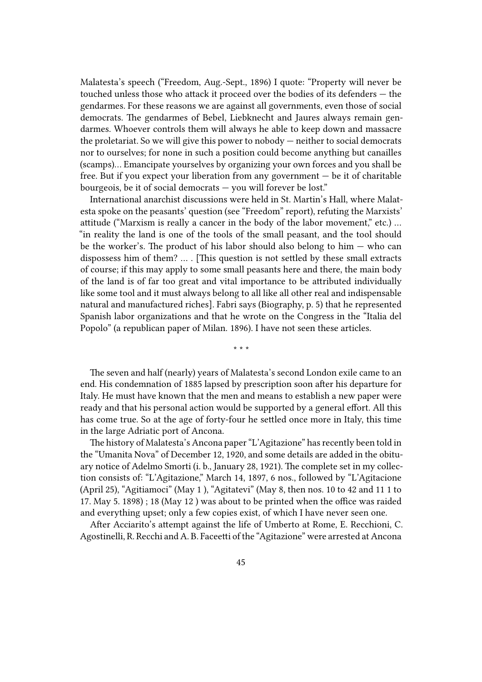Malatesta's speech ("Freedom, Aug.-Sept., 1896) I quote: "Property will never be touched unless those who attack it proceed over the bodies of its defenders — the gendarmes. For these reasons we are against all governments, even those of social democrats. The gendarmes of Bebel, Liebknecht and Jaures always remain gendarmes. Whoever controls them will always he able to keep down and massacre the proletariat. So we will give this power to nobody — neither to social democrats nor to ourselves; for none in such a position could become anything but canailles (scamps)… Emancipate yourselves by organizing your own forces and you shall be free. But if you expect your liberation from any government  $-$  be it of charitable bourgeois, be it of social democrats  $-$  you will forever be lost."

International anarchist discussions were held in St. Martin's Hall, where Malatesta spoke on the peasants' question (see "Freedom" report), refuting the Marxists' attitude ("Marxism is really a cancer in the body of the labor movement," etc.) … "in reality the land is one of the tools of the small peasant, and the tool should be the worker's. The product of his labor should also belong to him  $-$  who can dispossess him of them? … . [This question is not settled by these small extracts of course; if this may apply to some small peasants here and there, the main body of the land is of far too great and vital importance to be attributed individually like some tool and it must always belong to all like all other real and indispensable natural and manufactured riches]. Fabri says (Biography, p. 5) that he represented Spanish labor organizations and that he wrote on the Congress in the "Italia del Popolo" (a republican paper of Milan. 1896). I have not seen these articles.

\* \* \*

The seven and half (nearly) years of Malatesta's second London exile came to an end. His condemnation of 1885 lapsed by prescription soon after his departure for Italy. He must have known that the men and means to establish a new paper were ready and that his personal action would be supported by a general effort. All this has come true. So at the age of forty-four he settled once more in Italy, this time in the large Adriatic port of Ancona.

The history of Malatesta's Ancona paper "L'Agitazione" has recently been told in the "Umanita Nova" of December 12, 1920, and some details are added in the obituary notice of Adelmo Smorti (i. b., January 28, 1921). The complete set in my collection consists of: "L'Agitazione," March 14, 1897, 6 nos., followed by "L'Agitacione (April 25), "Agitiamoci" (May 1 ), "Agitatevi" (May 8, then nos. 10 to 42 and 11 1 to 17. May 5. 1898) ; 18 (May 12 ) was about to be printed when the office was raided and everything upset; only a few copies exist, of which I have never seen one.

After Acciarito's attempt against the life of Umberto at Rome, E. Recchioni, C. Agostinelli, R. Recchi and A. B. Faceetti of the "Agitazione" were arrested at Ancona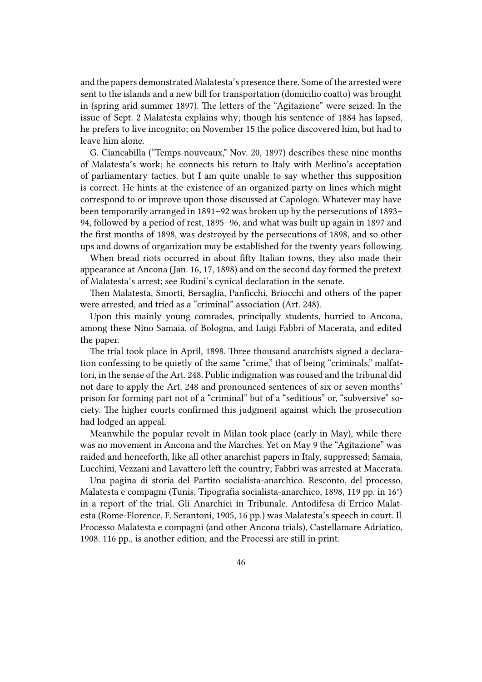and the papers demonstrated Malatesta's presence there. Some of the arrested were sent to the islands and a new bill for transportation (domicilio coatto) was brought in (spring arid summer 1897). The letters of the "Agitazione" were seized. In the issue of Sept. 2 Malatesta explains why; though his sentence of 1884 has lapsed, he prefers to live incognito; on November 15 the police discovered him, but had to leave him alone.

G. Ciancabilla ("Temps nouveaux," Nov. 20, 1897) describes these nine months of Malatesta's work; he connects his return to Italy with Merlino's acceptation of parliamentary tactics. but I am quite unable to say whether this supposition is correct. He hints at the existence of an organized party on lines which might correspond to or improve upon those discussed at Capologo. Whatever may have been temporarily arranged in 1891–92 was broken up by the persecutions of 1893– 94, followed by a period of rest, 1895–96, and what was built up again in 1897 and the first months of 1898, was destroyed by the persecutions of 1898, and so other ups and downs of organization may be established for the twenty years following.

When bread riots occurred in about fifty Italian towns, they also made their appearance at Ancona (Jan. 16, 17, 1898) and on the second day formed the pretext of Malatesta's arrest; see Rudini's cynical declaration in the senate.

Then Malatesta, Smorti, Bersaglia, Panficchi, Briocchi and others of the paper were arrested, and tried as a "criminal" association (Art. 248).

Upon this mainly young comrades, principally students, hurried to Ancona, among these Nino Samaia, of Bologna, and Luigi Fabbri of Macerata, and edited the paper.

The trial took place in April, 1898. Three thousand anarchists signed a declaration confessing to be quietly of the same "crime," that of being "criminals," malfattori, in the sense of the Art. 248. Public indignation was roused and the tribunal did not dare to apply the Art. 248 and pronounced sentences of six or seven months' prison for forming part not of a "criminal" but of a "seditious" or, "subversive" society. The higher courts confirmed this judgment against which the prosecution had lodged an appeal.

Meanwhile the popular revolt in Milan took place (early in May), while there was no movement in Ancona and the Marches. Yet on May 9 the "Agitazione" was raided and henceforth, like all other anarchist papers in Italy, suppressed; Samaia, Lucchini, Vezzani and Lavattero left the country; Fabbri was arrested at Macerata.

Una pagina di storia del Partito socialista-anarchico. Resconto, del processo, Malatesta e compagni (Tunis, Tipografia socialista-anarchico, 1898, 119 pp. in 16°) in a report of the trial. Gli Anarchici in Tribunale. Antodifesa di Errico Malatesta (Rome-Florence, F. Serantoni, 1905, 16 pp.) was Malatesta's speech in court. Il Processo Malatesta e compagni (and other Ancona trials), Castellamare Adriatico, 1908. 116 pp., is another edition, and the Processi are still in print.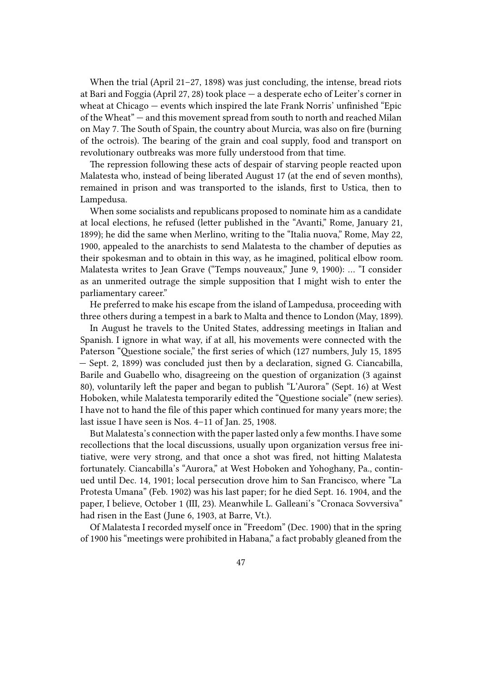When the trial (April 21–27, 1898) was just concluding, the intense, bread riots at Bari and Foggia (April 27, 28) took place — a desperate echo of Leiter's corner in wheat at Chicago — events which inspired the late Frank Norris' unfinished "Epic of the Wheat" — and this movement spread from south to north and reached Milan on May 7. The South of Spain, the country about Murcia, was also on fire (burning of the octrois). The bearing of the grain and coal supply, food and transport on revolutionary outbreaks was more fully understood from that time.

The repression following these acts of despair of starving people reacted upon Malatesta who, instead of being liberated August 17 (at the end of seven months), remained in prison and was transported to the islands, first to Ustica, then to Lampedusa.

When some socialists and republicans proposed to nominate him as a candidate at local elections, he refused (letter published in the "Avanti," Rome, January 21, 1899); he did the same when Merlino, writing to the "Italia nuova," Rome, May 22, 1900, appealed to the anarchists to send Malatesta to the chamber of deputies as their spokesman and to obtain in this way, as he imagined, political elbow room. Malatesta writes to Jean Grave ("Temps nouveaux," June 9, 1900): … "I consider as an unmerited outrage the simple supposition that I might wish to enter the parliamentary career."

He preferred to make his escape from the island of Lampedusa, proceeding with three others during a tempest in a bark to Malta and thence to London (May, 1899).

In August he travels to the United States, addressing meetings in Italian and Spanish. I ignore in what way, if at all, his movements were connected with the Paterson "Questione sociale," the first series of which (127 numbers, July 15, 1895 — Sept. 2, 1899) was concluded just then by a declaration, signed G. Ciancabilla, Barile and Guabello who, disagreeing on the question of organization (3 against 80), voluntarily left the paper and began to publish "L'Aurora" (Sept. 16) at West Hoboken, while Malatesta temporarily edited the "Questione sociale" (new series). I have not to hand the file of this paper which continued for many years more; the last issue I have seen is Nos. 4–11 of Jan. 25, 1908.

But Malatesta's connection with the paper lasted only a few months. I have some recollections that the local discussions, usually upon organization versus free initiative, were very strong, and that once a shot was fired, not hitting Malatesta fortunately. Ciancabilla's "Aurora," at West Hoboken and Yohoghany, Pa., continued until Dec. 14, 1901; local persecution drove him to San Francisco, where "La Protesta Umana" (Feb. 1902) was his last paper; for he died Sept. 16. 1904, and the paper, I believe, October 1 (III, 23). Meanwhile L. Galleani's "Cronaca Sovversiva" had risen in the East (June 6, 1903, at Barre, Vt.).

Of Malatesta I recorded myself once in "Freedom" (Dec. 1900) that in the spring of 1900 his "meetings were prohibited in Habana," a fact probably gleaned from the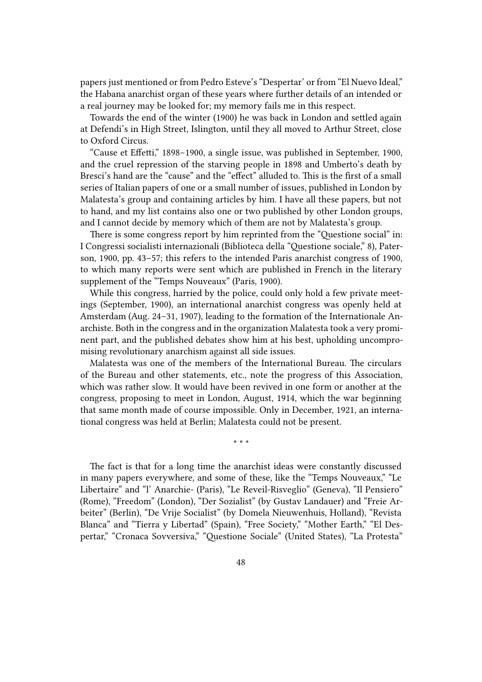papers just mentioned or from Pedro Esteve's "Despertar' or from "El Nuevo Ideal," the Habana anarchist organ of these years where further details of an intended or a real journey may be looked for; my memory fails me in this respect.

Towards the end of the winter (1900) he was back in London and settled again at Defendi's in High Street, Islington, until they all moved to Arthur Street, close to Oxford Circus.

"Cause et Effetti," 1898–1900, a single issue, was published in September, 1900, and the cruel repression of the starving people in 1898 and Umberto's death by Bresci's hand are the "cause" and the "effect" alluded to. This is the first of a small series of Italian papers of one or a small number of issues, published in London by Malatesta's group and containing articles by him. I have all these papers, but not to hand, and my list contains also one or two published by other London groups, and I cannot decide by memory which of them are not by Malatesta's group.

There is some congress report by him reprinted from the "Questione social" in: I Congressi socialisti internazionali (Biblioteca della "Questione sociale," 8), Paterson, 1900, pp. 43–57; this refers to the intended Paris anarchist congress of 1900, to which many reports were sent which are published in French in the literary supplement of the "Temps Nouveaux" (Paris, 1900).

While this congress, harried by the police, could only hold a few private meetings (September, 1900), an international anarchist congress was openly held at Amsterdam (Aug. 24–31, 1907), leading to the formation of the Internationale Anarchiste. Both in the congress and in the organization Malatesta took a very prominent part, and the published debates show him at his best, upholding uncompromising revolutionary anarchism against all side issues.

Malatesta was one of the members of the International Bureau. The circulars of the Bureau and other statements, etc., note the progress of this Association, which was rather slow. It would have been revived in one form or another at the congress, proposing to meet in London, August, 1914, which the war beginning that same month made of course impossible. Only in December, 1921, an international congress was held at Berlin; Malatesta could not be present.

\* \* \*

The fact is that for a long time the anarchist ideas were constantly discussed in many papers everywhere, and some of these, like the "Temps Nouveaux," "Le Libertaire" and "l' Anarchie- (Paris), "Le Reveil-Risveglio" (Geneva), "Il Pensiero" (Rome), "Freedom" (London), "Der Sozialist" (by Gustav Landauer) and "Freie Arbeiter" (Berlin), "De Vrije Socialist" (by Domela Nieuwenhuis, Holland), "Revista Blanca" and "Tierra y Libertad" (Spain), "Free Society," "Mother Earth," "El Despertar," "Cronaca Sovversiva," "Questione Sociale" (United States), "La Protesta"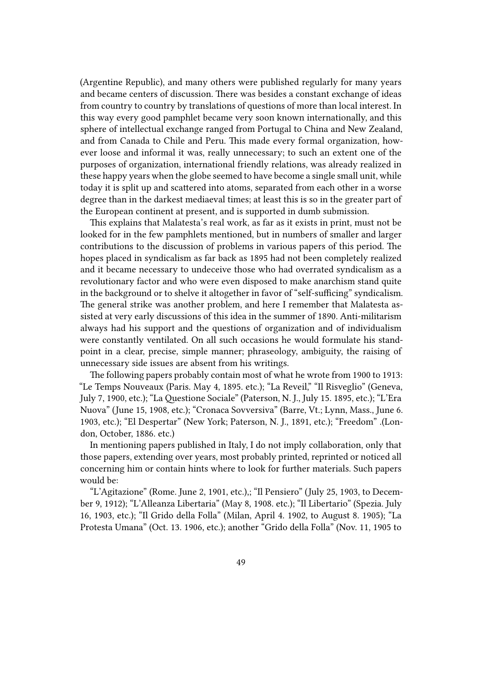(Argentine Republic), and many others were published regularly for many years and became centers of discussion. There was besides a constant exchange of ideas from country to country by translations of questions of more than local interest. In this way every good pamphlet became very soon known internationally, and this sphere of intellectual exchange ranged from Portugal to China and New Zealand, and from Canada to Chile and Peru. This made every formal organization, however loose and informal it was, really unnecessary; to such an extent one of the purposes of organization, international friendly relations, was already realized in these happy years when the globe seemed to have become a single small unit, while today it is split up and scattered into atoms, separated from each other in a worse degree than in the darkest mediaeval times; at least this is so in the greater part of the European continent at present, and is supported in dumb submission.

This explains that Malatesta's real work, as far as it exists in print, must not be looked for in the few pamphlets mentioned, but in numbers of smaller and larger contributions to the discussion of problems in various papers of this period. The hopes placed in syndicalism as far back as 1895 had not been completely realized and it became necessary to undeceive those who had overrated syndicalism as a revolutionary factor and who were even disposed to make anarchism stand quite in the background or to shelve it altogether in favor of "self-sufficing" syndicalism. The general strike was another problem, and here I remember that Malatesta assisted at very early discussions of this idea in the summer of 1890. Anti-militarism always had his support and the questions of organization and of individualism were constantly ventilated. On all such occasions he would formulate his standpoint in a clear, precise, simple manner; phraseology, ambiguity, the raising of unnecessary side issues are absent from his writings.

The following papers probably contain most of what he wrote from 1900 to 1913: "Le Temps Nouveaux (Paris. May 4, 1895. etc.); "La Reveil," "Il Risveglio" (Geneva, July 7, 1900, etc.); "La Questione Sociale" (Paterson, N. J., July 15. 1895, etc.); "L'Era Nuova" (June 15, 1908, etc.); "Cronaca Sovversiva" (Barre, Vt.; Lynn, Mass., June 6. 1903, etc.); "El Despertar" (New York; Paterson, N. J., 1891, etc.); "Freedom" .(London, October, 1886. etc.)

In mentioning papers published in Italy, I do not imply collaboration, only that those papers, extending over years, most probably printed, reprinted or noticed all concerning him or contain hints where to look for further materials. Such papers would be:

"L'Agitazione" (Rome. June 2, 1901, etc.),; "Il Pensiero" (July 25, 1903, to December 9, 1912); "L'Alleanza Libertaria" (May 8, 1908. etc.); "Il Libertario" (Spezia. July 16, 1903, etc.); "Il Grido della Folla" (Milan, April 4. 1902, to August 8. 1905); "La Protesta Umana" (Oct. 13. 1906, etc.); another "Grido della Folla" (Nov. 11, 1905 to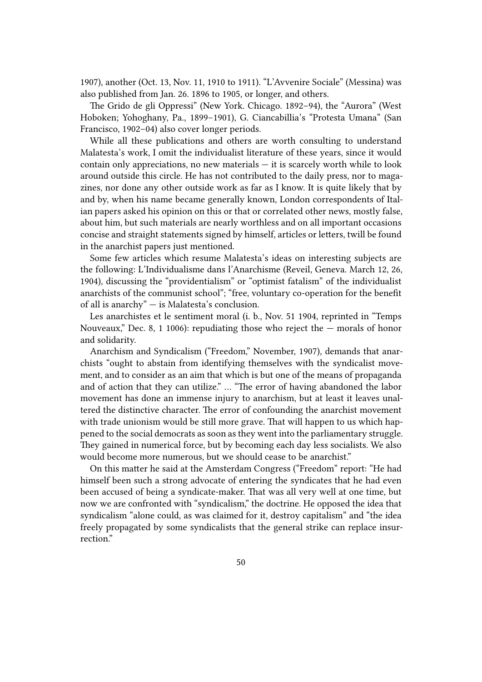1907), another (Oct. 13, Nov. 11, 1910 to 1911). "L'Avvenire Sociale" (Messina) was also published from Jan. 26. 1896 to 1905, or longer, and others.

The Grido de gli Oppressi" (New York. Chicago. 1892–94), the "Aurora" (West Hoboken; Yohoghany, Pa., 1899–1901), G. Ciancabillia's "Protesta Umana" (San Francisco, 1902–04) also cover longer periods.

While all these publications and others are worth consulting to understand Malatesta's work, I omit the individualist literature of these years, since it would contain only appreciations, no new materials  $-$  it is scarcely worth while to look around outside this circle. He has not contributed to the daily press, nor to magazines, nor done any other outside work as far as I know. It is quite likely that by and by, when his name became generally known, London correspondents of Italian papers asked his opinion on this or that or correlated other news, mostly false, about him, but such materials are nearly worthless and on all important occasions concise and straight statements signed by himself, articles or letters, twill be found in the anarchist papers just mentioned.

Some few articles which resume Malatesta's ideas on interesting subjects are the following: L'Individualisme dans l'Anarchisme (Reveil, Geneva. March 12, 26, 1904), discussing the "providentialism" or "optimist fatalism" of the individualist anarchists of the communist school"; "free, voluntary co-operation for the benefit of all is anarchy" — is Malatesta's conclusion.

Les anarchistes et le sentiment moral (i. b., Nov. 51 1904, reprinted in "Temps Nouveaux," Dec. 8, 1 1006): repudiating those who reject the  $-$  morals of honor and solidarity.

Anarchism and Syndicalism ("Freedom," November, 1907), demands that anarchists "ought to abstain from identifying themselves with the syndicalist movement, and to consider as an aim that which is but one of the means of propaganda and of action that they can utilize." … "The error of having abandoned the labor movement has done an immense injury to anarchism, but at least it leaves unaltered the distinctive character. The error of confounding the anarchist movement with trade unionism would be still more grave. That will happen to us which happened to the social democrats as soon as they went into the parliamentary struggle. They gained in numerical force, but by becoming each day less socialists. We also would become more numerous, but we should cease to be anarchist."

On this matter he said at the Amsterdam Congress ("Freedom" report: "He had himself been such a strong advocate of entering the syndicates that he had even been accused of being a syndicate-maker. That was all very well at one time, but now we are confronted with "syndicalism," the doctrine. He opposed the idea that syndicalism "alone could, as was claimed for it, destroy capitalism" and "the idea freely propagated by some syndicalists that the general strike can replace insurrection."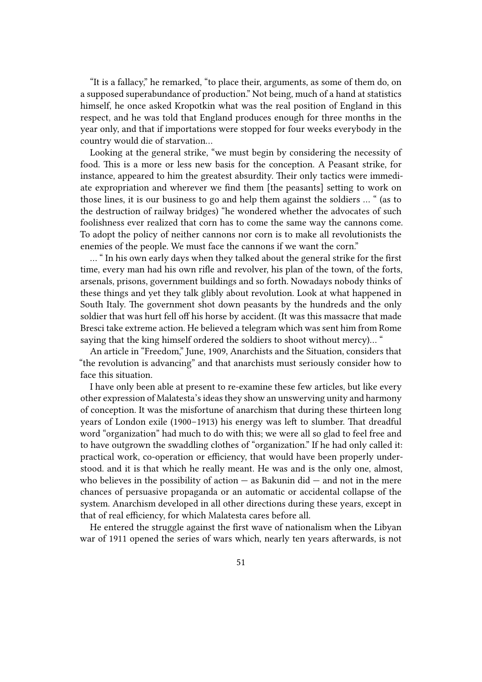"It is a fallacy," he remarked, "to place their, arguments, as some of them do, on a supposed superabundance of production." Not being, much of a hand at statistics himself, he once asked Kropotkin what was the real position of England in this respect, and he was told that England produces enough for three months in the year only, and that if importations were stopped for four weeks everybody in the country would die of starvation…

Looking at the general strike, "we must begin by considering the necessity of food. This is a more or less new basis for the conception. A Peasant strike, for instance, appeared to him the greatest absurdity. Their only tactics were immediate expropriation and wherever we find them [the peasants] setting to work on those lines, it is our business to go and help them against the soldiers … " (as to the destruction of railway bridges) "he wondered whether the advocates of such foolishness ever realized that corn has to come the same way the cannons come. To adopt the policy of neither cannons nor corn is to make all revolutionists the enemies of the people. We must face the cannons if we want the corn."

… " In his own early days when they talked about the general strike for the first time, every man had his own rifle and revolver, his plan of the town, of the forts, arsenals, prisons, government buildings and so forth. Nowadays nobody thinks of these things and yet they talk glibly about revolution. Look at what happened in South Italy. The government shot down peasants by the hundreds and the only soldier that was hurt fell off his horse by accident. (It was this massacre that made Bresci take extreme action. He believed a telegram which was sent him from Rome saying that the king himself ordered the soldiers to shoot without mercy)… "

An article in "Freedom," June, 1909, Anarchists and the Situation, considers that "the revolution is advancing" and that anarchists must seriously consider how to face this situation.

I have only been able at present to re-examine these few articles, but like every other expression of Malatesta's ideas they show an unswerving unity and harmony of conception. It was the misfortune of anarchism that during these thirteen long years of London exile (1900–1913) his energy was left to slumber. That dreadful word "organization" had much to do with this; we were all so glad to feel free and to have outgrown the swaddling clothes of "organization." If he had only called it: practical work, co-operation or efficiency, that would have been properly understood. and it is that which he really meant. He was and is the only one, almost, who believes in the possibility of action  $-$  as Bakunin did  $-$  and not in the mere chances of persuasive propaganda or an automatic or accidental collapse of the system. Anarchism developed in all other directions during these years, except in that of real efficiency, for which Malatesta cares before all.

He entered the struggle against the first wave of nationalism when the Libyan war of 1911 opened the series of wars which, nearly ten years afterwards, is not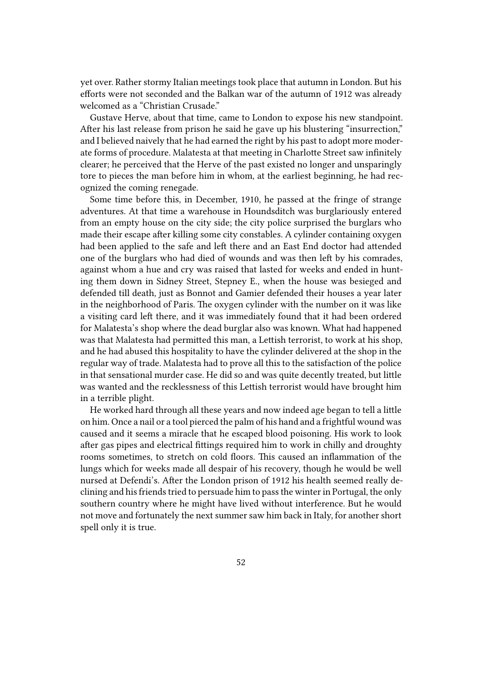yet over. Rather stormy Italian meetings took place that autumn in London. But his efforts were not seconded and the Balkan war of the autumn of 1912 was already welcomed as a "Christian Crusade."

Gustave Herve, about that time, came to London to expose his new standpoint. After his last release from prison he said he gave up his blustering "insurrection," and I believed naively that he had earned the right by his past to adopt more moderate forms of procedure. Malatesta at that meeting in Charlotte Street saw infinitely clearer; he perceived that the Herve of the past existed no longer and unsparingly tore to pieces the man before him in whom, at the earliest beginning, he had recognized the coming renegade.

Some time before this, in December, 1910, he passed at the fringe of strange adventures. At that time a warehouse in Houndsditch was burglariously entered from an empty house on the city side; the city police surprised the burglars who made their escape after killing some city constables. A cylinder containing oxygen had been applied to the safe and left there and an East End doctor had attended one of the burglars who had died of wounds and was then left by his comrades, against whom a hue and cry was raised that lasted for weeks and ended in hunting them down in Sidney Street, Stepney E., when the house was besieged and defended till death, just as Bonnot and Gamier defended their houses a year later in the neighborhood of Paris. The oxygen cylinder with the number on it was like a visiting card left there, and it was immediately found that it had been ordered for Malatesta's shop where the dead burglar also was known. What had happened was that Malatesta had permitted this man, a Lettish terrorist, to work at his shop, and he had abused this hospitality to have the cylinder delivered at the shop in the regular way of trade. Malatesta had to prove all this to the satisfaction of the police in that sensational murder case. He did so and was quite decently treated, but little was wanted and the recklessness of this Lettish terrorist would have brought him in a terrible plight.

He worked hard through all these years and now indeed age began to tell a little on him. Once a nail or a tool pierced the palm of his hand and a frightful wound was caused and it seems a miracle that he escaped blood poisoning. His work to look after gas pipes and electrical fittings required him to work in chilly and droughty rooms sometimes, to stretch on cold floors. This caused an inflammation of the lungs which for weeks made all despair of his recovery, though he would be well nursed at Defendi's. After the London prison of 1912 his health seemed really declining and his friends tried to persuade him to pass the winter in Portugal, the only southern country where he might have lived without interference. But he would not move and fortunately the next summer saw him back in Italy, for another short spell only it is true.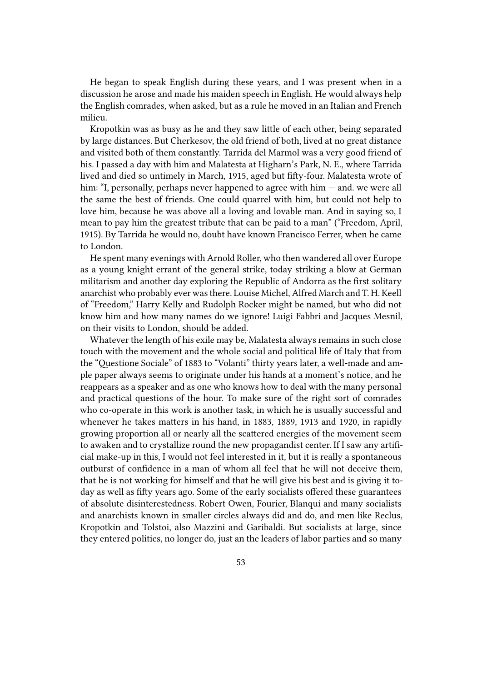He began to speak English during these years, and I was present when in a discussion he arose and made his maiden speech in English. He would always help the English comrades, when asked, but as a rule he moved in an Italian and French milieu.

Kropotkin was as busy as he and they saw little of each other, being separated by large distances. But Cherkesov, the old friend of both, lived at no great distance and visited both of them constantly. Tarrida del Marmol was a very good friend of his. I passed a day with him and Malatesta at Higharn's Park, N. E., where Tarrida lived and died so untimely in March, 1915, aged but fifty-four. Malatesta wrote of him: "I, personally, perhaps never happened to agree with him — and. we were all the same the best of friends. One could quarrel with him, but could not help to love him, because he was above all a loving and lovable man. And in saying so, I mean to pay him the greatest tribute that can be paid to a man" ("Freedom, April, 1915). By Tarrida he would no, doubt have known Francisco Ferrer, when he came to London.

He spent many evenings with Arnold Roller, who then wandered all over Europe as a young knight errant of the general strike, today striking a blow at German militarism and another day exploring the Republic of Andorra as the first solitary anarchist who probably ever was there. Louise Michel, Alfred March and T. H. Keell of "Freedom," Harry Kelly and Rudolph Rocker might be named, but who did not know him and how many names do we ignore! Luigi Fabbri and Jacques Mesnil, on their visits to London, should be added.

Whatever the length of his exile may be, Malatesta always remains in such close touch with the movement and the whole social and political life of Italy that from the "Questione Sociale" of 1883 to "Volanti" thirty years later, a well-made and ample paper always seems to originate under his hands at a moment's notice, and he reappears as a speaker and as one who knows how to deal with the many personal and practical questions of the hour. To make sure of the right sort of comrades who co-operate in this work is another task, in which he is usually successful and whenever he takes matters in his hand, in 1883, 1889, 1913 and 1920, in rapidly growing proportion all or nearly all the scattered energies of the movement seem to awaken and to crystallize round the new propagandist center. If I saw any artificial make-up in this, I would not feel interested in it, but it is really a spontaneous outburst of confidence in a man of whom all feel that he will not deceive them, that he is not working for himself and that he will give his best and is giving it today as well as fifty years ago. Some of the early socialists offered these guarantees of absolute disinterestedness. Robert Owen, Fourier, Blanqui and many socialists and anarchists known in smaller circles always did and do, and men like Reclus, Kropotkin and Tolstoi, also Mazzini and Garibaldi. But socialists at large, since they entered politics, no longer do, just an the leaders of labor parties and so many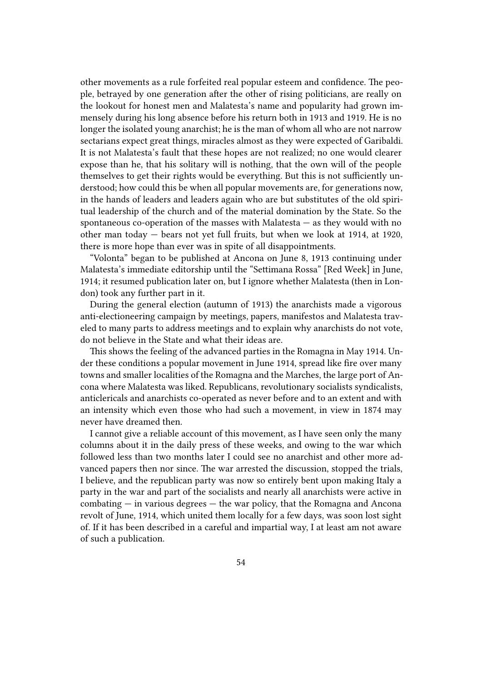other movements as a rule forfeited real popular esteem and confidence. The people, betrayed by one generation after the other of rising politicians, are really on the lookout for honest men and Malatesta's name and popularity had grown immensely during his long absence before his return both in 1913 and 1919. He is no longer the isolated young anarchist; he is the man of whom all who are not narrow sectarians expect great things, miracles almost as they were expected of Garibaldi. It is not Malatesta's fault that these hopes are not realized; no one would clearer expose than he, that his solitary will is nothing, that the own will of the people themselves to get their rights would be everything. But this is not sufficiently understood; how could this be when all popular movements are, for generations now, in the hands of leaders and leaders again who are but substitutes of the old spiritual leadership of the church and of the material domination by the State. So the spontaneous co-operation of the masses with Malatesta — as they would with no other man today — bears not yet full fruits, but when we look at 1914, at 1920, there is more hope than ever was in spite of all disappointments.

"Volonta" began to be published at Ancona on June 8, 1913 continuing under Malatesta's immediate editorship until the "Settimana Rossa" [Red Week] in June, 1914; it resumed publication later on, but I ignore whether Malatesta (then in London) took any further part in it.

During the general election (autumn of 1913) the anarchists made a vigorous anti-electioneering campaign by meetings, papers, manifestos and Malatesta traveled to many parts to address meetings and to explain why anarchists do not vote, do not believe in the State and what their ideas are.

This shows the feeling of the advanced parties in the Romagna in May 1914. Under these conditions a popular movement in June 1914, spread like fire over many towns and smaller localities of the Romagna and the Marches, the large port of Ancona where Malatesta was liked. Republicans, revolutionary socialists syndicalists, anticlericals and anarchists co-operated as never before and to an extent and with an intensity which even those who had such a movement, in view in 1874 may never have dreamed then.

I cannot give a reliable account of this movement, as I have seen only the many columns about it in the daily press of these weeks, and owing to the war which followed less than two months later I could see no anarchist and other more advanced papers then nor since. The war arrested the discussion, stopped the trials, I believe, and the republican party was now so entirely bent upon making Italy a party in the war and part of the socialists and nearly all anarchists were active in  $combating - in various degrees - the war policy, that the Romagna and Ancona$ revolt of June, 1914, which united them locally for a few days, was soon lost sight of. If it has been described in a careful and impartial way, I at least am not aware of such a publication.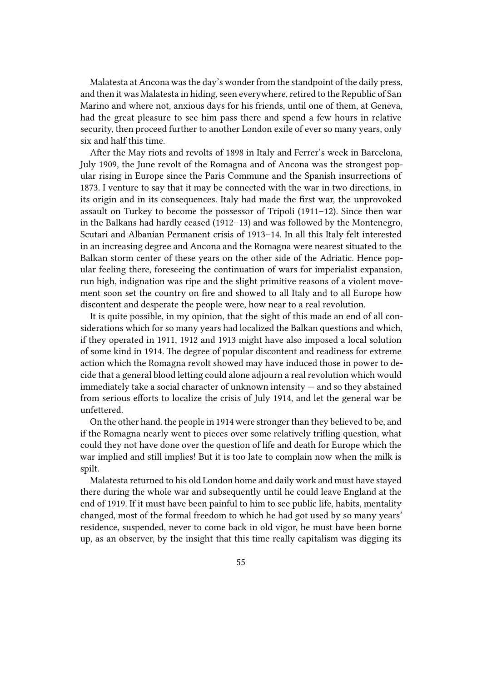Malatesta at Ancona was the day's wonder from the standpoint of the daily press, and then it was Malatesta in hiding, seen everywhere, retired to the Republic of San Marino and where not, anxious days for his friends, until one of them, at Geneva, had the great pleasure to see him pass there and spend a few hours in relative security, then proceed further to another London exile of ever so many years, only six and half this time.

After the May riots and revolts of 1898 in Italy and Ferrer's week in Barcelona, July 1909, the June revolt of the Romagna and of Ancona was the strongest popular rising in Europe since the Paris Commune and the Spanish insurrections of 1873. I venture to say that it may be connected with the war in two directions, in its origin and in its consequences. Italy had made the first war, the unprovoked assault on Turkey to become the possessor of Tripoli (1911–12). Since then war in the Balkans had hardly ceased (1912–13) and was followed by the Montenegro, Scutari and Albanian Permanent crisis of 1913–14. In all this Italy felt interested in an increasing degree and Ancona and the Romagna were nearest situated to the Balkan storm center of these years on the other side of the Adriatic. Hence popular feeling there, foreseeing the continuation of wars for imperialist expansion, run high, indignation was ripe and the slight primitive reasons of a violent movement soon set the country on fire and showed to all Italy and to all Europe how discontent and desperate the people were, how near to a real revolution.

It is quite possible, in my opinion, that the sight of this made an end of all considerations which for so many years had localized the Balkan questions and which, if they operated in 1911, 1912 and 1913 might have also imposed a local solution of some kind in 1914. The degree of popular discontent and readiness for extreme action which the Romagna revolt showed may have induced those in power to decide that a general blood letting could alone adjourn a real revolution which would immediately take a social character of unknown intensity — and so they abstained from serious efforts to localize the crisis of July 1914, and let the general war be unfettered.

On the other hand. the people in 1914 were stronger than they believed to be, and if the Romagna nearly went to pieces over some relatively trifling question, what could they not have done over the question of life and death for Europe which the war implied and still implies! But it is too late to complain now when the milk is spilt.

Malatesta returned to his old London home and daily work and must have stayed there during the whole war and subsequently until he could leave England at the end of 1919. If it must have been painful to him to see public life, habits, mentality changed, most of the formal freedom to which he had got used by so many years' residence, suspended, never to come back in old vigor, he must have been borne up, as an observer, by the insight that this time really capitalism was digging its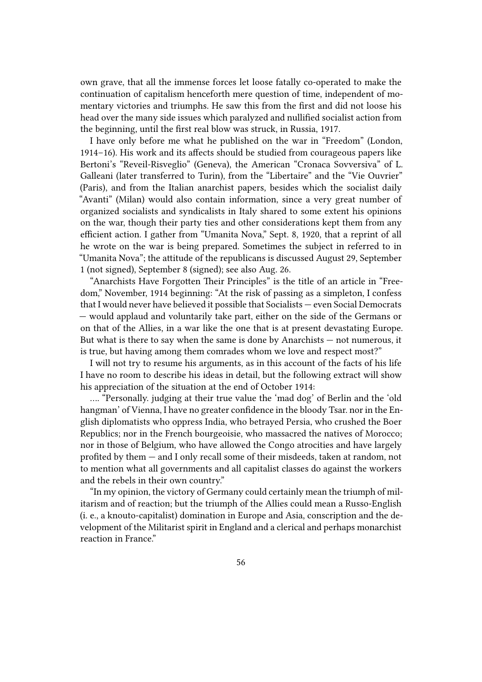own grave, that all the immense forces let loose fatally co-operated to make the continuation of capitalism henceforth mere question of time, independent of momentary victories and triumphs. He saw this from the first and did not loose his head over the many side issues which paralyzed and nullified socialist action from the beginning, until the first real blow was struck, in Russia, 1917.

I have only before me what he published on the war in "Freedom" (London, 1914–16). His work and its affects should be studied from courageous papers like Bertoni's "Reveil-Risveglio" (Geneva), the American "Cronaca Sovversiva" of L. Galleani (later transferred to Turin), from the "Libertaire" and the "Vie Ouvrier" (Paris), and from the Italian anarchist papers, besides which the socialist daily "Avanti" (Milan) would also contain information, since a very great number of organized socialists and syndicalists in Italy shared to some extent his opinions on the war, though their party ties and other considerations kept them from any efficient action. I gather from "Umanita Nova," Sept. 8, 1920, that a reprint of all he wrote on the war is being prepared. Sometimes the subject in referred to in "Umanita Nova"; the attitude of the republicans is discussed August 29, September 1 (not signed), September 8 (signed); see also Aug. 26.

"Anarchists Have Forgotten Their Principles" is the title of an article in "Freedom," November, 1914 beginning: "At the risk of passing as a simpleton, I confess that I would never have believed it possible that Socialists — even Social Democrats — would applaud and voluntarily take part, either on the side of the Germans or on that of the Allies, in a war like the one that is at present devastating Europe. But what is there to say when the same is done by Anarchists — not numerous, it is true, but having among them comrades whom we love and respect most?"

I will not try to resume his arguments, as in this account of the facts of his life I have no room to describe his ideas in detail, but the following extract will show his appreciation of the situation at the end of October 1914:

…. "Personally. judging at their true value the 'mad dog' of Berlin and the 'old hangman' of Vienna, I have no greater confidence in the bloody Tsar. nor in the English diplomatists who oppress India, who betrayed Persia, who crushed the Boer Republics; nor in the French bourgeoisie, who massacred the natives of Morocco; nor in those of Belgium, who have allowed the Congo atrocities and have largely profited by them — and I only recall some of their misdeeds, taken at random, not to mention what all governments and all capitalist classes do against the workers and the rebels in their own country."

"In my opinion, the victory of Germany could certainly mean the triumph of militarism and of reaction; but the triumph of the Allies could mean a Russo-English (i. e., a knouto-capitalist) domination in Europe and Asia, conscription and the development of the Militarist spirit in England and a clerical and perhaps monarchist reaction in France."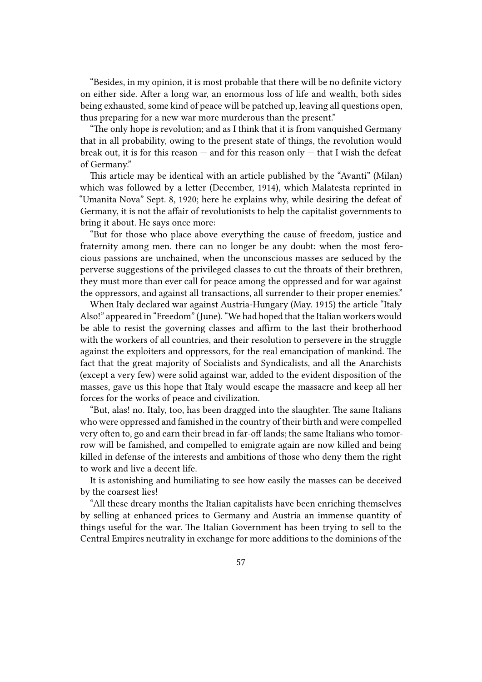"Besides, in my opinion, it is most probable that there will be no definite victory on either side. After a long war, an enormous loss of life and wealth, both sides being exhausted, some kind of peace will be patched up, leaving all questions open, thus preparing for a new war more murderous than the present."

"The only hope is revolution; and as I think that it is from vanquished Germany that in all probability, owing to the present state of things, the revolution would break out, it is for this reason  $-$  and for this reason only  $-$  that I wish the defeat of Germany."

This article may be identical with an article published by the "Avanti" (Milan) which was followed by a letter (December, 1914), which Malatesta reprinted in "Umanita Nova" Sept. 8, 1920; here he explains why, while desiring the defeat of Germany, it is not the affair of revolutionists to help the capitalist governments to bring it about. He says once more:

"But for those who place above everything the cause of freedom, justice and fraternity among men. there can no longer be any doubt: when the most ferocious passions are unchained, when the unconscious masses are seduced by the perverse suggestions of the privileged classes to cut the throats of their brethren, they must more than ever call for peace among the oppressed and for war against the oppressors, and against all transactions, all surrender to their proper enemies."

When Italy declared war against Austria-Hungary (May. 1915) the article "Italy Also!" appeared in "Freedom" (June). "We had hoped that the Italian workers would be able to resist the governing classes and affirm to the last their brotherhood with the workers of all countries, and their resolution to persevere in the struggle against the exploiters and oppressors, for the real emancipation of mankind. The fact that the great majority of Socialists and Syndicalists, and all the Anarchists (except a very few) were solid against war, added to the evident disposition of the masses, gave us this hope that Italy would escape the massacre and keep all her forces for the works of peace and civilization.

"But, alas! no. Italy, too, has been dragged into the slaughter. The same Italians who were oppressed and famished in the country of their birth and were compelled very often to, go and earn their bread in far-off lands; the same Italians who tomorrow will be famished, and compelled to emigrate again are now killed and being killed in defense of the interests and ambitions of those who deny them the right to work and live a decent life.

It is astonishing and humiliating to see how easily the masses can be deceived by the coarsest lies!

"All these dreary months the Italian capitalists have been enriching themselves by selling at enhanced prices to Germany and Austria an immense quantity of things useful for the war. The Italian Government has been trying to sell to the Central Empires neutrality in exchange for more additions to the dominions of the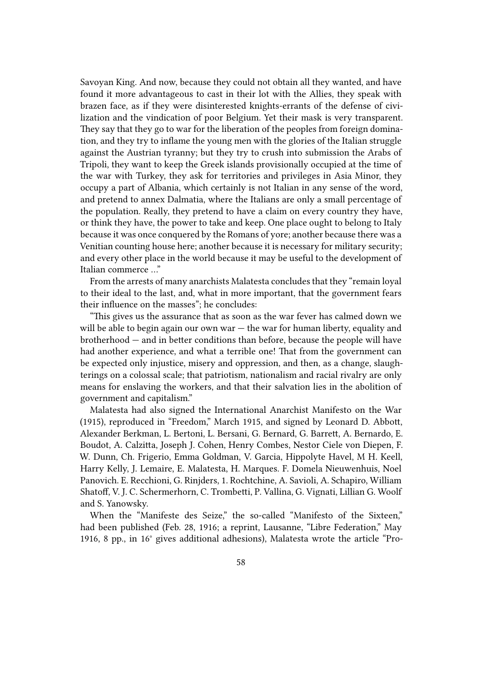Savoyan King. And now, because they could not obtain all they wanted, and have found it more advantageous to cast in their lot with the Allies, they speak with brazen face, as if they were disinterested knights-errants of the defense of civilization and the vindication of poor Belgium. Yet their mask is very transparent. They say that they go to war for the liberation of the peoples from foreign domination, and they try to inflame the young men with the glories of the Italian struggle against the Austrian tyranny; but they try to crush into submission the Arabs of Tripoli, they want to keep the Greek islands provisionally occupied at the time of the war with Turkey, they ask for territories and privileges in Asia Minor, they occupy a part of Albania, which certainly is not Italian in any sense of the word, and pretend to annex Dalmatia, where the Italians are only a small percentage of the population. Really, they pretend to have a claim on every country they have, or think they have, the power to take and keep. One place ought to belong to Italy because it was once conquered by the Romans of yore; another because there was a Venitian counting house here; another because it is necessary for military security; and every other place in the world because it may be useful to the development of Italian commerce …"

From the arrests of many anarchists Malatesta concludes that they "remain loyal to their ideal to the last, and, what in more important, that the government fears their influence on the masses"; he concludes:

"This gives us the assurance that as soon as the war fever has calmed down we will be able to begin again our own war  $-$  the war for human liberty, equality and brotherhood — and in better conditions than before, because the people will have had another experience, and what a terrible one! That from the government can be expected only injustice, misery and oppression, and then, as a change, slaughterings on a colossal scale; that patriotism, nationalism and racial rivalry are only means for enslaving the workers, and that their salvation lies in the abolition of government and capitalism."

Malatesta had also signed the International Anarchist Manifesto on the War (1915), reproduced in "Freedom," March 1915, and signed by Leonard D. Abbott, Alexander Berkman, L. Bertoni, L. Bersani, G. Bernard, G. Barrett, A. Bernardo, E. Boudot, A. Calzitta, Joseph J. Cohen, Henry Combes, Nestor Ciele von Diepen, F. W. Dunn, Ch. Frigerio, Emma Goldman, V. Garcia, Hippolyte Havel, M H. Keell, Harry Kelly, J. Lemaire, E. Malatesta, H. Marques. F. Domela Nieuwenhuis, Noel Panovich. E. Recchioni, G. Rinjders, 1. Rochtchine, A. Savioli, A. Schapiro, William Shatoff, V. J. C. Schermerhorn, C. Trombetti, P. Vallina, G. Vignati, Lillian G. Woolf and S. Yanowsky.

When the "Manifeste des Seize," the so-called "Manifesto of the Sixteen," had been published (Feb. 28, 1916; a reprint, Lausanne, "Libre Federation," May 1916, 8 pp., in 16° gives additional adhesions), Malatesta wrote the article "Pro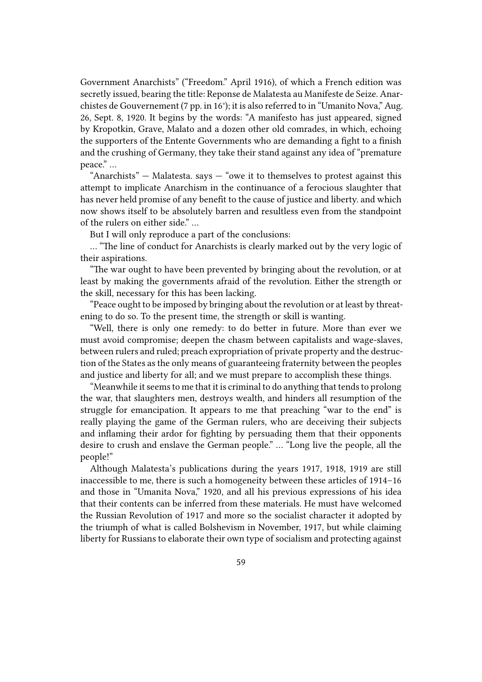Government Anarchists" ("Freedom." April 1916), of which a French edition was secretly issued, bearing the title: Reponse de Malatesta au Manifeste de Seize. Anarchistes de Gouvernement (7 pp. in 16°); it is also referred to in "Umanito Nova," Aug. 26, Sept. 8, 1920. It begins by the words: "A manifesto has just appeared, signed by Kropotkin, Grave, Malato and a dozen other old comrades, in which, echoing the supporters of the Entente Governments who are demanding a fight to a finish and the crushing of Germany, they take their stand against any idea of "premature peace." …

"Anarchists"  $-$  Malatesta. says  $-$  "owe it to themselves to protest against this attempt to implicate Anarchism in the continuance of a ferocious slaughter that has never held promise of any benefit to the cause of justice and liberty. and which now shows itself to be absolutely barren and resultless even from the standpoint of the rulers on either side." …

But I will only reproduce a part of the conclusions:

… "The line of conduct for Anarchists is clearly marked out by the very logic of their aspirations.

"The war ought to have been prevented by bringing about the revolution, or at least by making the governments afraid of the revolution. Either the strength or the skill, necessary for this has been lacking.

"Peace ought to be imposed by bringing about the revolution or at least by threatening to do so. To the present time, the strength or skill is wanting.

"Well, there is only one remedy: to do better in future. More than ever we must avoid compromise; deepen the chasm between capitalists and wage-slaves, between rulers and ruled; preach expropriation of private property and the destruction of the States as the only means of guaranteeing fraternity between the peoples and justice and liberty for all; and we must prepare to accomplish these things.

"Meanwhile it seems to me that it is criminal to do anything that tends to prolong the war, that slaughters men, destroys wealth, and hinders all resumption of the struggle for emancipation. It appears to me that preaching "war to the end" is really playing the game of the German rulers, who are deceiving their subjects and inflaming their ardor for fighting by persuading them that their opponents desire to crush and enslave the German people." … "Long live the people, all the people!"

Although Malatesta's publications during the years 1917, 1918, 1919 are still inaccessible to me, there is such a homogeneity between these articles of 1914–16 and those in "Umanita Nova," 1920, and all his previous expressions of his idea that their contents can be inferred from these materials. He must have welcomed the Russian Revolution of 1917 and more so the socialist character it adopted by the triumph of what is called Bolshevism in November, 1917, but while claiming liberty for Russians to elaborate their own type of socialism and protecting against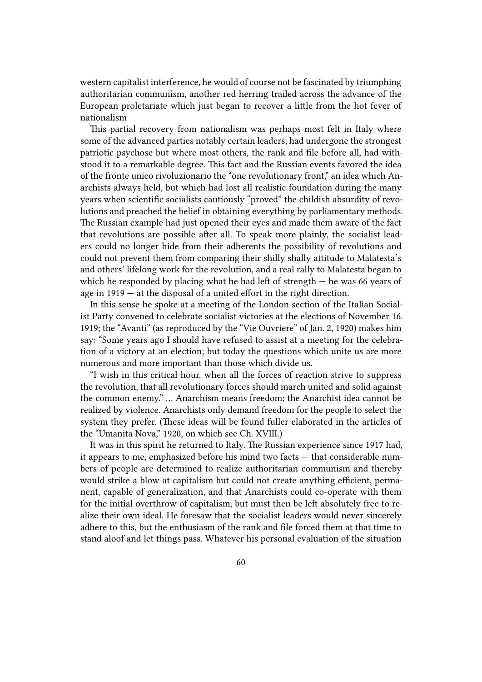western capitalist interference, he would of course not be fascinated by triumphing authoritarian communism, another red herring trailed across the advance of the European proletariate which just began to recover a little from the hot fever of nationalism

This partial recovery from nationalism was perhaps most felt in Italy where some of the advanced parties notably certain leaders, had undergone the strongest patriotic psychose but where most others, the rank and file before all, had withstood it to a remarkable degree. This fact and the Russian events favored the idea of the fronte unico rivoluzionario the "one revolutionary front," an idea which Anarchists always held, but which had lost all realistic foundation during the many years when scientific socialists cautiously "proved" the childish absurdity of revolutions and preached the belief in obtaining everything by parliamentary methods. The Russian example had just opened their eyes and made them aware of the fact that revolutions are possible after all. To speak more plainly, the socialist leaders could no longer hide from their adherents the possibility of revolutions and could not prevent them from comparing their shilly shally attitude to Malatesta's and others' lifelong work for the revolution, and a real rally to Malatesta began to which he responded by placing what he had left of strength  $-$  he was 66 years of age in 1919 — at the disposal of a united effort in the right direction.

In this sense he spoke at a meeting of the London section of the Italian Socialist Party convened to celebrate socialist victories at the elections of November 16. 1919; the "Avanti" (as reproduced by the "Vie Ouvriere" of Jan. 2, 1920) makes him say: "Some years ago I should have refused to assist at a meeting for the celebration of a victory at an election; but today the questions which unite us are more numerous and more important than those which divide us.

"I wish in this critical hour, when all the forces of reaction strive to suppress the revolution, that all revolutionary forces should march united and solid against the common enemy." … Anarchism means freedom; the Anarchist idea cannot be realized by violence. Anarchists only demand freedom for the people to select the system they prefer. (These ideas will be found fuller elaborated in the articles of the "Umanita Nova," 1920, on which see Ch. XVIII.)

It was in this spirit he returned to Italy. The Russian experience since 1917 had, it appears to me, emphasized before his mind two facts — that considerable numbers of people are determined to realize authoritarian communism and thereby would strike a blow at capitalism but could not create anything efficient, permanent, capable of generalization, and that Anarchists could co-operate with them for the initial overthrow of capitalism, but must then be left absolutely free to realize their own ideal. He foresaw that the socialist leaders would never sincerely adhere to this, but the enthusiasm of the rank and file forced them at that time to stand aloof and let things pass. Whatever his personal evaluation of the situation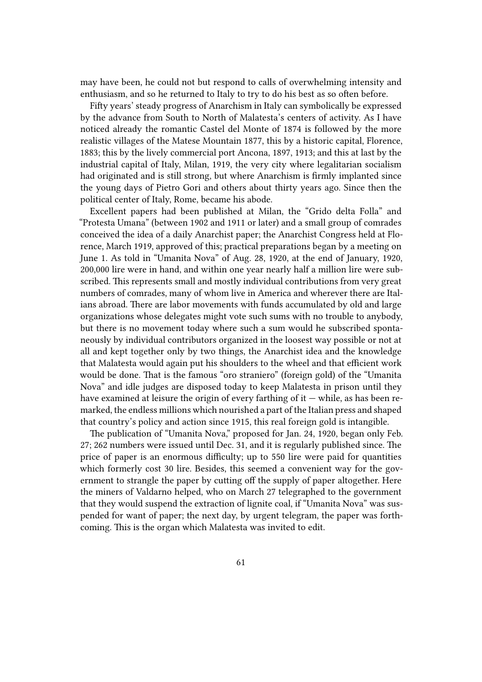may have been, he could not but respond to calls of overwhelming intensity and enthusiasm, and so he returned to Italy to try to do his best as so often before.

Fifty years' steady progress of Anarchism in Italy can symbolically be expressed by the advance from South to North of Malatesta's centers of activity. As I have noticed already the romantic Castel del Monte of 1874 is followed by the more realistic villages of the Matese Mountain 1877, this by a historic capital, Florence, 1883; this by the lively commercial port Ancona, 1897, 1913; and this at last by the industrial capital of Italy, Milan, 1919, the very city where legalitarian socialism had originated and is still strong, but where Anarchism is firmly implanted since the young days of Pietro Gori and others about thirty years ago. Since then the political center of Italy, Rome, became his abode.

Excellent papers had been published at Milan, the "Grido delta Folla" and "Protesta Umana" (between 1902 and 1911 or later) and a small group of comrades conceived the idea of a daily Anarchist paper; the Anarchist Congress held at Florence, March 1919, approved of this; practical preparations began by a meeting on June 1. As told in "Umanita Nova" of Aug. 28, 1920, at the end of January, 1920, 200,000 lire were in hand, and within one year nearly half a million lire were subscribed. This represents small and mostly individual contributions from very great numbers of comrades, many of whom live in America and wherever there are Italians abroad. There are labor movements with funds accumulated by old and large organizations whose delegates might vote such sums with no trouble to anybody, but there is no movement today where such a sum would he subscribed spontaneously by individual contributors organized in the loosest way possible or not at all and kept together only by two things, the Anarchist idea and the knowledge that Malatesta would again put his shoulders to the wheel and that efficient work would be done. That is the famous "oro straniero" (foreign gold) of the "Umanita Nova" and idle judges are disposed today to keep Malatesta in prison until they have examined at leisure the origin of every farthing of it  $-$  while, as has been remarked, the endless millions which nourished a part of the Italian press and shaped that country's policy and action since 1915, this real foreign gold is intangible.

The publication of "Umanita Nova," proposed for Jan. 24, 1920, began only Feb. 27; 262 numbers were issued until Dec. 31, and it is regularly published since. The price of paper is an enormous difficulty; up to 550 lire were paid for quantities which formerly cost 30 lire. Besides, this seemed a convenient way for the government to strangle the paper by cutting off the supply of paper altogether. Here the miners of Valdarno helped, who on March 27 telegraphed to the government that they would suspend the extraction of lignite coal, if "Umanita Nova" was suspended for want of paper; the next day, by urgent telegram, the paper was forthcoming. This is the organ which Malatesta was invited to edit.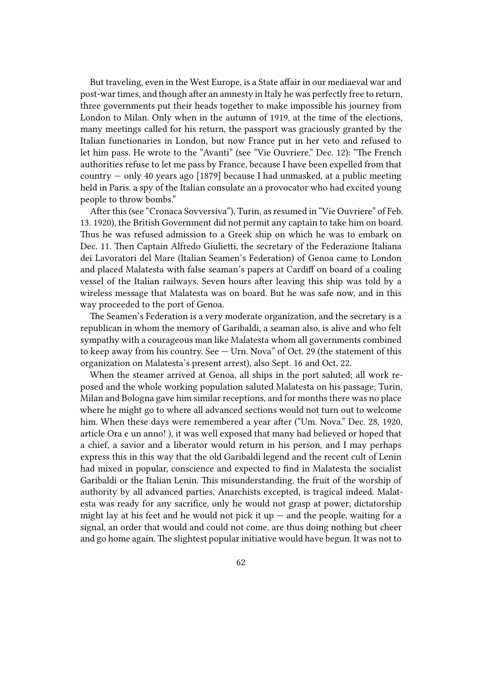But traveling, even in the West Europe, is a State affair in our mediaeval war and post-war times, and though after an amnesty in Italy he was perfectly free to return, three governments put their heads together to make impossible his journey from London to Milan. Only when in the autumn of 1919, at the time of the elections, many meetings called for his return, the passport was graciously granted by the Italian functionaries in London, but now France put in her veto and refused to let him pass. He wrote to the "Avanti" (see "Vie Ouvriere," Dec. 12): "The French authorities refuse to let me pass by France, because I have been expelled from that country — only 40 years ago [1879] because I had unmasked, at a public meeting held in Paris. a spy of the Italian consulate an a provocator who had excited young people to throw bombs."

After this (see "Cronaca Sovversiva"), Turin, as resumed in "Vie Ouvriere" of Feb. 13. 1920), the British Government did not permit any captain to take him on board. Thus he was refused admission to a Greek ship on which he was to embark on Dec. 11. Then Captain Alfredo Giulietti, the secretary of the Federazione Italiana dei Lavoratori del Mare (Italian Seamen's Federation) of Genoa came to London and placed Malatesta with false seaman's papers at Cardiff on board of a coaling vessel of the Italian railways. Seven hours after leaving this ship was told by a wireless message that Malatesta was on board. But he was safe now, and in this way proceeded to the port of Genoa.

The Seamen's Federation is a very moderate organization, and the secretary is a republican in whom the memory of Garibaldi, a seaman also, is alive and who felt sympathy with a courageous man like Malatesta whom all governments combined to keep away from his country. See — Urn. Nova" of Oct. 29 (the statement of this organization on Malatesta's present arrest), also Sept. 16 and Oct. 22.

When the steamer arrived at Genoa, all ships in the port saluted; all work reposed and the whole working population saluted Malatesta on his passage; Turin, Milan and Bologna gave him similar receptions, and for months there was no place where he might go to where all advanced sections would not turn out to welcome him. When these days were remembered a year after ("Um. Nova." Dec. 28, 1920, article Ora e un anno! ), it was well exposed that many had believed or hoped that a chief, a savior and a liberator would return in his person, and I may perhaps express this in this way that the old Garibaldi legend and the recent cult of Lenin had mixed in popular, conscience and expected to find in Malatesta the socialist Garibaldi or the Italian Lenin. This misunderstanding, the fruit of the worship of authority by all advanced parties, Anarchists excepted, is tragical indeed. Malatesta was ready for any sacrifice, only he would not grasp at power; dictatorship might lay at his feet and he would not pick it up  $-$  and the people, waiting for a signal, an order that would and could not come, are thus doing nothing but cheer and go home again. The slightest popular initiative would have begun. It was not to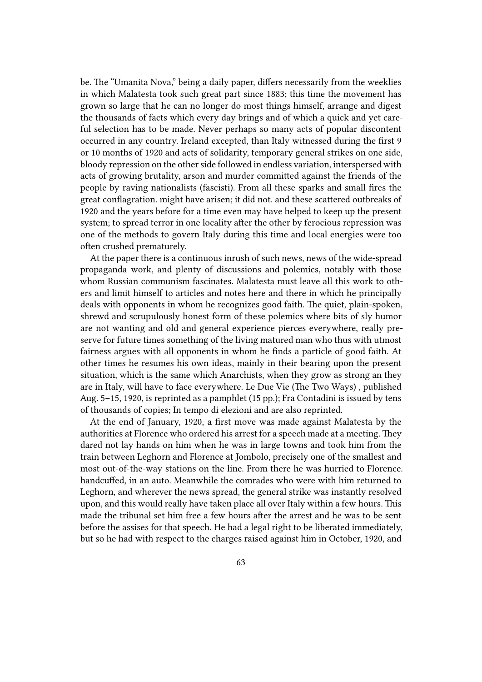be. The "Umanita Nova," being a daily paper, differs necessarily from the weeklies in which Malatesta took such great part since 1883; this time the movement has grown so large that he can no longer do most things himself, arrange and digest the thousands of facts which every day brings and of which a quick and yet careful selection has to be made. Never perhaps so many acts of popular discontent occurred in any country. Ireland excepted, than Italy witnessed during the first 9 or 10 months of 1920 and acts of solidarity, temporary general strikes on one side, bloody repression on the other side followed in endless variation, interspersed with acts of growing brutality, arson and murder committed against the friends of the people by raving nationalists (fascisti). From all these sparks and small fires the great conflagration. might have arisen; it did not. and these scattered outbreaks of 1920 and the years before for a time even may have helped to keep up the present system; to spread terror in one locality after the other by ferocious repression was one of the methods to govern Italy during this time and local energies were too often crushed prematurely.

At the paper there is a continuous inrush of such news, news of the wide-spread propaganda work, and plenty of discussions and polemics, notably with those whom Russian communism fascinates. Malatesta must leave all this work to others and limit himself to articles and notes here and there in which he principally deals with opponents in whom he recognizes good faith. The quiet, plain-spoken, shrewd and scrupulously honest form of these polemics where bits of sly humor are not wanting and old and general experience pierces everywhere, really preserve for future times something of the living matured man who thus with utmost fairness argues with all opponents in whom he finds a particle of good faith. At other times he resumes his own ideas, mainly in their bearing upon the present situation, which is the same which Anarchists, when they grow as strong an they are in Italy, will have to face everywhere. Le Due Vie (The Two Ways) , published Aug. 5–15, 1920, is reprinted as a pamphlet (15 pp.); Fra Contadini is issued by tens of thousands of copies; In tempo di elezioni and are also reprinted.

At the end of January, 1920, a first move was made against Malatesta by the authorities at Florence who ordered his arrest for a speech made at a meeting. They dared not lay hands on him when he was in large towns and took him from the train between Leghorn and Florence at Jombolo, precisely one of the smallest and most out-of-the-way stations on the line. From there he was hurried to Florence. handcuffed, in an auto. Meanwhile the comrades who were with him returned to Leghorn, and wherever the news spread, the general strike was instantly resolved upon, and this would really have taken place all over Italy within a few hours. This made the tribunal set him free a few hours after the arrest and he was to be sent before the assises for that speech. He had a legal right to be liberated immediately, but so he had with respect to the charges raised against him in October, 1920, and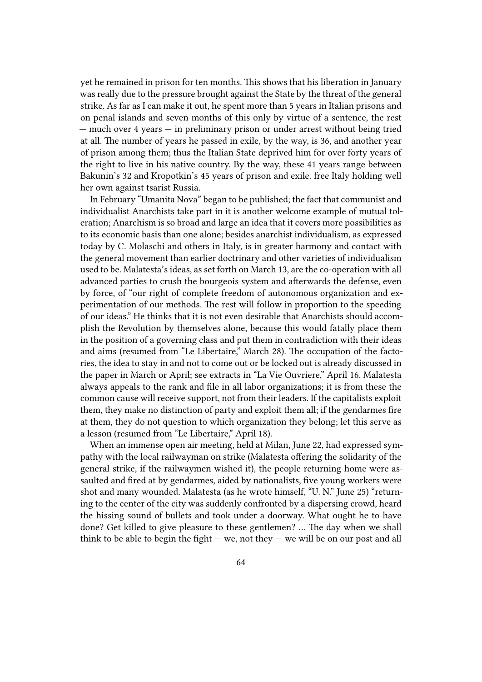yet he remained in prison for ten months. This shows that his liberation in January was really due to the pressure brought against the State by the threat of the general strike. As far as I can make it out, he spent more than 5 years in Italian prisons and on penal islands and seven months of this only by virtue of a sentence, the rest — much over 4 years — in preliminary prison or under arrest without being tried at all. The number of years he passed in exile, by the way, is 36, and another year of prison among them; thus the Italian State deprived him for over forty years of the right to live in his native country. By the way, these 41 years range between Bakunin's 32 and Kropotkin's 45 years of prison and exile. free Italy holding well her own against tsarist Russia.

In February "Umanita Nova" began to be published; the fact that communist and individualist Anarchists take part in it is another welcome example of mutual toleration; Anarchism is so broad and large an idea that it covers more possibilities as to its economic basis than one alone; besides anarchist individualism, as expressed today by C. Molaschi and others in Italy, is in greater harmony and contact with the general movement than earlier doctrinary and other varieties of individualism used to be. Malatesta's ideas, as set forth on March 13, are the co-operation with all advanced parties to crush the bourgeois system and afterwards the defense, even by force, of "our right of complete freedom of autonomous organization and experimentation of our methods. The rest will follow in proportion to the speeding of our ideas." He thinks that it is not even desirable that Anarchists should accomplish the Revolution by themselves alone, because this would fatally place them in the position of a governing class and put them in contradiction with their ideas and aims (resumed from "Le Libertaire," March 28). The occupation of the factories, the idea to stay in and not to come out or be locked out is already discussed in the paper in March or April; see extracts in "La Vie Ouvriere," April 16. Malatesta always appeals to the rank and file in all labor organizations; it is from these the common cause will receive support, not from their leaders. If the capitalists exploit them, they make no distinction of party and exploit them all; if the gendarmes fire at them, they do not question to which organization they belong; let this serve as a lesson (resumed from "Le Libertaire," April 18).

When an immense open air meeting, held at Milan, June 22, had expressed sympathy with the local railwayman on strike (Malatesta offering the solidarity of the general strike, if the railwaymen wished it), the people returning home were assaulted and fired at by gendarmes, aided by nationalists, five young workers were shot and many wounded. Malatesta (as he wrote himself, "U. N." June 25) "returning to the center of the city was suddenly confronted by a dispersing crowd, heard the hissing sound of bullets and took under a doorway. What ought he to have done? Get killed to give pleasure to these gentlemen? … The day when we shall think to be able to begin the fight  $-$  we, not they  $-$  we will be on our post and all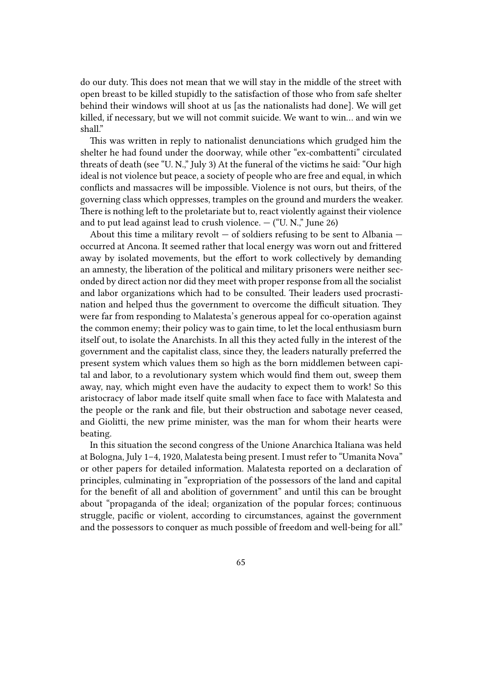do our duty. This does not mean that we will stay in the middle of the street with open breast to be killed stupidly to the satisfaction of those who from safe shelter behind their windows will shoot at us [as the nationalists had done]. We will get killed, if necessary, but we will not commit suicide. We want to win… and win we shall."

This was written in reply to nationalist denunciations which grudged him the shelter he had found under the doorway, while other "ex-combattenti" circulated threats of death (see "U. N.," July 3) At the funeral of the victims he said: "Our high ideal is not violence but peace, a society of people who are free and equal, in which conflicts and massacres will be impossible. Violence is not ours, but theirs, of the governing class which oppresses, tramples on the ground and murders the weaker. There is nothing left to the proletariate but to, react violently against their violence and to put lead against lead to crush violence.  $-$  ("U. N.," June 26)

About this time a military revolt  $-$  of soldiers refusing to be sent to Albania  $$ occurred at Ancona. It seemed rather that local energy was worn out and frittered away by isolated movements, but the effort to work collectively by demanding an amnesty, the liberation of the political and military prisoners were neither seconded by direct action nor did they meet with proper response from all the socialist and labor organizations which had to be consulted. Their leaders used procrastination and helped thus the government to overcome the difficult situation. They were far from responding to Malatesta's generous appeal for co-operation against the common enemy; their policy was to gain time, to let the local enthusiasm burn itself out, to isolate the Anarchists. In all this they acted fully in the interest of the government and the capitalist class, since they, the leaders naturally preferred the present system which values them so high as the born middlemen between capital and labor, to a revolutionary system which would find them out, sweep them away, nay, which might even have the audacity to expect them to work! So this aristocracy of labor made itself quite small when face to face with Malatesta and the people or the rank and file, but their obstruction and sabotage never ceased, and Giolitti, the new prime minister, was the man for whom their hearts were beating.

In this situation the second congress of the Unione Anarchica Italiana was held at Bologna, July 1–4, 1920, Malatesta being present. I must refer to "Umanita Nova" or other papers for detailed information. Malatesta reported on a declaration of principles, culminating in "expropriation of the possessors of the land and capital for the benefit of all and abolition of government" and until this can be brought about "propaganda of the ideal; organization of the popular forces; continuous struggle, pacific or violent, according to circumstances, against the government and the possessors to conquer as much possible of freedom and well-being for all."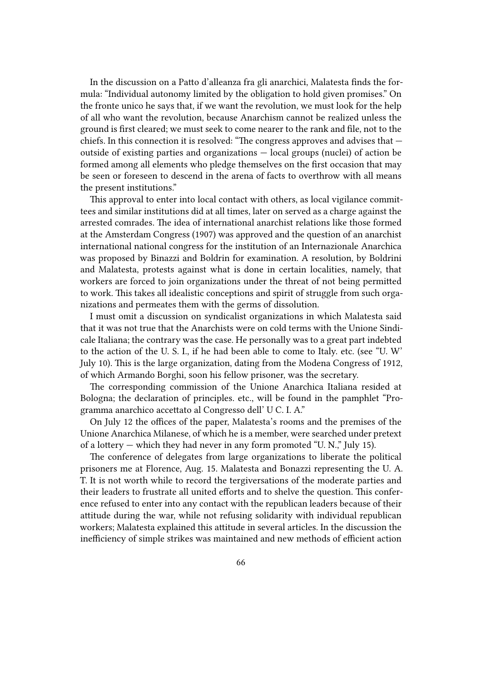In the discussion on a Patto d'alleanza fra gli anarchici, Malatesta finds the formula: "Individual autonomy limited by the obligation to hold given promises." On the fronte unico he says that, if we want the revolution, we must look for the help of all who want the revolution, because Anarchism cannot be realized unless the ground is first cleared; we must seek to come nearer to the rank and file, not to the chiefs. In this connection it is resolved: "The congress approves and advises that outside of existing parties and organizations — local groups (nuclei) of action be formed among all elements who pledge themselves on the first occasion that may be seen or foreseen to descend in the arena of facts to overthrow with all means the present institutions."

This approval to enter into local contact with others, as local vigilance committees and similar institutions did at all times, later on served as a charge against the arrested comrades. The idea of international anarchist relations like those formed at the Amsterdam Congress (1907) was approved and the question of an anarchist international national congress for the institution of an Internazionale Anarchica was proposed by Binazzi and Boldrin for examination. A resolution, by Boldrini and Malatesta, protests against what is done in certain localities, namely, that workers are forced to join organizations under the threat of not being permitted to work. This takes all idealistic conceptions and spirit of struggle from such organizations and permeates them with the germs of dissolution.

I must omit a discussion on syndicalist organizations in which Malatesta said that it was not true that the Anarchists were on cold terms with the Unione Sindicale Italiana; the contrary was the case. He personally was to a great part indebted to the action of the U. S. I., if he had been able to come to Italy. etc. (see "U. W' July 10). This is the large organization, dating from the Modena Congress of 1912, of which Armando Borghi, soon his fellow prisoner, was the secretary.

The corresponding commission of the Unione Anarchica Italiana resided at Bologna; the declaration of principles. etc., will be found in the pamphlet "Programma anarchico accettato al Congresso dell' U C. I. A."

On July 12 the offices of the paper, Malatesta's rooms and the premises of the Unione Anarchica Milanese, of which he is a member, were searched under pretext of a lottery — which they had never in any form promoted "U. N.," July 15).

The conference of delegates from large organizations to liberate the political prisoners me at Florence, Aug. 15. Malatesta and Bonazzi representing the U. A. T. It is not worth while to record the tergiversations of the moderate parties and their leaders to frustrate all united efforts and to shelve the question. This conference refused to enter into any contact with the republican leaders because of their attitude during the war, while not refusing solidarity with individual republican workers; Malatesta explained this attitude in several articles. In the discussion the inefficiency of simple strikes was maintained and new methods of efficient action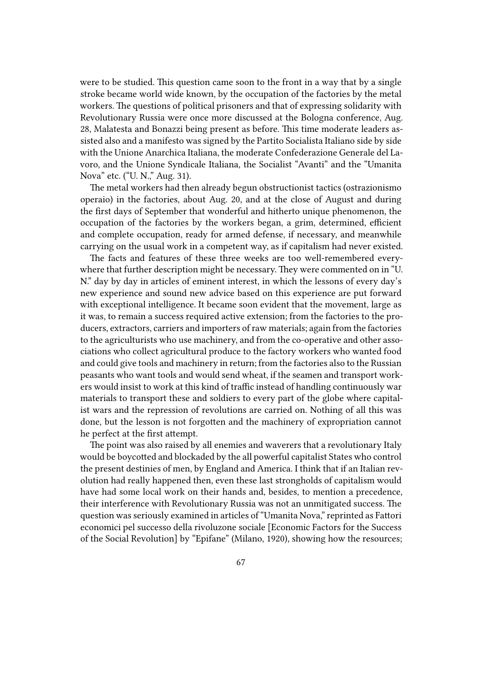were to be studied. This question came soon to the front in a way that by a single stroke became world wide known, by the occupation of the factories by the metal workers. The questions of political prisoners and that of expressing solidarity with Revolutionary Russia were once more discussed at the Bologna conference, Aug. 28, Malatesta and Bonazzi being present as before. This time moderate leaders assisted also and a manifesto was signed by the Partito Socialista Italiano side by side with the Unione Anarchica Italiana, the moderate Confederazione Generale del Lavoro, and the Unione Syndicale Italiana, the Socialist "Avanti" and the "Umanita Nova" etc. ("U. N.," Aug. 31).

The metal workers had then already begun obstructionist tactics (ostrazionismo operaio) in the factories, about Aug. 20, and at the close of August and during the first days of September that wonderful and hitherto unique phenomenon, the occupation of the factories by the workers began, a grim, determined, efficient and complete occupation, ready for armed defense, if necessary, and meanwhile carrying on the usual work in a competent way, as if capitalism had never existed.

The facts and features of these three weeks are too well-remembered everywhere that further description might be necessary. They were commented on in "U. N." day by day in articles of eminent interest, in which the lessons of every day's new experience and sound new advice based on this experience are put forward with exceptional intelligence. It became soon evident that the movement, large as it was, to remain a success required active extension; from the factories to the producers, extractors, carriers and importers of raw materials; again from the factories to the agriculturists who use machinery, and from the co-operative and other associations who collect agricultural produce to the factory workers who wanted food and could give tools and machinery in return; from the factories also to the Russian peasants who want tools and would send wheat, if the seamen and transport workers would insist to work at this kind of traffic instead of handling continuously war materials to transport these and soldiers to every part of the globe where capitalist wars and the repression of revolutions are carried on. Nothing of all this was done, but the lesson is not forgotten and the machinery of expropriation cannot he perfect at the first attempt.

The point was also raised by all enemies and waverers that a revolutionary Italy would be boycotted and blockaded by the all powerful capitalist States who control the present destinies of men, by England and America. I think that if an Italian revolution had really happened then, even these last strongholds of capitalism would have had some local work on their hands and, besides, to mention a precedence, their interference with Revolutionary Russia was not an unmitigated success. The question was seriously examined in articles of "Umanita Nova," reprinted as Fattori economici pel successo della rivoluzone sociale [Economic Factors for the Success of the Social Revolution] by "Epifane" (Milano, 1920), showing how the resources;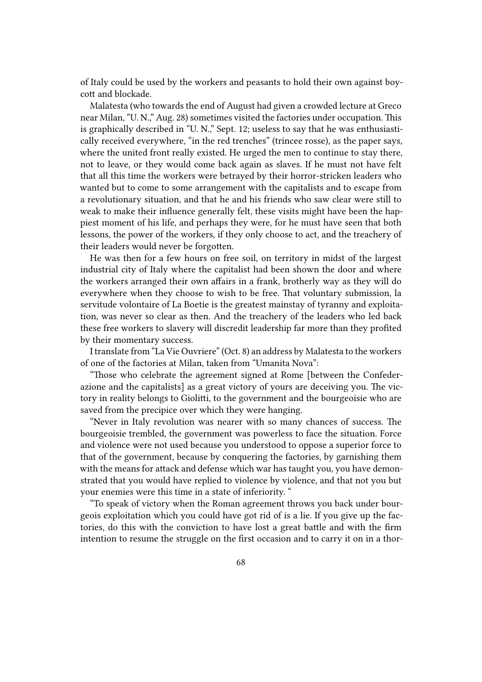of Italy could be used by the workers and peasants to hold their own against boycott and blockade.

Malatesta (who towards the end of August had given a crowded lecture at Greco near Milan, "U. N.," Aug. 28) sometimes visited the factories under occupation. This is graphically described in "U. N.," Sept. 12; useless to say that he was enthusiastically received everywhere, "in the red trenches" (trincee rosse), as the paper says, where the united front really existed. He urged the men to continue to stay there, not to leave, or they would come back again as slaves. If he must not have felt that all this time the workers were betrayed by their horror-stricken leaders who wanted but to come to some arrangement with the capitalists and to escape from a revolutionary situation, and that he and his friends who saw clear were still to weak to make their influence generally felt, these visits might have been the happiest moment of his life, and perhaps they were, for he must have seen that both lessons, the power of the workers, if they only choose to act, and the treachery of their leaders would never be forgotten.

He was then for a few hours on free soil, on territory in midst of the largest industrial city of Italy where the capitalist had been shown the door and where the workers arranged their own affairs in a frank, brotherly way as they will do everywhere when they choose to wish to be free. That voluntary submission, la servitude volontaire of La Boetie is the greatest mainstay of tyranny and exploitation, was never so clear as then. And the treachery of the leaders who led back these free workers to slavery will discredit leadership far more than they profited by their momentary success.

I translate from "La Vie Ouvriere" (Oct. 8) an address by Malatesta to the workers of one of the factories at Milan, taken from "Umanita Nova":

"Those who celebrate the agreement signed at Rome [between the Confederazione and the capitalists] as a great victory of yours are deceiving you. The victory in reality belongs to Giolitti, to the government and the bourgeoisie who are saved from the precipice over which they were hanging.

"Never in Italy revolution was nearer with so many chances of success. The bourgeoisie trembled, the government was powerless to face the situation. Force and violence were not used because you understood to oppose a superior force to that of the government, because by conquering the factories, by garnishing them with the means for attack and defense which war has taught you, you have demonstrated that you would have replied to violence by violence, and that not you but your enemies were this time in a state of inferiority. "

"To speak of victory when the Roman agreement throws you back under bourgeois exploitation which you could have got rid of is a lie. If you give up the factories, do this with the conviction to have lost a great battle and with the firm intention to resume the struggle on the first occasion and to carry it on in a thor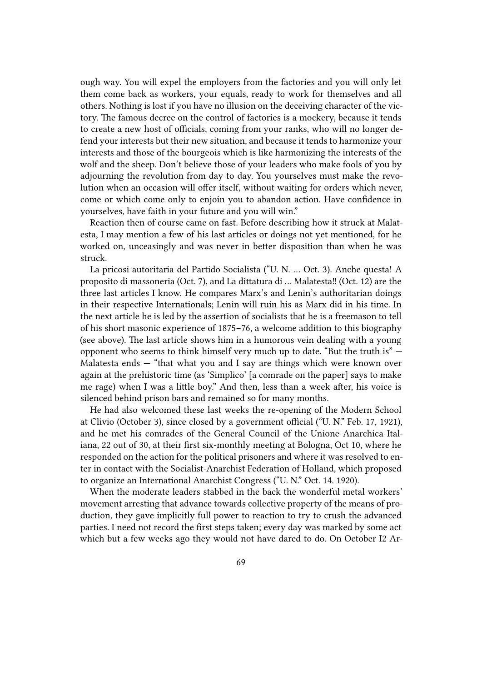ough way. You will expel the employers from the factories and you will only let them come back as workers, your equals, ready to work for themselves and all others. Nothing is lost if you have no illusion on the deceiving character of the victory. The famous decree on the control of factories is a mockery, because it tends to create a new host of officials, coming from your ranks, who will no longer defend your interests but their new situation, and because it tends to harmonize your interests and those of the bourgeois which is like harmonizing the interests of the wolf and the sheep. Don't believe those of your leaders who make fools of you by adjourning the revolution from day to day. You yourselves must make the revolution when an occasion will offer itself, without waiting for orders which never, come or which come only to enjoin you to abandon action. Have confidence in yourselves, have faith in your future and you will win."

Reaction then of course came on fast. Before describing how it struck at Malatesta, I may mention a few of his last articles or doings not yet mentioned, for he worked on, unceasingly and was never in better disposition than when he was struck.

La pricosi autoritaria del Partido Socialista ("U. N. … Oct. 3). Anche questa! A proposito di massoneria (Oct. 7), and La dittatura di … Malatesta‼ (Oct. 12) are the three last articles I know. He compares Marx's and Lenin's authoritarian doings in their respective Internationals; Lenin will ruin his as Marx did in his time. In the next article he is led by the assertion of socialists that he is a freemason to tell of his short masonic experience of 1875–76, a welcome addition to this biography (see above). The last article shows him in a humorous vein dealing with a young opponent who seems to think himself very much up to date. "But the truth is" — Malatesta ends — "that what you and I say are things which were known over again at the prehistoric time (as 'Simplico' [a comrade on the paper] says to make me rage) when I was a little boy." And then, less than a week after, his voice is silenced behind prison bars and remained so for many months.

He had also welcomed these last weeks the re-opening of the Modern School at Clivio (October 3), since closed by a government official ("U. N." Feb. 17, 1921), and he met his comrades of the General Council of the Unione Anarchica Italiana, 22 out of 30, at their first six-monthly meeting at Bologna, Oct 10, where he responded on the action for the political prisoners and where it was resolved to enter in contact with the Socialist-Anarchist Federation of Holland, which proposed to organize an International Anarchist Congress ("U. N." Oct. 14. 1920).

When the moderate leaders stabbed in the back the wonderful metal workers' movement arresting that advance towards collective property of the means of production, they gave implicitly full power to reaction to try to crush the advanced parties. I need not record the first steps taken; every day was marked by some act which but a few weeks ago they would not have dared to do. On October I2 Ar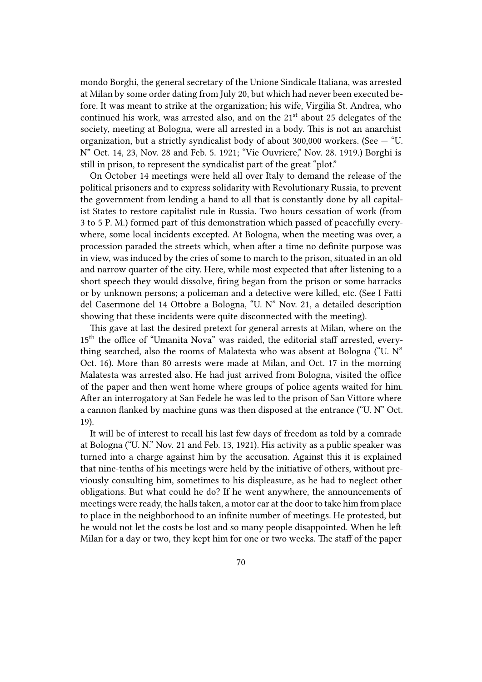mondo Borghi, the general secretary of the Unione Sindicale Italiana, was arrested at Milan by some order dating from July 20, but which had never been executed before. It was meant to strike at the organization; his wife, Virgilia St. Andrea, who continued his work, was arrested also, and on the  $21<sup>st</sup>$  about 25 delegates of the society, meeting at Bologna, were all arrested in a body. This is not an anarchist organization, but a strictly syndicalist body of about 300,000 workers. (See  $-$  "U. N" Oct. 14, 23, Nov. 28 and Feb. 5. 1921; "Vie Ouvriere," Nov. 28. 1919.) Borghi is still in prison, to represent the syndicalist part of the great "plot."

On October 14 meetings were held all over Italy to demand the release of the political prisoners and to express solidarity with Revolutionary Russia, to prevent the government from lending a hand to all that is constantly done by all capitalist States to restore capitalist rule in Russia. Two hours cessation of work (from 3 to 5 P. M.) formed part of this demonstration which passed of peacefully everywhere, some local incidents excepted. At Bologna, when the meeting was over, a procession paraded the streets which, when after a time no definite purpose was in view, was induced by the cries of some to march to the prison, situated in an old and narrow quarter of the city. Here, while most expected that after listening to a short speech they would dissolve, firing began from the prison or some barracks or by unknown persons; a policeman and a detective were killed, etc. (See I Fatti del Casermone del 14 Ottobre a Bologna, "U. N" Nov. 21, a detailed description showing that these incidents were quite disconnected with the meeting).

This gave at last the desired pretext for general arrests at Milan, where on the 15<sup>th</sup> the office of "Umanita Nova" was raided, the editorial staff arrested, everything searched, also the rooms of Malatesta who was absent at Bologna ("U. N" Oct. 16). More than 80 arrests were made at Milan, and Oct. 17 in the morning Malatesta was arrested also. He had just arrived from Bologna, visited the office of the paper and then went home where groups of police agents waited for him. After an interrogatory at San Fedele he was led to the prison of San Vittore where a cannon flanked by machine guns was then disposed at the entrance ("U. N" Oct. 19).

It will be of interest to recall his last few days of freedom as told by a comrade at Bologna ("U. N." Nov. 21 and Feb. 13, 1921). His activity as a public speaker was turned into a charge against him by the accusation. Against this it is explained that nine-tenths of his meetings were held by the initiative of others, without previously consulting him, sometimes to his displeasure, as he had to neglect other obligations. But what could he do? If he went anywhere, the announcements of meetings were ready, the halls taken, a motor car at the door to take him from place to place in the neighborhood to an infinite number of meetings. He protested, but he would not let the costs be lost and so many people disappointed. When he left Milan for a day or two, they kept him for one or two weeks. The staff of the paper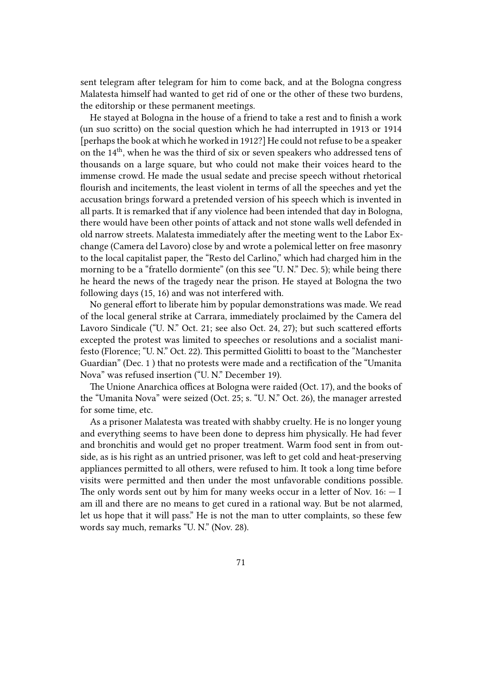sent telegram after telegram for him to come back, and at the Bologna congress Malatesta himself had wanted to get rid of one or the other of these two burdens, the editorship or these permanent meetings.

He stayed at Bologna in the house of a friend to take a rest and to finish a work (un suo scritto) on the social question which he had interrupted in 1913 or 1914 [perhaps the book at which he worked in 1912?] He could not refuse to be a speaker on the 14th, when he was the third of six or seven speakers who addressed tens of thousands on a large square, but who could not make their voices heard to the immense crowd. He made the usual sedate and precise speech without rhetorical flourish and incitements, the least violent in terms of all the speeches and yet the accusation brings forward a pretended version of his speech which is invented in all parts. It is remarked that if any violence had been intended that day in Bologna, there would have been other points of attack and not stone walls well defended in old narrow streets. Malatesta immediately after the meeting went to the Labor Exchange (Camera del Lavoro) close by and wrote a polemical letter on free masonry to the local capitalist paper, the "Resto del Carlino," which had charged him in the morning to be a "fratello dormiente" (on this see "U. N." Dec. 5); while being there he heard the news of the tragedy near the prison. He stayed at Bologna the two following days (15, 16) and was not interfered with.

No general effort to liberate him by popular demonstrations was made. We read of the local general strike at Carrara, immediately proclaimed by the Camera del Lavoro Sindicale ("U. N." Oct. 21; see also Oct. 24, 27); but such scattered efforts excepted the protest was limited to speeches or resolutions and a socialist manifesto (Florence; "U. N." Oct. 22). This permitted Giolitti to boast to the "Manchester Guardian" (Dec. 1 ) that no protests were made and a rectification of the "Umanita Nova" was refused insertion ("U. N." December 19).

The Unione Anarchica offices at Bologna were raided (Oct. 17), and the books of the "Umanita Nova" were seized (Oct. 25; s. "U. N." Oct. 26), the manager arrested for some time, etc.

As a prisoner Malatesta was treated with shabby cruelty. He is no longer young and everything seems to have been done to depress him physically. He had fever and bronchitis and would get no proper treatment. Warm food sent in from outside, as is his right as an untried prisoner, was left to get cold and heat-preserving appliances permitted to all others, were refused to him. It took a long time before visits were permitted and then under the most unfavorable conditions possible. The only words sent out by him for many weeks occur in a letter of Nov.  $16: -I$ am ill and there are no means to get cured in a rational way. But be not alarmed, let us hope that it will pass." He is not the man to utter complaints, so these few words say much, remarks "U. N." (Nov. 28).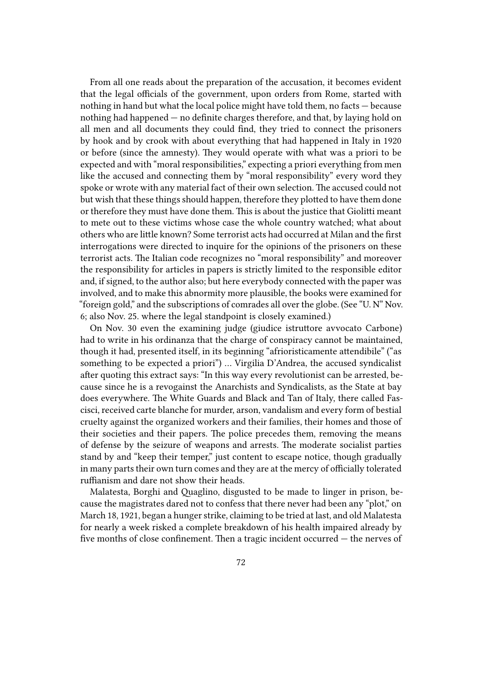From all one reads about the preparation of the accusation, it becomes evident that the legal officials of the government, upon orders from Rome, started with nothing in hand but what the local police might have told them, no facts — because nothing had happened — no definite charges therefore, and that, by laying hold on all men and all documents they could find, they tried to connect the prisoners by hook and by crook with about everything that had happened in Italy in 1920 or before (since the amnesty). They would operate with what was a priori to be expected and with "moral responsibilities," expecting a priori everything from men like the accused and connecting them by "moral responsibility" every word they spoke or wrote with any material fact of their own selection. The accused could not but wish that these things should happen, therefore they plotted to have them done or therefore they must have done them. This is about the justice that Giolitti meant to mete out to these victims whose case the whole country watched; what about others who are little known? Some terrorist acts had occurred at Milan and the first interrogations were directed to inquire for the opinions of the prisoners on these terrorist acts. The Italian code recognizes no "moral responsibility" and moreover the responsibility for articles in papers is strictly limited to the responsible editor and, if signed, to the author also; but here everybody connected with the paper was involved, and to make this abnormity more plausible, the books were examined for "foreign gold," and the subscriptions of comrades all over the globe. (See "U. N" Nov. 6; also Nov. 25. where the legal standpoint is closely examined.)

On Nov. 30 even the examining judge (giudice istruttore avvocato Carbone) had to write in his ordinanza that the charge of conspiracy cannot be maintained, though it had, presented itself, in its beginning "afrioristicamente attendibile" ("as something to be expected a priori") … Virgilia D'Andrea, the accused syndicalist after quoting this extract says: "In this way every revolutionist can be arrested, because since he is a revogainst the Anarchists and Syndicalists, as the State at bay does everywhere. The White Guards and Black and Tan of Italy, there called Fascisci, received carte blanche for murder, arson, vandalism and every form of bestial cruelty against the organized workers and their families, their homes and those of their societies and their papers. The police precedes them, removing the means of defense by the seizure of weapons and arrests. The moderate socialist parties stand by and "keep their temper," just content to escape notice, though gradually in many parts their own turn comes and they are at the mercy of officially tolerated ruffianism and dare not show their heads.

Malatesta, Borghi and Quaglino, disgusted to be made to linger in prison, because the magistrates dared not to confess that there never had been any "plot," on March 18, 1921, began a hunger strike, claiming to be tried at last, and old Malatesta for nearly a week risked a complete breakdown of his health impaired already by five months of close confinement. Then a tragic incident occurred — the nerves of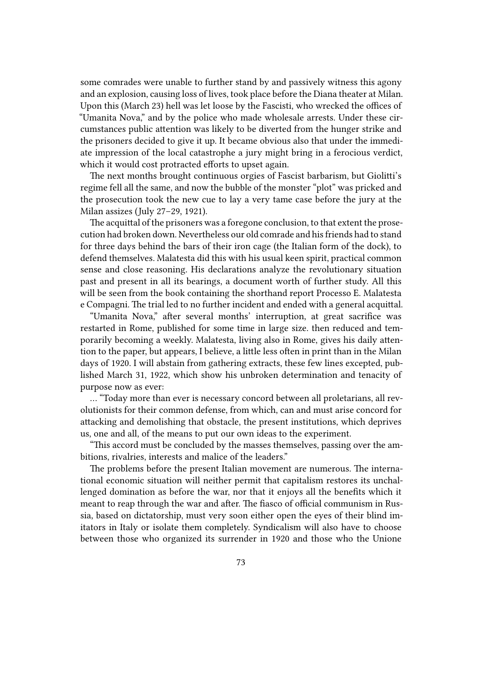some comrades were unable to further stand by and passively witness this agony and an explosion, causing loss of lives, took place before the Diana theater at Milan. Upon this (March 23) hell was let loose by the Fascisti, who wrecked the offices of "Umanita Nova," and by the police who made wholesale arrests. Under these circumstances public attention was likely to be diverted from the hunger strike and the prisoners decided to give it up. It became obvious also that under the immediate impression of the local catastrophe a jury might bring in a ferocious verdict, which it would cost protracted efforts to upset again.

The next months brought continuous orgies of Fascist barbarism, but Giolitti's regime fell all the same, and now the bubble of the monster "plot" was pricked and the prosecution took the new cue to lay a very tame case before the jury at the Milan assizes (July 27–29, 1921).

The acquittal of the prisoners was a foregone conclusion, to that extent the prosecution had broken down. Nevertheless our old comrade and his friends had to stand for three days behind the bars of their iron cage (the Italian form of the dock), to defend themselves. Malatesta did this with his usual keen spirit, practical common sense and close reasoning. His declarations analyze the revolutionary situation past and present in all its bearings, a document worth of further study. All this will be seen from the book containing the shorthand report Processo E. Malatesta e Compagni. The trial led to no further incident and ended with a general acquittal.

"Umanita Nova," after several months' interruption, at great sacrifice was restarted in Rome, published for some time in large size. then reduced and temporarily becoming a weekly. Malatesta, living also in Rome, gives his daily attention to the paper, but appears, I believe, a little less often in print than in the Milan days of 1920. I will abstain from gathering extracts, these few lines excepted, published March 31, 1922, which show his unbroken determination and tenacity of purpose now as ever:

… "Today more than ever is necessary concord between all proletarians, all revolutionists for their common defense, from which, can and must arise concord for attacking and demolishing that obstacle, the present institutions, which deprives us, one and all, of the means to put our own ideas to the experiment.

"This accord must be concluded by the masses themselves, passing over the ambitions, rivalries, interests and malice of the leaders."

The problems before the present Italian movement are numerous. The international economic situation will neither permit that capitalism restores its unchallenged domination as before the war, nor that it enjoys all the benefits which it meant to reap through the war and after. The fiasco of official communism in Russia, based on dictatorship, must very soon either open the eyes of their blind imitators in Italy or isolate them completely. Syndicalism will also have to choose between those who organized its surrender in 1920 and those who the Unione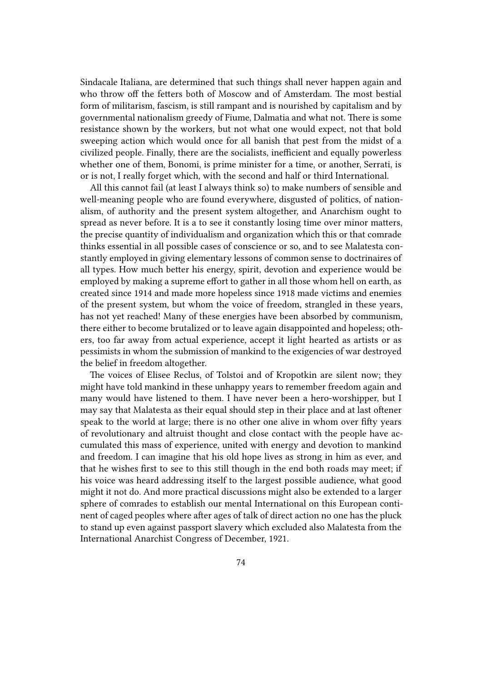Sindacale Italiana, are determined that such things shall never happen again and who throw off the fetters both of Moscow and of Amsterdam. The most bestial form of militarism, fascism, is still rampant and is nourished by capitalism and by governmental nationalism greedy of Fiume, Dalmatia and what not. There is some resistance shown by the workers, but not what one would expect, not that bold sweeping action which would once for all banish that pest from the midst of a civilized people. Finally, there are the socialists, inefficient and equally powerless whether one of them, Bonomi, is prime minister for a time, or another, Serrati, is or is not, I really forget which, with the second and half or third International.

All this cannot fail (at least I always think so) to make numbers of sensible and well-meaning people who are found everywhere, disgusted of politics, of nationalism, of authority and the present system altogether, and Anarchism ought to spread as never before. It is a to see it constantly losing time over minor matters, the precise quantity of individualism and organization which this or that comrade thinks essential in all possible cases of conscience or so, and to see Malatesta constantly employed in giving elementary lessons of common sense to doctrinaires of all types. How much better his energy, spirit, devotion and experience would be employed by making a supreme effort to gather in all those whom hell on earth, as created since 1914 and made more hopeless since 1918 made victims and enemies of the present system, but whom the voice of freedom, strangled in these years, has not yet reached! Many of these energies have been absorbed by communism, there either to become brutalized or to leave again disappointed and hopeless; others, too far away from actual experience, accept it light hearted as artists or as pessimists in whom the submission of mankind to the exigencies of war destroyed the belief in freedom altogether.

The voices of Elisee Reclus, of Tolstoi and of Kropotkin are silent now; they might have told mankind in these unhappy years to remember freedom again and many would have listened to them. I have never been a hero-worshipper, but I may say that Malatesta as their equal should step in their place and at last oftener speak to the world at large; there is no other one alive in whom over fifty years of revolutionary and altruist thought and close contact with the people have accumulated this mass of experience, united with energy and devotion to mankind and freedom. I can imagine that his old hope lives as strong in him as ever, and that he wishes first to see to this still though in the end both roads may meet; if his voice was heard addressing itself to the largest possible audience, what good might it not do. And more practical discussions might also be extended to a larger sphere of comrades to establish our mental International on this European continent of caged peoples where after ages of talk of direct action no one has the pluck to stand up even against passport slavery which excluded also Malatesta from the International Anarchist Congress of December, 1921.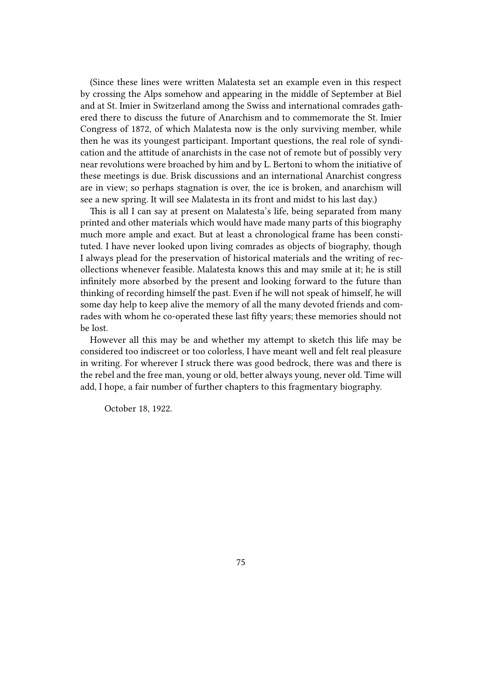(Since these lines were written Malatesta set an example even in this respect by crossing the Alps somehow and appearing in the middle of September at Biel and at St. Imier in Switzerland among the Swiss and international comrades gathered there to discuss the future of Anarchism and to commemorate the St. Imier Congress of 1872, of which Malatesta now is the only surviving member, while then he was its youngest participant. Important questions, the real role of syndication and the attitude of anarchists in the case not of remote but of possibly very near revolutions were broached by him and by L. Bertoni to whom the initiative of these meetings is due. Brisk discussions and an international Anarchist congress are in view; so perhaps stagnation is over, the ice is broken, and anarchism will see a new spring. It will see Malatesta in its front and midst to his last day.)

This is all I can say at present on Malatesta's life, being separated from many printed and other materials which would have made many parts of this biography much more ample and exact. But at least a chronological frame has been constituted. I have never looked upon living comrades as objects of biography, though I always plead for the preservation of historical materials and the writing of recollections whenever feasible. Malatesta knows this and may smile at it; he is still infinitely more absorbed by the present and looking forward to the future than thinking of recording himself the past. Even if he will not speak of himself, he will some day help to keep alive the memory of all the many devoted friends and comrades with whom he co-operated these last fifty years; these memories should not be lost.

However all this may be and whether my attempt to sketch this life may be considered too indiscreet or too colorless, I have meant well and felt real pleasure in writing. For wherever I struck there was good bedrock, there was and there is the rebel and the free man, young or old, better always young, never old. Time will add, I hope, a fair number of further chapters to this fragmentary biography.

October 18, 1922.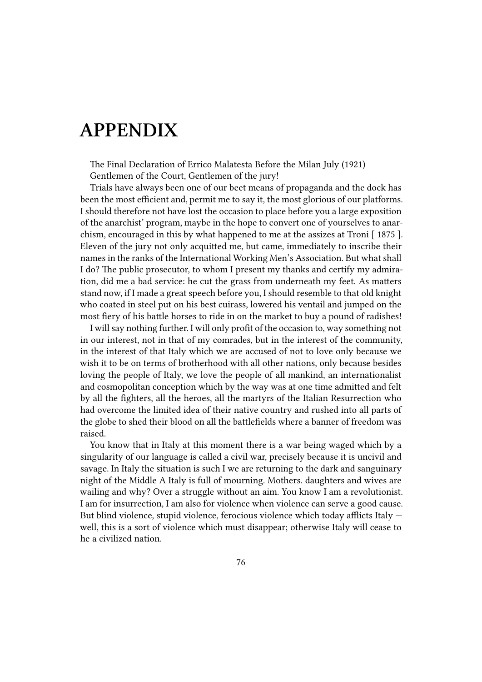## **APPENDIX**

The Final Declaration of Errico Malatesta Before the Milan July (1921) Gentlemen of the Court, Gentlemen of the jury!

Trials have always been one of our beet means of propaganda and the dock has been the most efficient and, permit me to say it, the most glorious of our platforms. I should therefore not have lost the occasion to place before you a large exposition of the anarchist' program, maybe in the hope to convert one of yourselves to anarchism, encouraged in this by what happened to me at the assizes at Troni [ 1875 ]. Eleven of the jury not only acquitted me, but came, immediately to inscribe their names in the ranks of the International Working Men's Association. But what shall I do? The public prosecutor, to whom I present my thanks and certify my admiration, did me a bad service: he cut the grass from underneath my feet. As matters stand now, if I made a great speech before you, I should resemble to that old knight who coated in steel put on his best cuirass, lowered his ventail and jumped on the most fiery of his battle horses to ride in on the market to buy a pound of radishes!

I will say nothing further. I will only profit of the occasion to, way something not in our interest, not in that of my comrades, but in the interest of the community, in the interest of that Italy which we are accused of not to love only because we wish it to be on terms of brotherhood with all other nations, only because besides loving the people of Italy, we love the people of all mankind, an internationalist and cosmopolitan conception which by the way was at one time admitted and felt by all the fighters, all the heroes, all the martyrs of the Italian Resurrection who had overcome the limited idea of their native country and rushed into all parts of the globe to shed their blood on all the battlefields where a banner of freedom was raised.

You know that in Italy at this moment there is a war being waged which by a singularity of our language is called a civil war, precisely because it is uncivil and savage. In Italy the situation is such I we are returning to the dark and sanguinary night of the Middle A Italy is full of mourning. Mothers. daughters and wives are wailing and why? Over a struggle without an aim. You know I am a revolutionist. I am for insurrection, I am also for violence when violence can serve a good cause. But blind violence, stupid violence, ferocious violence which today afflicts Italy well, this is a sort of violence which must disappear; otherwise Italy will cease to he a civilized nation.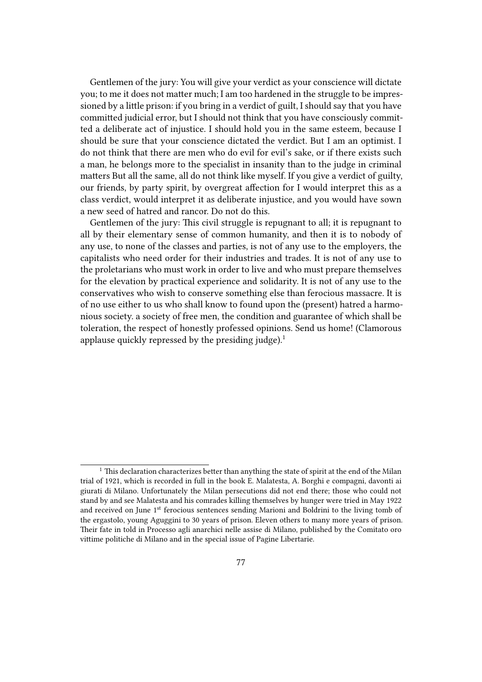Gentlemen of the jury: You will give your verdict as your conscience will dictate you; to me it does not matter much; I am too hardened in the struggle to be impressioned by a little prison: if you bring in a verdict of guilt, I should say that you have committed judicial error, but I should not think that you have consciously committed a deliberate act of injustice. I should hold you in the same esteem, because I should be sure that your conscience dictated the verdict. But I am an optimist. I do not think that there are men who do evil for evil's sake, or if there exists such a man, he belongs more to the specialist in insanity than to the judge in criminal matters But all the same, all do not think like myself. If you give a verdict of guilty, our friends, by party spirit, by overgreat affection for I would interpret this as a class verdict, would interpret it as deliberate injustice, and you would have sown a new seed of hatred and rancor. Do not do this.

Gentlemen of the jury: This civil struggle is repugnant to all; it is repugnant to all by their elementary sense of common humanity, and then it is to nobody of any use, to none of the classes and parties, is not of any use to the employers, the capitalists who need order for their industries and trades. It is not of any use to the proletarians who must work in order to live and who must prepare themselves for the elevation by practical experience and solidarity. It is not of any use to the conservatives who wish to conserve something else than ferocious massacre. It is of no use either to us who shall know to found upon the (present) hatred a harmonious society. a society of free men, the condition and guarantee of which shall be toleration, the respect of honestly professed opinions. Send us home! (Clamorous applause quickly repressed by the presiding judge).<sup>1</sup>

 $^{\rm 1}$  This declaration characterizes better than anything the state of spirit at the end of the Milan trial of 1921, which is recorded in full in the book E. Malatesta, A. Borghi e compagni, davonti ai giurati di Milano. Unfortunately the Milan persecutions did not end there; those who could not stand by and see Malatesta and his comrades killing themselves by hunger were tried in May 1922 and received on June 1<sup>st</sup> ferocious sentences sending Marioni and Boldrini to the living tomb of the ergastolo, young Aguggini to 30 years of prison. Eleven others to many more years of prison. Their fate in told in Processo agli anarchici nelle assise di Milano, published by the Comitato oro vittime politiche di Milano and in the special issue of Pagine Libertarie.